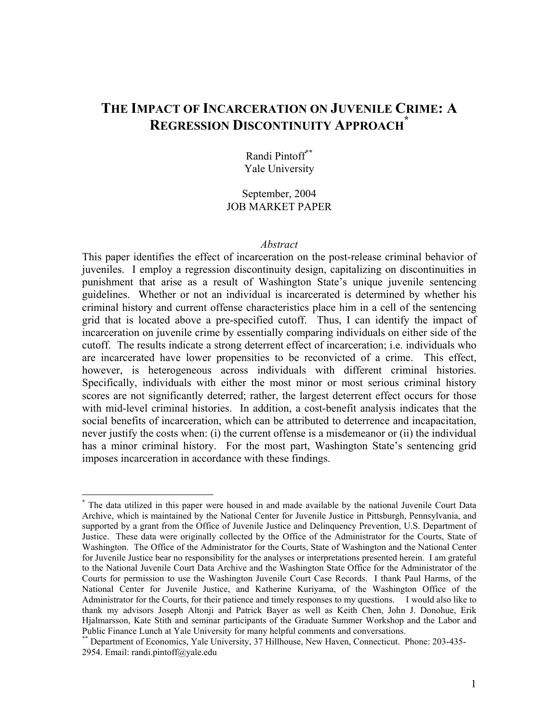# **THE IMPACT OF INCARCERATION ON JUVENILE CRIME: A REGRESSION DISCONTINUITY APPROACH\***

Randi Pintoff\*\* Yale University

September, 2004 JOB MARKET PAPER

#### *Abstract*

This paper identifies the effect of incarceration on the post-release criminal behavior of juveniles. I employ a regression discontinuity design, capitalizing on discontinuities in punishment that arise as a result of Washington State's unique juvenile sentencing guidelines. Whether or not an individual is incarcerated is determined by whether his criminal history and current offense characteristics place him in a cell of the sentencing grid that is located above a pre-specified cutoff. Thus, I can identify the impact of incarceration on juvenile crime by essentially comparing individuals on either side of the cutoff. The results indicate a strong deterrent effect of incarceration; i.e. individuals who are incarcerated have lower propensities to be reconvicted of a crime. This effect, however, is heterogeneous across individuals with different criminal histories. Specifically, individuals with either the most minor or most serious criminal history scores are not significantly deterred; rather, the largest deterrent effect occurs for those with mid-level criminal histories. In addition, a cost-benefit analysis indicates that the social benefits of incarceration, which can be attributed to deterrence and incapacitation, never justify the costs when: (i) the current offense is a misdemeanor or (ii) the individual has a minor criminal history. For the most part, Washington State's sentencing grid imposes incarceration in accordance with these findings.

1

<sup>\*</sup> The data utilized in this paper were housed in and made available by the national Juvenile Court Data Archive, which is maintained by the National Center for Juvenile Justice in Pittsburgh, Pennsylvania, and supported by a grant from the Office of Juvenile Justice and Delinquency Prevention, U.S. Department of Justice. These data were originally collected by the Office of the Administrator for the Courts, State of Washington. The Office of the Administrator for the Courts, State of Washington and the National Center for Juvenile Justice bear no responsibility for the analyses or interpretations presented herein. I am grateful to the National Juvenile Court Data Archive and the Washington State Office for the Administrator of the Courts for permission to use the Washington Juvenile Court Case Records. I thank Paul Harms, of the National Center for Juvenile Justice, and Katherine Kuriyama, of the Washington Office of the Administrator for the Courts, for their patience and timely responses to my questions. I would also like to thank my advisors Joseph Altonji and Patrick Bayer as well as Keith Chen, John J. Donohue, Erik Hjalmarsson, Kate Stith and seminar participants of the Graduate Summer Workshop and the Labor and

<sup>&</sup>lt;sup>\*\*</sup> Department of Economics, Yale University, 37 Hillhouse, New Haven, Connecticut. Phone: 203-435-2954. Email: randi.pintoff@yale.edu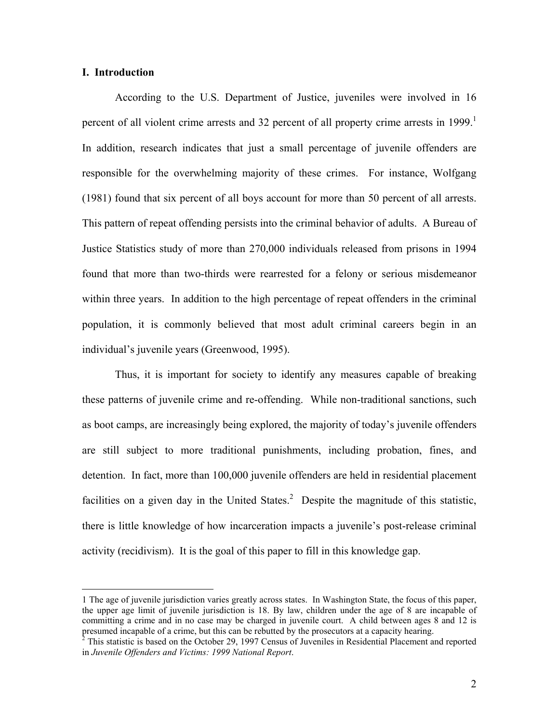# **I. Introduction**

1

 According to the U.S. Department of Justice, juveniles were involved in 16 percent of all violent crime arrests and 32 percent of all property crime arrests in 1999.<sup>1</sup> In addition, research indicates that just a small percentage of juvenile offenders are responsible for the overwhelming majority of these crimes. For instance, Wolfgang (1981) found that six percent of all boys account for more than 50 percent of all arrests. This pattern of repeat offending persists into the criminal behavior of adults. A Bureau of Justice Statistics study of more than 270,000 individuals released from prisons in 1994 found that more than two-thirds were rearrested for a felony or serious misdemeanor within three years. In addition to the high percentage of repeat offenders in the criminal population, it is commonly believed that most adult criminal careers begin in an individual's juvenile years (Greenwood, 1995).

 Thus, it is important for society to identify any measures capable of breaking these patterns of juvenile crime and re-offending. While non-traditional sanctions, such as boot camps, are increasingly being explored, the majority of today's juvenile offenders are still subject to more traditional punishments, including probation, fines, and detention. In fact, more than 100,000 juvenile offenders are held in residential placement facilities on a given day in the United States.<sup>2</sup> Despite the magnitude of this statistic, there is little knowledge of how incarceration impacts a juvenile's post-release criminal activity (recidivism). It is the goal of this paper to fill in this knowledge gap.

<sup>1</sup> The age of juvenile jurisdiction varies greatly across states. In Washington State, the focus of this paper, the upper age limit of juvenile jurisdiction is 18. By law, children under the age of 8 are incapable of committing a crime and in no case may be charged in juvenile court. A child between ages 8 and 12 is presumed incapable of a crime, but this can be rebutted by the prosecutors at a capacity hearing. 2

<sup>&</sup>lt;sup>2</sup> This statistic is based on the October 29, 1997 Census of Juveniles in Residential Placement and reported in *Juvenile Offenders and Victims: 1999 National Report*.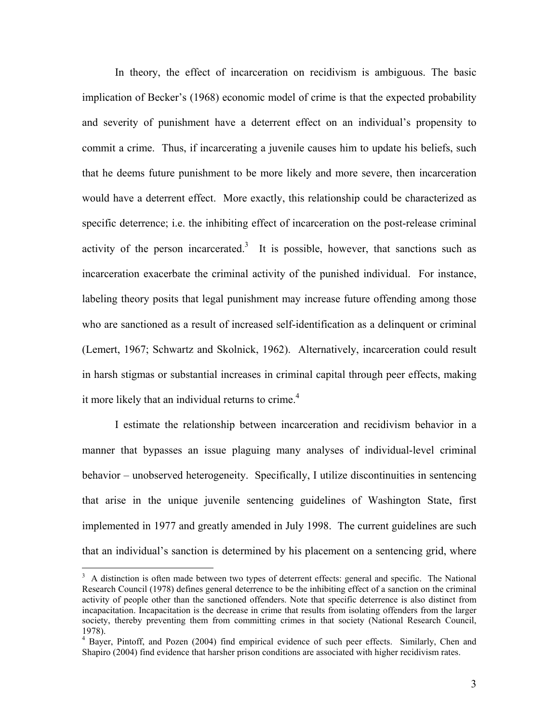In theory, the effect of incarceration on recidivism is ambiguous. The basic implication of Becker's (1968) economic model of crime is that the expected probability and severity of punishment have a deterrent effect on an individual's propensity to commit a crime. Thus, if incarcerating a juvenile causes him to update his beliefs, such that he deems future punishment to be more likely and more severe, then incarceration would have a deterrent effect. More exactly, this relationship could be characterized as specific deterrence; i.e. the inhibiting effect of incarceration on the post-release criminal activity of the person incarcerated.<sup>3</sup> It is possible, however, that sanctions such as incarceration exacerbate the criminal activity of the punished individual. For instance, labeling theory posits that legal punishment may increase future offending among those who are sanctioned as a result of increased self-identification as a delinquent or criminal (Lemert, 1967; Schwartz and Skolnick, 1962). Alternatively, incarceration could result in harsh stigmas or substantial increases in criminal capital through peer effects, making it more likely that an individual returns to crime.<sup>4</sup>

I estimate the relationship between incarceration and recidivism behavior in a manner that bypasses an issue plaguing many analyses of individual-level criminal behavior – unobserved heterogeneity. Specifically, I utilize discontinuities in sentencing that arise in the unique juvenile sentencing guidelines of Washington State, first implemented in 1977 and greatly amended in July 1998. The current guidelines are such that an individual's sanction is determined by his placement on a sentencing grid, where

<sup>&</sup>lt;sup>3</sup> A distinction is often made between two types of deterrent effects: general and specific. The National Research Council (1978) defines general deterrence to be the inhibiting effect of a sanction on the criminal activity of people other than the sanctioned offenders. Note that specific deterrence is also distinct from incapacitation. Incapacitation is the decrease in crime that results from isolating offenders from the larger society, thereby preventing them from committing crimes in that society (National Research Council, 1978).

<sup>&</sup>lt;sup>4</sup> Bayer, Pintoff, and Pozen (2004) find empirical evidence of such peer effects. Similarly, Chen and Shapiro (2004) find evidence that harsher prison conditions are associated with higher recidivism rates.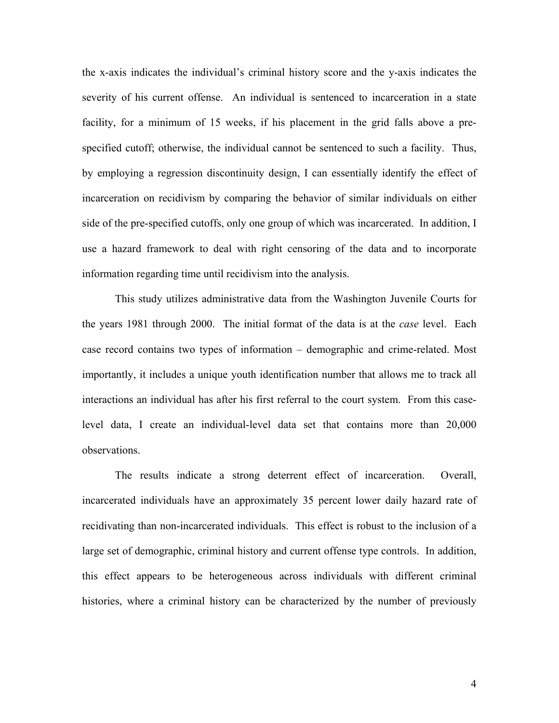the x-axis indicates the individual's criminal history score and the y-axis indicates the severity of his current offense. An individual is sentenced to incarceration in a state facility, for a minimum of 15 weeks, if his placement in the grid falls above a prespecified cutoff; otherwise, the individual cannot be sentenced to such a facility. Thus, by employing a regression discontinuity design, I can essentially identify the effect of incarceration on recidivism by comparing the behavior of similar individuals on either side of the pre-specified cutoffs, only one group of which was incarcerated. In addition, I use a hazard framework to deal with right censoring of the data and to incorporate information regarding time until recidivism into the analysis.

This study utilizes administrative data from the Washington Juvenile Courts for the years 1981 through 2000. The initial format of the data is at the *case* level. Each case record contains two types of information – demographic and crime-related. Most importantly, it includes a unique youth identification number that allows me to track all interactions an individual has after his first referral to the court system. From this caselevel data, I create an individual-level data set that contains more than 20,000 observations.

The results indicate a strong deterrent effect of incarceration. Overall, incarcerated individuals have an approximately 35 percent lower daily hazard rate of recidivating than non-incarcerated individuals. This effect is robust to the inclusion of a large set of demographic, criminal history and current offense type controls. In addition, this effect appears to be heterogeneous across individuals with different criminal histories, where a criminal history can be characterized by the number of previously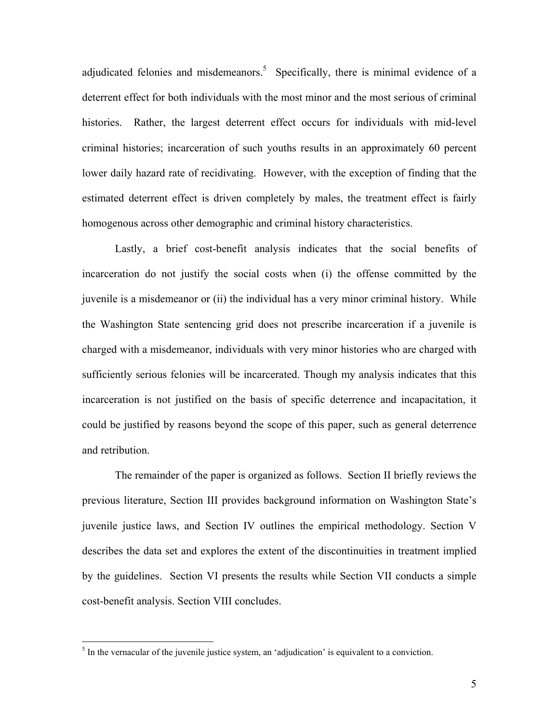adjudicated felonies and misdemeanors.<sup>5</sup> Specifically, there is minimal evidence of a deterrent effect for both individuals with the most minor and the most serious of criminal histories. Rather, the largest deterrent effect occurs for individuals with mid-level criminal histories; incarceration of such youths results in an approximately 60 percent lower daily hazard rate of recidivating. However, with the exception of finding that the estimated deterrent effect is driven completely by males, the treatment effect is fairly homogenous across other demographic and criminal history characteristics.

Lastly, a brief cost-benefit analysis indicates that the social benefits of incarceration do not justify the social costs when (i) the offense committed by the juvenile is a misdemeanor or (ii) the individual has a very minor criminal history. While the Washington State sentencing grid does not prescribe incarceration if a juvenile is charged with a misdemeanor, individuals with very minor histories who are charged with sufficiently serious felonies will be incarcerated. Though my analysis indicates that this incarceration is not justified on the basis of specific deterrence and incapacitation, it could be justified by reasons beyond the scope of this paper, such as general deterrence and retribution.

The remainder of the paper is organized as follows. Section II briefly reviews the previous literature, Section III provides background information on Washington State's juvenile justice laws, and Section IV outlines the empirical methodology. Section V describes the data set and explores the extent of the discontinuities in treatment implied by the guidelines. Section VI presents the results while Section VII conducts a simple cost-benefit analysis. Section VIII concludes.

<sup>&</sup>lt;sup>5</sup> In the vernacular of the juvenile justice system, an 'adjudication' is equivalent to a conviction.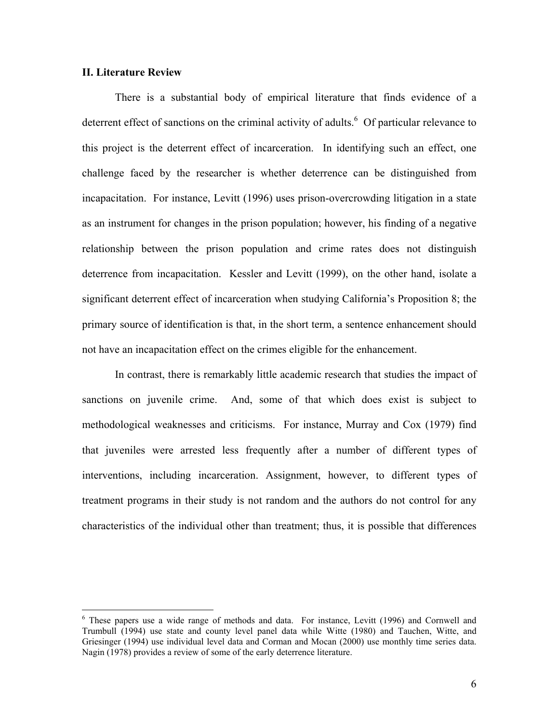# **II. Literature Review**

 $\overline{a}$ 

 There is a substantial body of empirical literature that finds evidence of a deterrent effect of sanctions on the criminal activity of adults.<sup>6</sup> Of particular relevance to this project is the deterrent effect of incarceration. In identifying such an effect, one challenge faced by the researcher is whether deterrence can be distinguished from incapacitation. For instance, Levitt (1996) uses prison-overcrowding litigation in a state as an instrument for changes in the prison population; however, his finding of a negative relationship between the prison population and crime rates does not distinguish deterrence from incapacitation. Kessler and Levitt (1999), on the other hand, isolate a significant deterrent effect of incarceration when studying California's Proposition 8; the primary source of identification is that, in the short term, a sentence enhancement should not have an incapacitation effect on the crimes eligible for the enhancement.

 In contrast, there is remarkably little academic research that studies the impact of sanctions on juvenile crime. And, some of that which does exist is subject to methodological weaknesses and criticisms. For instance, Murray and Cox (1979) find that juveniles were arrested less frequently after a number of different types of interventions, including incarceration. Assignment, however, to different types of treatment programs in their study is not random and the authors do not control for any characteristics of the individual other than treatment; thus, it is possible that differences

<sup>&</sup>lt;sup>6</sup> These papers use a wide range of methods and data. For instance, Levitt (1996) and Cornwell and Trumbull (1994) use state and county level panel data while Witte (1980) and Tauchen, Witte, and Griesinger (1994) use individual level data and Corman and Mocan (2000) use monthly time series data. Nagin (1978) provides a review of some of the early deterrence literature.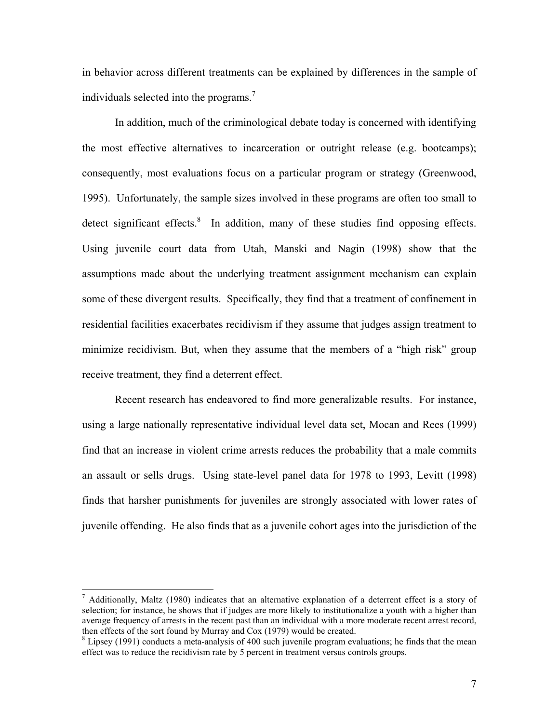in behavior across different treatments can be explained by differences in the sample of individuals selected into the programs.<sup>7</sup>

In addition, much of the criminological debate today is concerned with identifying the most effective alternatives to incarceration or outright release (e.g. bootcamps); consequently, most evaluations focus on a particular program or strategy (Greenwood, 1995). Unfortunately, the sample sizes involved in these programs are often too small to detect significant effects. $\delta$  In addition, many of these studies find opposing effects. Using juvenile court data from Utah, Manski and Nagin (1998) show that the assumptions made about the underlying treatment assignment mechanism can explain some of these divergent results. Specifically, they find that a treatment of confinement in residential facilities exacerbates recidivism if they assume that judges assign treatment to minimize recidivism. But, when they assume that the members of a "high risk" group receive treatment, they find a deterrent effect.

Recent research has endeavored to find more generalizable results. For instance, using a large nationally representative individual level data set, Mocan and Rees (1999) find that an increase in violent crime arrests reduces the probability that a male commits an assault or sells drugs. Using state-level panel data for 1978 to 1993, Levitt (1998) finds that harsher punishments for juveniles are strongly associated with lower rates of juvenile offending. He also finds that as a juvenile cohort ages into the jurisdiction of the

1

 $<sup>7</sup>$  Additionally, Maltz (1980) indicates that an alternative explanation of a deterrent effect is a story of</sup> selection; for instance, he shows that if judges are more likely to institutionalize a youth with a higher than average frequency of arrests in the recent past than an individual with a more moderate recent arrest record, then effects of the sort found by Murray and Cox (1979) would be created.

 $8$  Lipsey (1991) conducts a meta-analysis of 400 such juvenile program evaluations; he finds that the mean effect was to reduce the recidivism rate by 5 percent in treatment versus controls groups.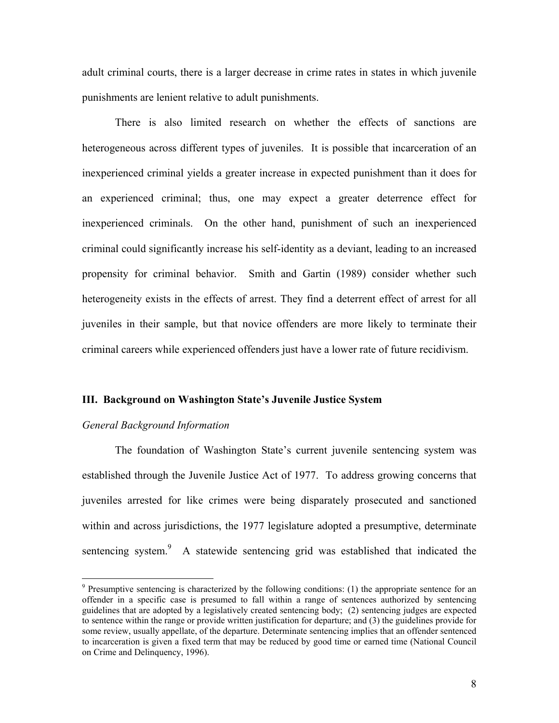adult criminal courts, there is a larger decrease in crime rates in states in which juvenile punishments are lenient relative to adult punishments.

There is also limited research on whether the effects of sanctions are heterogeneous across different types of juveniles. It is possible that incarceration of an inexperienced criminal yields a greater increase in expected punishment than it does for an experienced criminal; thus, one may expect a greater deterrence effect for inexperienced criminals. On the other hand, punishment of such an inexperienced criminal could significantly increase his self-identity as a deviant, leading to an increased propensity for criminal behavior. Smith and Gartin (1989) consider whether such heterogeneity exists in the effects of arrest. They find a deterrent effect of arrest for all juveniles in their sample, but that novice offenders are more likely to terminate their criminal careers while experienced offenders just have a lower rate of future recidivism.

#### **III. Background on Washington State's Juvenile Justice System**

#### *General Background Information*

 $\overline{a}$ 

The foundation of Washington State's current juvenile sentencing system was established through the Juvenile Justice Act of 1977. To address growing concerns that juveniles arrested for like crimes were being disparately prosecuted and sanctioned within and across jurisdictions, the 1977 legislature adopted a presumptive, determinate sentencing system. $\degree$  A statewide sentencing grid was established that indicated the

 $9$  Presumptive sentencing is characterized by the following conditions: (1) the appropriate sentence for an offender in a specific case is presumed to fall within a range of sentences authorized by sentencing guidelines that are adopted by a legislatively created sentencing body; (2) sentencing judges are expected to sentence within the range or provide written justification for departure; and (3) the guidelines provide for some review, usually appellate, of the departure. Determinate sentencing implies that an offender sentenced to incarceration is given a fixed term that may be reduced by good time or earned time (National Council on Crime and Delinquency, 1996).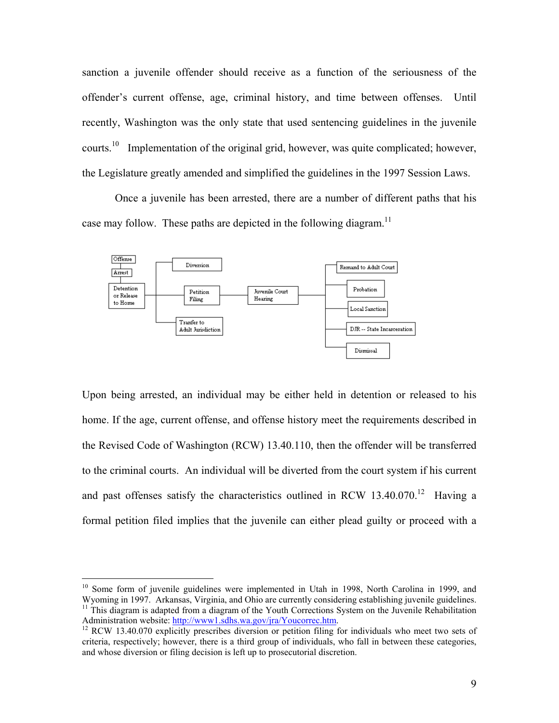sanction a juvenile offender should receive as a function of the seriousness of the offender's current offense, age, criminal history, and time between offenses. Until recently, Washington was the only state that used sentencing guidelines in the juvenile courts.<sup>10</sup> Implementation of the original grid, however, was quite complicated; however, the Legislature greatly amended and simplified the guidelines in the 1997 Session Laws.

Once a juvenile has been arrested, there are a number of different paths that his case may follow. These paths are depicted in the following diagram.<sup>11</sup>



Upon being arrested, an individual may be either held in detention or released to his home. If the age, current offense, and offense history meet the requirements described in the Revised Code of Washington (RCW) 13.40.110, then the offender will be transferred to the criminal courts. An individual will be diverted from the court system if his current and past offenses satisfy the characteristics outlined in RCW  $13.40.070$ <sup>12</sup> Having a formal petition filed implies that the juvenile can either plead guilty or proceed with a

<sup>&</sup>lt;sup>10</sup> Some form of juvenile guidelines were implemented in Utah in 1998, North Carolina in 1999, and Wyoming in 1997. Arkansas, Virginia, and Ohio are currently considering establishing juvenile guidelines.<br><sup>11</sup> This diagram is adapted from a diagram of the Youth Corrections System on the Juvenile Rehabilitation Administ

 $12$  RCW 13.40.070 explicitly prescribes diversion or petition filing for individuals who meet two sets of criteria, respectively; however, there is a third group of individuals, who fall in between these categories, and whose diversion or filing decision is left up to prosecutorial discretion.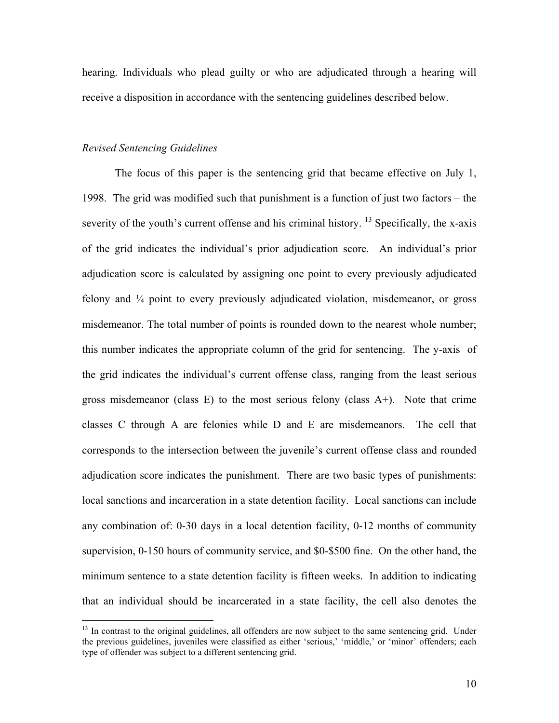hearing. Individuals who plead guilty or who are adjudicated through a hearing will receive a disposition in accordance with the sentencing guidelines described below.

# *Revised Sentencing Guidelines*

 $\overline{a}$ 

The focus of this paper is the sentencing grid that became effective on July 1, 1998. The grid was modified such that punishment is a function of just two factors – the severity of the youth's current offense and his criminal history.  $^{13}$  Specifically, the x-axis of the grid indicates the individual's prior adjudication score. An individual's prior adjudication score is calculated by assigning one point to every previously adjudicated felony and ¼ point to every previously adjudicated violation, misdemeanor, or gross misdemeanor. The total number of points is rounded down to the nearest whole number; this number indicates the appropriate column of the grid for sentencing. The y-axis of the grid indicates the individual's current offense class, ranging from the least serious gross misdemeanor (class  $E$ ) to the most serious felony (class  $A+$ ). Note that crime classes C through A are felonies while D and E are misdemeanors. The cell that corresponds to the intersection between the juvenile's current offense class and rounded adjudication score indicates the punishment. There are two basic types of punishments: local sanctions and incarceration in a state detention facility. Local sanctions can include any combination of: 0-30 days in a local detention facility, 0-12 months of community supervision, 0-150 hours of community service, and \$0-\$500 fine. On the other hand, the minimum sentence to a state detention facility is fifteen weeks. In addition to indicating that an individual should be incarcerated in a state facility, the cell also denotes the

<sup>&</sup>lt;sup>13</sup> In contrast to the original guidelines, all offenders are now subject to the same sentencing grid. Under the previous guidelines, juveniles were classified as either 'serious,' 'middle,' or 'minor' offenders; each type of offender was subject to a different sentencing grid.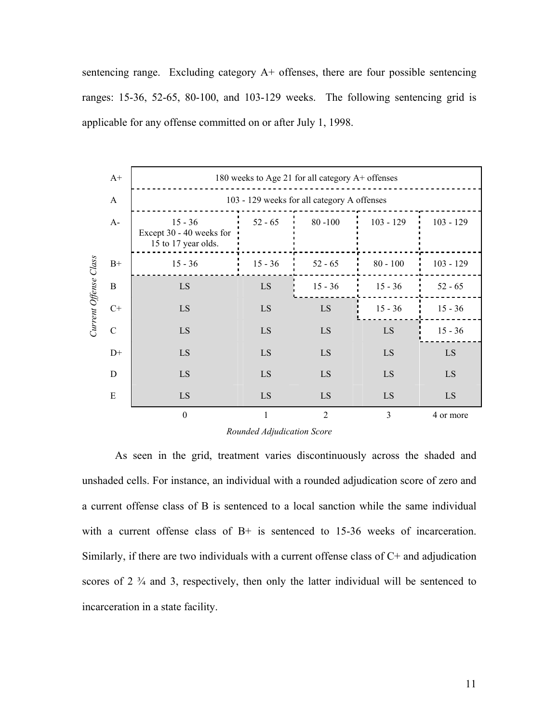sentencing range. Excluding category A+ offenses, there are four possible sentencing ranges: 15-36, 52-65, 80-100, and 103-129 weeks. The following sentencing grid is applicable for any offense committed on or after July 1, 1998.

|                       | $A+$         | 180 weeks to Age 21 for all category A+ offenses             |           |                |               |             |
|-----------------------|--------------|--------------------------------------------------------------|-----------|----------------|---------------|-------------|
| Current Offense Class | $\mathbf{A}$ | 103 - 129 weeks for all category A offenses                  |           |                |               |             |
|                       | $A-$         | $15 - 36$<br>Except 30 - 40 weeks for<br>15 to 17 year olds. | $52 - 65$ | $80 - 100$     | $103 - 129$   | $103 - 129$ |
|                       | $B+$         | $15 - 36$                                                    | $15 - 36$ | $52 - 65$      | $80 - 100$    | $103 - 129$ |
|                       | $\bf{B}$     | LS                                                           | LS        | $15 - 36$      | $15 - 36$     | $52 - 65$   |
|                       | $C+$         | LS                                                           | LS        | LS             | $15 - 36$     | $15 - 36$   |
|                       | $\mathbf C$  | LS                                                           | LS        | LS             | LS            | $15 - 36$   |
|                       | $D+$         | LS                                                           | LS        | LS             | LS            | LS          |
|                       | D            | LS                                                           | LS        | LS             | LS            | LS          |
|                       | E            | LS                                                           | LS        | LS             | LS            | LS          |
|                       |              | $\theta$                                                     | 1         | $\overline{2}$ | $\mathcal{E}$ | 4 or more   |

*Rounded Adjudication Score* 

As seen in the grid, treatment varies discontinuously across the shaded and unshaded cells. For instance, an individual with a rounded adjudication score of zero and a current offense class of B is sentenced to a local sanction while the same individual with a current offense class of B+ is sentenced to 15-36 weeks of incarceration. Similarly, if there are two individuals with a current offense class of C+ and adjudication scores of 2  $\frac{3}{4}$  and 3, respectively, then only the latter individual will be sentenced to incarceration in a state facility.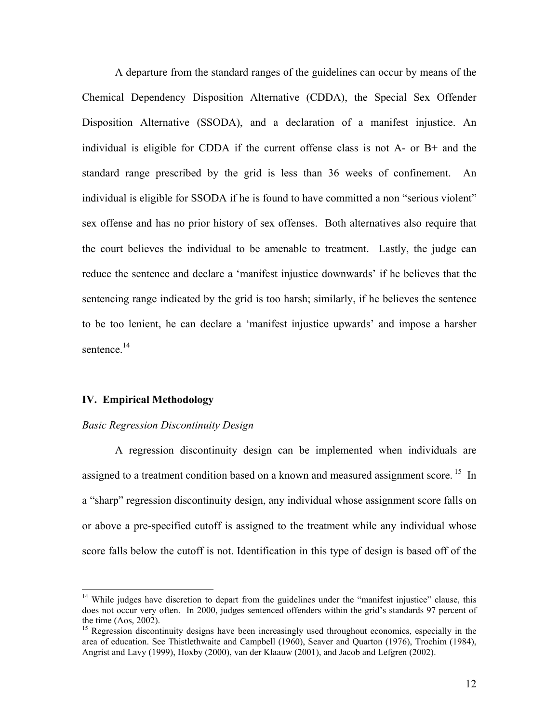A departure from the standard ranges of the guidelines can occur by means of the Chemical Dependency Disposition Alternative (CDDA), the Special Sex Offender Disposition Alternative (SSODA), and a declaration of a manifest injustice. An individual is eligible for CDDA if the current offense class is not A- or B+ and the standard range prescribed by the grid is less than 36 weeks of confinement. An individual is eligible for SSODA if he is found to have committed a non "serious violent" sex offense and has no prior history of sex offenses. Both alternatives also require that the court believes the individual to be amenable to treatment. Lastly, the judge can reduce the sentence and declare a 'manifest injustice downwards' if he believes that the sentencing range indicated by the grid is too harsh; similarly, if he believes the sentence to be too lenient, he can declare a 'manifest injustice upwards' and impose a harsher sentence.<sup>14</sup>

#### **IV. Empirical Methodology**

1

#### *Basic Regression Discontinuity Design*

 A regression discontinuity design can be implemented when individuals are assigned to a treatment condition based on a known and measured assignment score.<sup>15</sup> In a "sharp" regression discontinuity design, any individual whose assignment score falls on or above a pre-specified cutoff is assigned to the treatment while any individual whose score falls below the cutoff is not. Identification in this type of design is based off of the

<sup>&</sup>lt;sup>14</sup> While judges have discretion to depart from the guidelines under the "manifest injustice" clause, this does not occur very often. In 2000, judges sentenced offenders within the grid's standards 97 percent of the time (Aos, 2002).

<sup>&</sup>lt;sup>15</sup> Regression discontinuity designs have been increasingly used throughout economics, especially in the area of education. See Thistlethwaite and Campbell (1960), Seaver and Quarton (1976), Trochim (1984), Angrist and Lavy (1999), Hoxby (2000), van der Klaauw (2001), and Jacob and Lefgren (2002).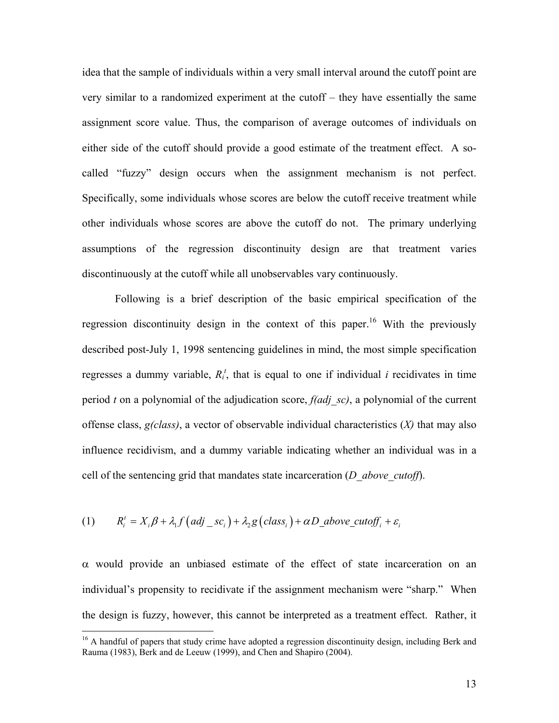idea that the sample of individuals within a very small interval around the cutoff point are very similar to a randomized experiment at the cutoff – they have essentially the same assignment score value. Thus, the comparison of average outcomes of individuals on either side of the cutoff should provide a good estimate of the treatment effect. A socalled "fuzzy" design occurs when the assignment mechanism is not perfect. Specifically, some individuals whose scores are below the cutoff receive treatment while other individuals whose scores are above the cutoff do not. The primary underlying assumptions of the regression discontinuity design are that treatment varies discontinuously at the cutoff while all unobservables vary continuously.

Following is a brief description of the basic empirical specification of the regression discontinuity design in the context of this paper.<sup>16</sup> With the previously described post-July 1, 1998 sentencing guidelines in mind, the most simple specification regresses a dummy variable,  $R_i^t$ , that is equal to one if individual *i* recidivates in time period *t* on a polynomial of the adjudication score, *f(adj\_sc)*, a polynomial of the current offense class, *g(class)*, a vector of observable individual characteristics (*X)* that may also influence recidivism, and a dummy variable indicating whether an individual was in a cell of the sentencing grid that mandates state incarceration (*D\_above\_cutoff*).

(1) 
$$
R_i^t = X_i \beta + \lambda_1 f \left( adj \_{sc} sc_i \right) + \lambda_2 g \left( class_i \right) + \alpha D\_above\_cutoff_i + \varepsilon_i
$$

 $\overline{a}$ 

 $\alpha$  would provide an unbiased estimate of the effect of state incarceration on an individual's propensity to recidivate if the assignment mechanism were "sharp." When the design is fuzzy, however, this cannot be interpreted as a treatment effect. Rather, it

<sup>&</sup>lt;sup>16</sup> A handful of papers that study crime have adopted a regression discontinuity design, including Berk and Rauma (1983), Berk and de Leeuw (1999), and Chen and Shapiro (2004).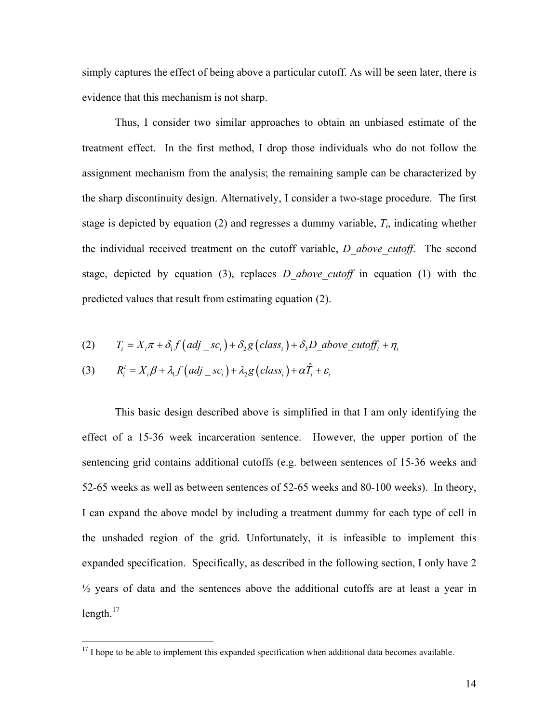simply captures the effect of being above a particular cutoff. As will be seen later, there is evidence that this mechanism is not sharp.

Thus, I consider two similar approaches to obtain an unbiased estimate of the treatment effect. In the first method, I drop those individuals who do not follow the assignment mechanism from the analysis; the remaining sample can be characterized by the sharp discontinuity design. Alternatively, I consider a two-stage procedure. The first stage is depicted by equation  $(2)$  and regresses a dummy variable,  $T_i$ , indicating whether the individual received treatment on the cutoff variable, *D\_above\_cutoff*. The second stage, depicted by equation  $(3)$ , replaces *D* above cutoff in equation  $(1)$  with the predicted values that result from estimating equation (2).

(2) 
$$
T_i = X_i \pi + \delta_1 f (adj\_sc_i) + \delta_2 g (class_i) + \delta_3 D\_above\_cutoff_i + \eta_i
$$

(3) 
$$
R_i^t = X_i \beta + \lambda_1 f (adj\_sc_i) + \lambda_2 g (class_i) + \alpha \hat{T}_i + \varepsilon_i
$$

 $\overline{a}$ 

This basic design described above is simplified in that I am only identifying the effect of a 15-36 week incarceration sentence. However, the upper portion of the sentencing grid contains additional cutoffs (e.g. between sentences of 15-36 weeks and 52-65 weeks as well as between sentences of 52-65 weeks and 80-100 weeks). In theory, I can expand the above model by including a treatment dummy for each type of cell in the unshaded region of the grid. Unfortunately, it is infeasible to implement this expanded specification. Specifically, as described in the following section, I only have 2  $\frac{1}{2}$  years of data and the sentences above the additional cutoffs are at least a year in length. $17$ 

 $17$  I hope to be able to implement this expanded specification when additional data becomes available.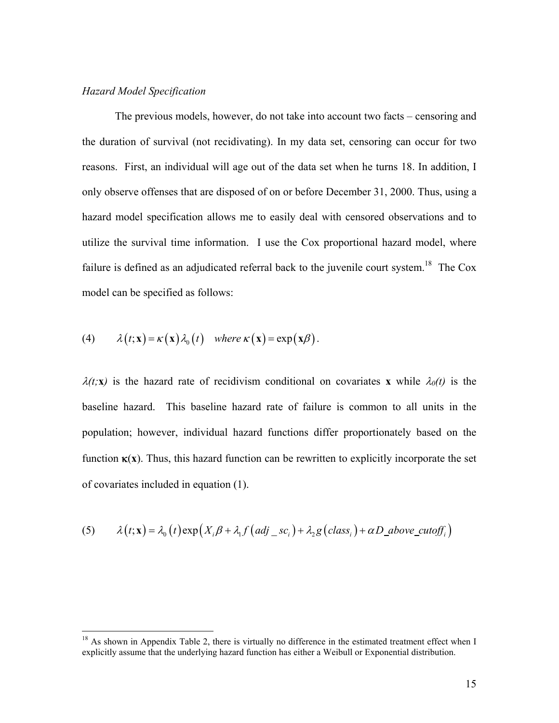# *Hazard Model Specification*

1

 The previous models, however, do not take into account two facts – censoring and the duration of survival (not recidivating). In my data set, censoring can occur for two reasons. First, an individual will age out of the data set when he turns 18. In addition, I only observe offenses that are disposed of on or before December 31, 2000. Thus, using a hazard model specification allows me to easily deal with censored observations and to utilize the survival time information. I use the Cox proportional hazard model, where failure is defined as an adjudicated referral back to the juvenile court system.<sup>18</sup> The Cox model can be specified as follows:

(4) 
$$
\lambda(t; \mathbf{x}) = \kappa(\mathbf{x}) \lambda_0(t) \quad \text{where } \kappa(\mathbf{x}) = \exp(\mathbf{x}\beta).
$$

 $\lambda(t; \mathbf{x})$  is the hazard rate of recidivism conditional on covariates **x** while  $\lambda_0(t)$  is the baseline hazard. This baseline hazard rate of failure is common to all units in the population; however, individual hazard functions differ proportionately based on the function  $\kappa(x)$ . Thus, this hazard function can be rewritten to explicitly incorporate the set of covariates included in equation (1).

(5) 
$$
\lambda(t; \mathbf{x}) = \lambda_0(t) \exp(X_i \beta + \lambda_1 f(\text{adj}_{S_i} sc_i) + \lambda_2 g(\text{class}_i) + \alpha D_{\text{above\_cutoff}_i})
$$

 $18$  As shown in Appendix Table 2, there is virtually no difference in the estimated treatment effect when I explicitly assume that the underlying hazard function has either a Weibull or Exponential distribution.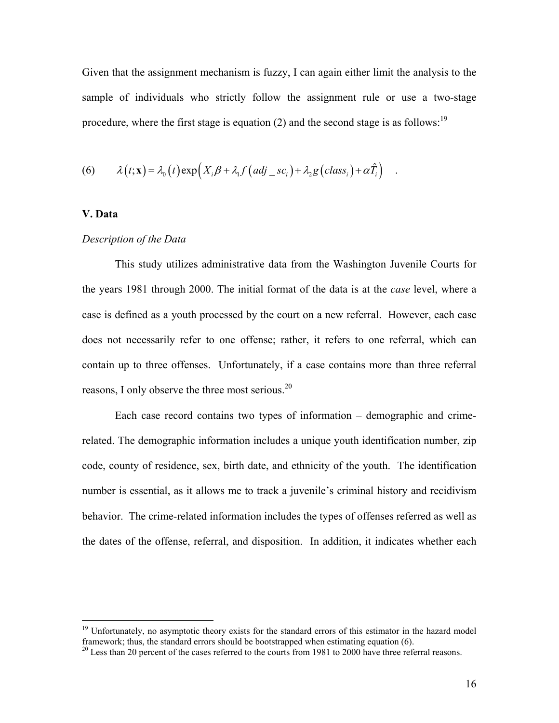Given that the assignment mechanism is fuzzy, I can again either limit the analysis to the sample of individuals who strictly follow the assignment rule or use a two-stage procedure, where the first stage is equation (2) and the second stage is as follows:  $19$ 

(6) 
$$
\lambda(t; \mathbf{x}) = \lambda_0(t) \exp\left(X_i \beta + \lambda_1 f\left(\text{adj}_{S_i} s c_i\right) + \lambda_2 g\left(\text{class}_i\right) + \alpha \hat{T}_i\right) \quad .
$$

## **V. Data**

 $\overline{a}$ 

#### *Description of the Data*

This study utilizes administrative data from the Washington Juvenile Courts for the years 1981 through 2000. The initial format of the data is at the *case* level, where a case is defined as a youth processed by the court on a new referral. However, each case does not necessarily refer to one offense; rather, it refers to one referral, which can contain up to three offenses. Unfortunately, if a case contains more than three referral reasons, I only observe the three most serious.<sup>20</sup>

Each case record contains two types of information – demographic and crimerelated. The demographic information includes a unique youth identification number, zip code, county of residence, sex, birth date, and ethnicity of the youth. The identification number is essential, as it allows me to track a juvenile's criminal history and recidivism behavior. The crime-related information includes the types of offenses referred as well as the dates of the offense, referral, and disposition. In addition, it indicates whether each

<sup>&</sup>lt;sup>19</sup> Unfortunately, no asymptotic theory exists for the standard errors of this estimator in the hazard model framework; thus, the standard errors should be bootstrapped when estimating equation  $(6)$ .

<sup>&</sup>lt;sup>20</sup> Less than 20 percent of the cases referred to the courts from 1981 to 2000 have three referral reasons.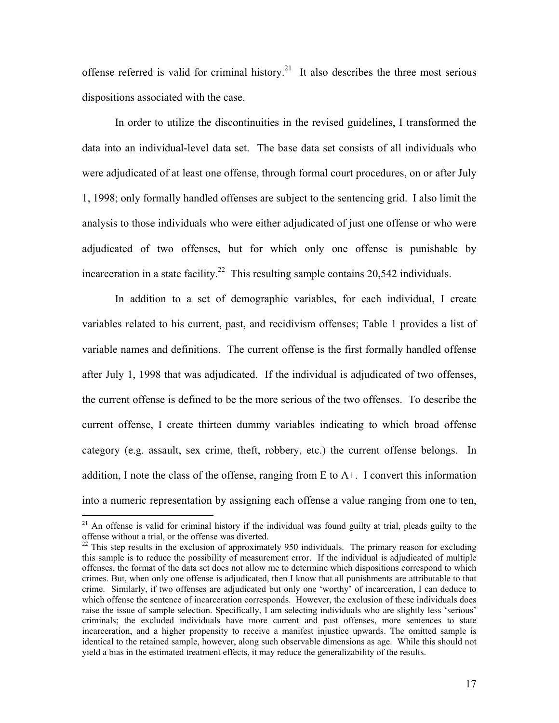offense referred is valid for criminal history.<sup>21</sup> It also describes the three most serious dispositions associated with the case.

In order to utilize the discontinuities in the revised guidelines, I transformed the data into an individual-level data set. The base data set consists of all individuals who were adjudicated of at least one offense, through formal court procedures, on or after July 1, 1998; only formally handled offenses are subject to the sentencing grid. I also limit the analysis to those individuals who were either adjudicated of just one offense or who were adjudicated of two offenses, but for which only one offense is punishable by incarceration in a state facility.<sup>22</sup> This resulting sample contains  $20,542$  individuals.

In addition to a set of demographic variables, for each individual, I create variables related to his current, past, and recidivism offenses; Table 1 provides a list of variable names and definitions. The current offense is the first formally handled offense after July 1, 1998 that was adjudicated. If the individual is adjudicated of two offenses, the current offense is defined to be the more serious of the two offenses. To describe the current offense, I create thirteen dummy variables indicating to which broad offense category (e.g. assault, sex crime, theft, robbery, etc.) the current offense belongs. In addition, I note the class of the offense, ranging from E to  $A<sup>+</sup>$ . I convert this information into a numeric representation by assigning each offense a value ranging from one to ten,

 $21$  An offense is valid for criminal history if the individual was found guilty at trial, pleads guilty to the offense without a trial, or the offense was diverted.

 $22$  This step results in the exclusion of approximately 950 individuals. The primary reason for excluding this sample is to reduce the possibility of measurement error. If the individual is adjudicated of multiple offenses, the format of the data set does not allow me to determine which dispositions correspond to which crimes. But, when only one offense is adjudicated, then I know that all punishments are attributable to that crime. Similarly, if two offenses are adjudicated but only one 'worthy' of incarceration, I can deduce to which offense the sentence of incarceration corresponds. However, the exclusion of these individuals does raise the issue of sample selection. Specifically, I am selecting individuals who are slightly less 'serious' criminals; the excluded individuals have more current and past offenses, more sentences to state incarceration, and a higher propensity to receive a manifest injustice upwards. The omitted sample is identical to the retained sample, however, along such observable dimensions as age. While this should not yield a bias in the estimated treatment effects, it may reduce the generalizability of the results.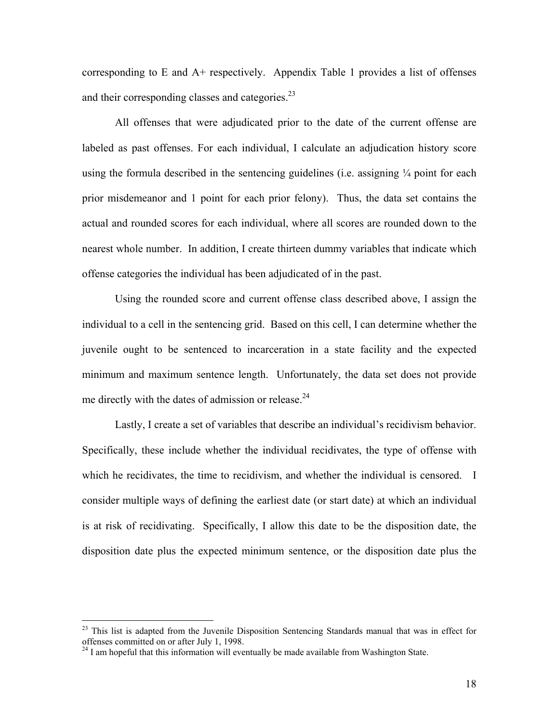corresponding to E and A+ respectively. Appendix Table 1 provides a list of offenses and their corresponding classes and categories. $^{23}$ 

All offenses that were adjudicated prior to the date of the current offense are labeled as past offenses. For each individual, I calculate an adjudication history score using the formula described in the sentencing guidelines (i.e. assigning ¼ point for each prior misdemeanor and 1 point for each prior felony). Thus, the data set contains the actual and rounded scores for each individual, where all scores are rounded down to the nearest whole number. In addition, I create thirteen dummy variables that indicate which offense categories the individual has been adjudicated of in the past.

Using the rounded score and current offense class described above, I assign the individual to a cell in the sentencing grid. Based on this cell, I can determine whether the juvenile ought to be sentenced to incarceration in a state facility and the expected minimum and maximum sentence length. Unfortunately, the data set does not provide me directly with the dates of admission or release. $24$ 

Lastly, I create a set of variables that describe an individual's recidivism behavior. Specifically, these include whether the individual recidivates, the type of offense with which he recidivates, the time to recidivism, and whether the individual is censored. I consider multiple ways of defining the earliest date (or start date) at which an individual is at risk of recidivating. Specifically, I allow this date to be the disposition date, the disposition date plus the expected minimum sentence, or the disposition date plus the

 $^{23}$  This list is adapted from the Juvenile Disposition Sentencing Standards manual that was in effect for offenses committed on or after July 1, 1998.

<sup>&</sup>lt;sup>24</sup> I am hopeful that this information will eventually be made available from Washington State.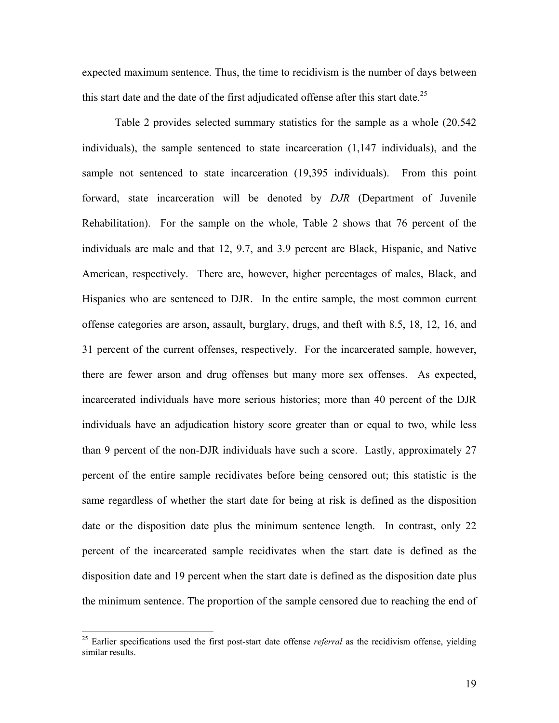expected maximum sentence. Thus, the time to recidivism is the number of days between this start date and the date of the first adjudicated offense after this start date.<sup>25</sup>

Table 2 provides selected summary statistics for the sample as a whole (20,542 individuals), the sample sentenced to state incarceration (1,147 individuals), and the sample not sentenced to state incarceration (19,395 individuals). From this point forward, state incarceration will be denoted by *DJR* (Department of Juvenile Rehabilitation). For the sample on the whole, Table 2 shows that 76 percent of the individuals are male and that 12, 9.7, and 3.9 percent are Black, Hispanic, and Native American, respectively. There are, however, higher percentages of males, Black, and Hispanics who are sentenced to DJR. In the entire sample, the most common current offense categories are arson, assault, burglary, drugs, and theft with 8.5, 18, 12, 16, and 31 percent of the current offenses, respectively. For the incarcerated sample, however, there are fewer arson and drug offenses but many more sex offenses. As expected, incarcerated individuals have more serious histories; more than 40 percent of the DJR individuals have an adjudication history score greater than or equal to two, while less than 9 percent of the non-DJR individuals have such a score. Lastly, approximately 27 percent of the entire sample recidivates before being censored out; this statistic is the same regardless of whether the start date for being at risk is defined as the disposition date or the disposition date plus the minimum sentence length. In contrast, only 22 percent of the incarcerated sample recidivates when the start date is defined as the disposition date and 19 percent when the start date is defined as the disposition date plus the minimum sentence. The proportion of the sample censored due to reaching the end of

<sup>25</sup> Earlier specifications used the first post-start date offense *referral* as the recidivism offense, yielding similar results.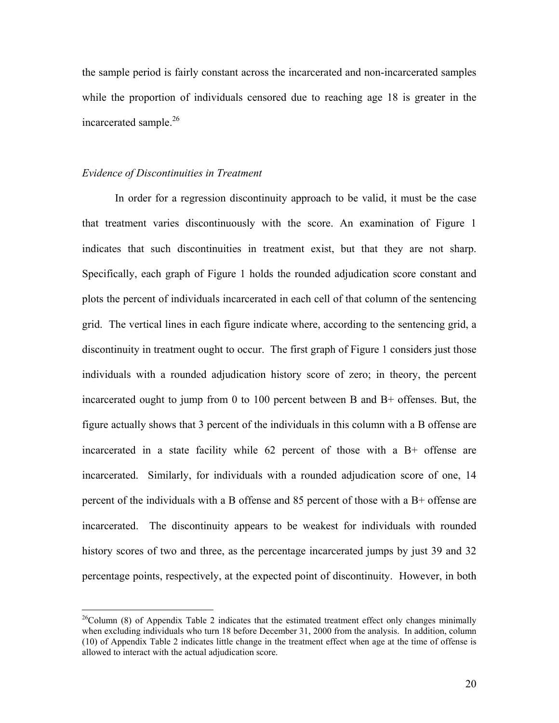the sample period is fairly constant across the incarcerated and non-incarcerated samples while the proportion of individuals censored due to reaching age 18 is greater in the incarcerated sample. $^{26}$ 

## *Evidence of Discontinuities in Treatment*

 $\overline{a}$ 

 In order for a regression discontinuity approach to be valid, it must be the case that treatment varies discontinuously with the score. An examination of Figure 1 indicates that such discontinuities in treatment exist, but that they are not sharp. Specifically, each graph of Figure 1 holds the rounded adjudication score constant and plots the percent of individuals incarcerated in each cell of that column of the sentencing grid. The vertical lines in each figure indicate where, according to the sentencing grid, a discontinuity in treatment ought to occur. The first graph of Figure 1 considers just those individuals with a rounded adjudication history score of zero; in theory, the percent incarcerated ought to jump from 0 to 100 percent between B and B+ offenses. But, the figure actually shows that 3 percent of the individuals in this column with a B offense are incarcerated in a state facility while 62 percent of those with a B+ offense are incarcerated. Similarly, for individuals with a rounded adjudication score of one, 14 percent of the individuals with a B offense and 85 percent of those with a B+ offense are incarcerated. The discontinuity appears to be weakest for individuals with rounded history scores of two and three, as the percentage incarcerated jumps by just 39 and 32 percentage points, respectively, at the expected point of discontinuity. However, in both

 $^{26}$ Column (8) of Appendix Table 2 indicates that the estimated treatment effect only changes minimally when excluding individuals who turn 18 before December 31, 2000 from the analysis. In addition, column (10) of Appendix Table 2 indicates little change in the treatment effect when age at the time of offense is allowed to interact with the actual adjudication score.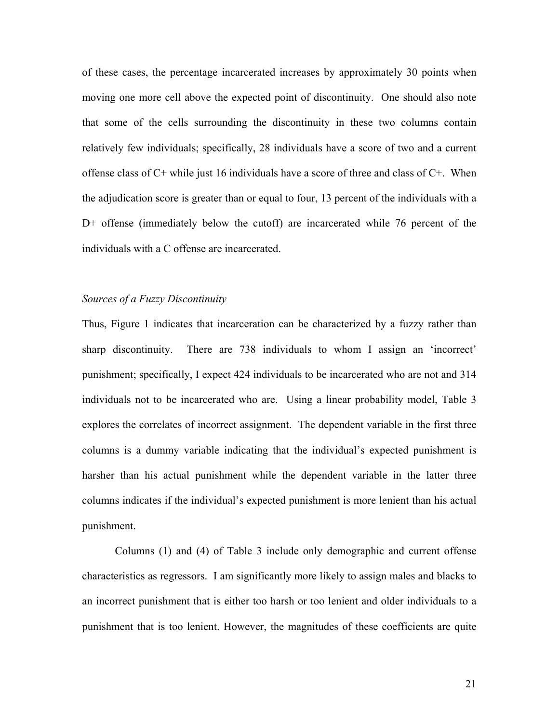of these cases, the percentage incarcerated increases by approximately 30 points when moving one more cell above the expected point of discontinuity. One should also note that some of the cells surrounding the discontinuity in these two columns contain relatively few individuals; specifically, 28 individuals have a score of two and a current offense class of  $C+$  while just 16 individuals have a score of three and class of  $C+$ . When the adjudication score is greater than or equal to four, 13 percent of the individuals with a D+ offense (immediately below the cutoff) are incarcerated while 76 percent of the individuals with a C offense are incarcerated.

# *Sources of a Fuzzy Discontinuity*

Thus, Figure 1 indicates that incarceration can be characterized by a fuzzy rather than sharp discontinuity. There are 738 individuals to whom I assign an 'incorrect' punishment; specifically, I expect 424 individuals to be incarcerated who are not and 314 individuals not to be incarcerated who are. Using a linear probability model, Table 3 explores the correlates of incorrect assignment. The dependent variable in the first three columns is a dummy variable indicating that the individual's expected punishment is harsher than his actual punishment while the dependent variable in the latter three columns indicates if the individual's expected punishment is more lenient than his actual punishment.

Columns (1) and (4) of Table 3 include only demographic and current offense characteristics as regressors. I am significantly more likely to assign males and blacks to an incorrect punishment that is either too harsh or too lenient and older individuals to a punishment that is too lenient. However, the magnitudes of these coefficients are quite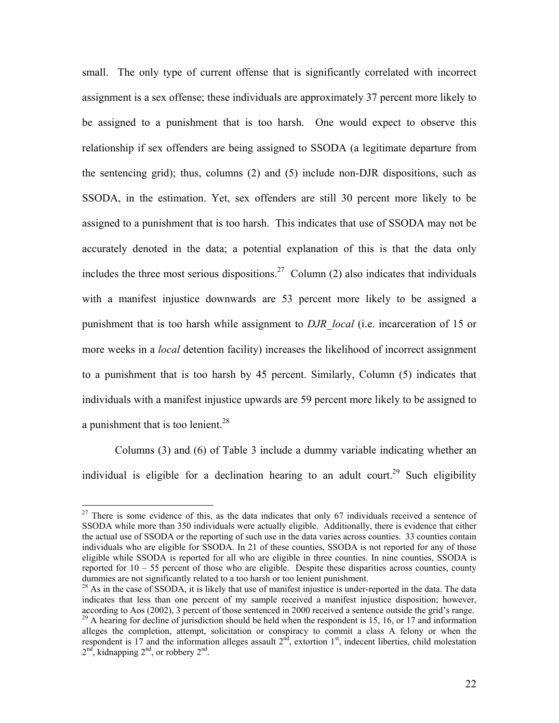small. The only type of current offense that is significantly correlated with incorrect assignment is a sex offense; these individuals are approximately 37 percent more likely to be assigned to a punishment that is too harsh. One would expect to observe this relationship if sex offenders are being assigned to SSODA (a legitimate departure from the sentencing grid); thus, columns (2) and (5) include non-DJR dispositions, such as SSODA, in the estimation. Yet, sex offenders are still 30 percent more likely to be assigned to a punishment that is too harsh. This indicates that use of SSODA may not be accurately denoted in the data; a potential explanation of this is that the data only includes the three most serious dispositions.<sup>27</sup> Column (2) also indicates that individuals with a manifest injustice downwards are 53 percent more likely to be assigned a punishment that is too harsh while assignment to *DJR\_local* (i.e. incarceration of 15 or more weeks in a *local* detention facility) increases the likelihood of incorrect assignment to a punishment that is too harsh by 45 percent. Similarly, Column (5) indicates that individuals with a manifest injustice upwards are 59 percent more likely to be assigned to a punishment that is too lenient.<sup>28</sup>

Columns (3) and (6) of Table 3 include a dummy variable indicating whether an individual is eligible for a declination hearing to an adult court.<sup>29</sup> Such eligibility

 $27$  There is some evidence of this, as the data indicates that only 67 individuals received a sentence of SSODA while more than 350 individuals were actually eligible. Additionally, there is evidence that either the actual use of SSODA or the reporting of such use in the data varies across counties. 33 counties contain individuals who are eligible for SSODA. In 21 of these counties, SSODA is not reported for any of those eligible while SSODA is reported for all who are eligible in three counties. In nine counties, SSODA is reported for  $10 - 55$  percent of those who are eligible. Despite these disparities across counties, county dummies are not significantly related to a too harsh or too lenient punishment.

 $^{28}$  As in the case of SSODA, it is likely that use of manifest injustice is under-reported in the data. The data indicates that less than one percent of my sample received a manifest injustice disposition; however, according to Aos (2002), 3 percent of those sentenced in 2000 received a sentence outside the grid's range.

 $29$  A hearing for decline of jurisdiction should be held when the respondent is 15, 16, or 17 and information alleges the completion, attempt, solicitation or conspiracy to commit a class A felony or when the respondent is 17 and the information alleges assault  $2<sup>nd</sup>$ , extortion 1<sup>st</sup>, indecent liberties, child molestation  $2<sup>nd</sup>$ , kidnapping  $2<sup>nd</sup>$ , or robbery  $2<sup>nd</sup>$ .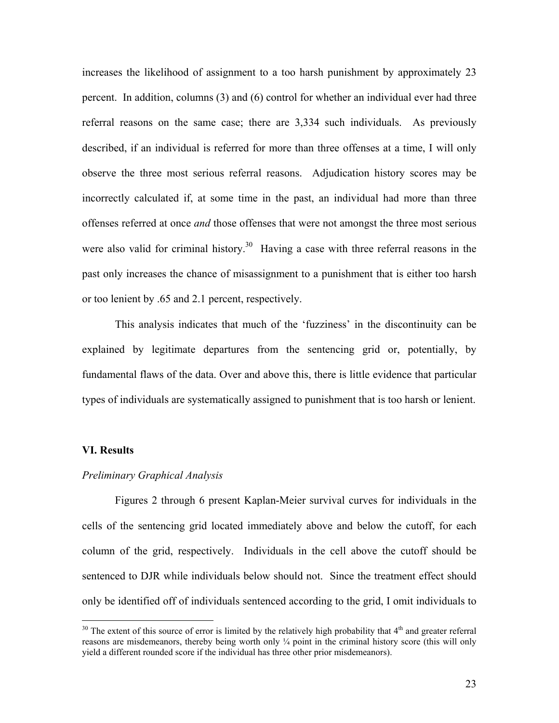increases the likelihood of assignment to a too harsh punishment by approximately 23 percent. In addition, columns (3) and (6) control for whether an individual ever had three referral reasons on the same case; there are 3,334 such individuals. As previously described, if an individual is referred for more than three offenses at a time, I will only observe the three most serious referral reasons. Adjudication history scores may be incorrectly calculated if, at some time in the past, an individual had more than three offenses referred at once *and* those offenses that were not amongst the three most serious were also valid for criminal history.<sup>30</sup> Having a case with three referral reasons in the past only increases the chance of misassignment to a punishment that is either too harsh or too lenient by .65 and 2.1 percent, respectively.

This analysis indicates that much of the 'fuzziness' in the discontinuity can be explained by legitimate departures from the sentencing grid or, potentially, by fundamental flaws of the data. Over and above this, there is little evidence that particular types of individuals are systematically assigned to punishment that is too harsh or lenient.

## **VI. Results**

 $\overline{a}$ 

## *Preliminary Graphical Analysis*

 Figures 2 through 6 present Kaplan-Meier survival curves for individuals in the cells of the sentencing grid located immediately above and below the cutoff, for each column of the grid, respectively. Individuals in the cell above the cutoff should be sentenced to DJR while individuals below should not. Since the treatment effect should only be identified off of individuals sentenced according to the grid, I omit individuals to

 $30$  The extent of this source of error is limited by the relatively high probability that  $4<sup>th</sup>$  and greater referral reasons are misdemeanors, thereby being worth only ¼ point in the criminal history score (this will only yield a different rounded score if the individual has three other prior misdemeanors).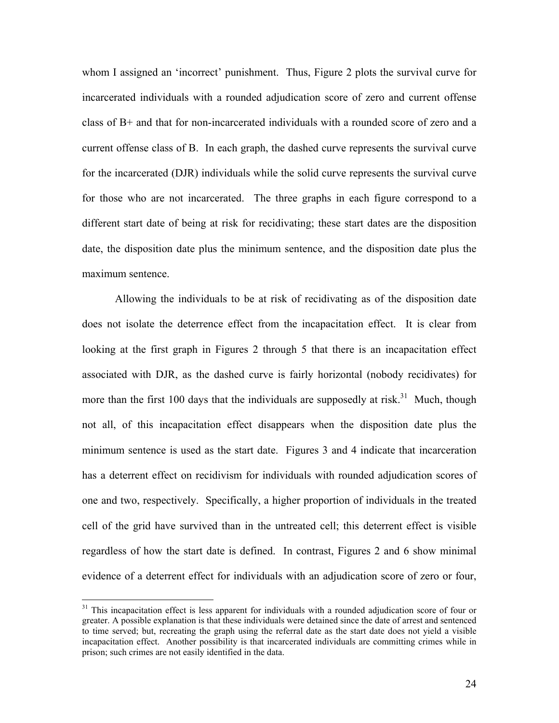whom I assigned an 'incorrect' punishment. Thus, Figure 2 plots the survival curve for incarcerated individuals with a rounded adjudication score of zero and current offense class of B+ and that for non-incarcerated individuals with a rounded score of zero and a current offense class of B. In each graph, the dashed curve represents the survival curve for the incarcerated (DJR) individuals while the solid curve represents the survival curve for those who are not incarcerated. The three graphs in each figure correspond to a different start date of being at risk for recidivating; these start dates are the disposition date, the disposition date plus the minimum sentence, and the disposition date plus the maximum sentence.

 Allowing the individuals to be at risk of recidivating as of the disposition date does not isolate the deterrence effect from the incapacitation effect. It is clear from looking at the first graph in Figures 2 through 5 that there is an incapacitation effect associated with DJR, as the dashed curve is fairly horizontal (nobody recidivates) for more than the first 100 days that the individuals are supposedly at risk.<sup>31</sup> Much, though not all, of this incapacitation effect disappears when the disposition date plus the minimum sentence is used as the start date. Figures 3 and 4 indicate that incarceration has a deterrent effect on recidivism for individuals with rounded adjudication scores of one and two, respectively. Specifically, a higher proportion of individuals in the treated cell of the grid have survived than in the untreated cell; this deterrent effect is visible regardless of how the start date is defined. In contrast, Figures 2 and 6 show minimal evidence of a deterrent effect for individuals with an adjudication score of zero or four,

<sup>&</sup>lt;sup>31</sup> This incapacitation effect is less apparent for individuals with a rounded adjudication score of four or greater. A possible explanation is that these individuals were detained since the date of arrest and sentenced to time served; but, recreating the graph using the referral date as the start date does not yield a visible incapacitation effect. Another possibility is that incarcerated individuals are committing crimes while in prison; such crimes are not easily identified in the data.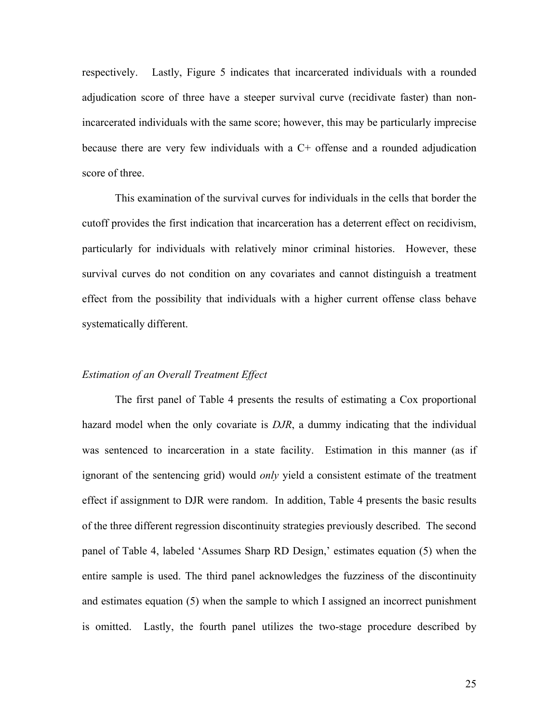respectively. Lastly, Figure 5 indicates that incarcerated individuals with a rounded adjudication score of three have a steeper survival curve (recidivate faster) than nonincarcerated individuals with the same score; however, this may be particularly imprecise because there are very few individuals with a C+ offense and a rounded adjudication score of three.

 This examination of the survival curves for individuals in the cells that border the cutoff provides the first indication that incarceration has a deterrent effect on recidivism, particularly for individuals with relatively minor criminal histories. However, these survival curves do not condition on any covariates and cannot distinguish a treatment effect from the possibility that individuals with a higher current offense class behave systematically different.

## *Estimation of an Overall Treatment Effect*

 The first panel of Table 4 presents the results of estimating a Cox proportional hazard model when the only covariate is *DJR*, a dummy indicating that the individual was sentenced to incarceration in a state facility. Estimation in this manner (as if ignorant of the sentencing grid) would *only* yield a consistent estimate of the treatment effect if assignment to DJR were random. In addition, Table 4 presents the basic results of the three different regression discontinuity strategies previously described. The second panel of Table 4, labeled 'Assumes Sharp RD Design,' estimates equation (5) when the entire sample is used. The third panel acknowledges the fuzziness of the discontinuity and estimates equation (5) when the sample to which I assigned an incorrect punishment is omitted. Lastly, the fourth panel utilizes the two-stage procedure described by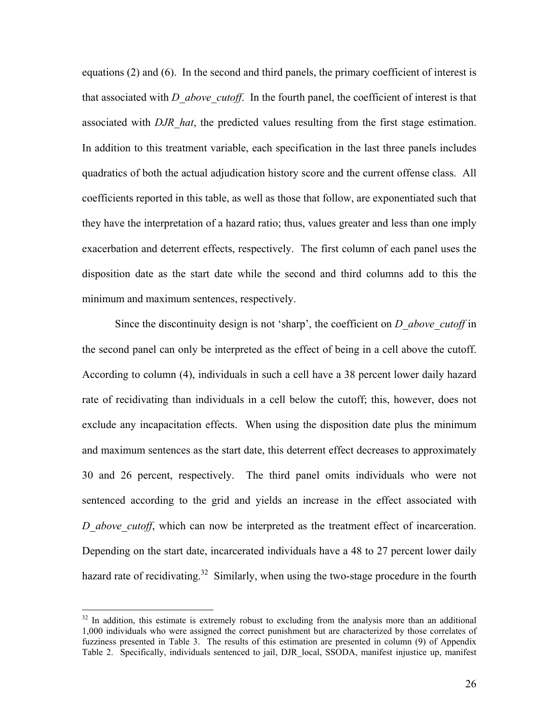equations (2) and (6). In the second and third panels, the primary coefficient of interest is that associated with *D\_above\_cutoff*. In the fourth panel, the coefficient of interest is that associated with *DJR\_hat*, the predicted values resulting from the first stage estimation. In addition to this treatment variable, each specification in the last three panels includes quadratics of both the actual adjudication history score and the current offense class. All coefficients reported in this table, as well as those that follow, are exponentiated such that they have the interpretation of a hazard ratio; thus, values greater and less than one imply exacerbation and deterrent effects, respectively. The first column of each panel uses the disposition date as the start date while the second and third columns add to this the minimum and maximum sentences, respectively.

 Since the discontinuity design is not 'sharp', the coefficient on *D\_above\_cutoff* in the second panel can only be interpreted as the effect of being in a cell above the cutoff. According to column (4), individuals in such a cell have a 38 percent lower daily hazard rate of recidivating than individuals in a cell below the cutoff; this, however, does not exclude any incapacitation effects. When using the disposition date plus the minimum and maximum sentences as the start date, this deterrent effect decreases to approximately 30 and 26 percent, respectively. The third panel omits individuals who were not sentenced according to the grid and yields an increase in the effect associated with *D* above cutoff, which can now be interpreted as the treatment effect of incarceration. Depending on the start date, incarcerated individuals have a 48 to 27 percent lower daily hazard rate of recidivating.<sup>32</sup> Similarly, when using the two-stage procedure in the fourth

 $32$  In addition, this estimate is extremely robust to excluding from the analysis more than an additional 1,000 individuals who were assigned the correct punishment but are characterized by those correlates of fuzziness presented in Table 3. The results of this estimation are presented in column (9) of Appendix Table 2. Specifically, individuals sentenced to jail, DJR\_local, SSODA, manifest injustice up, manifest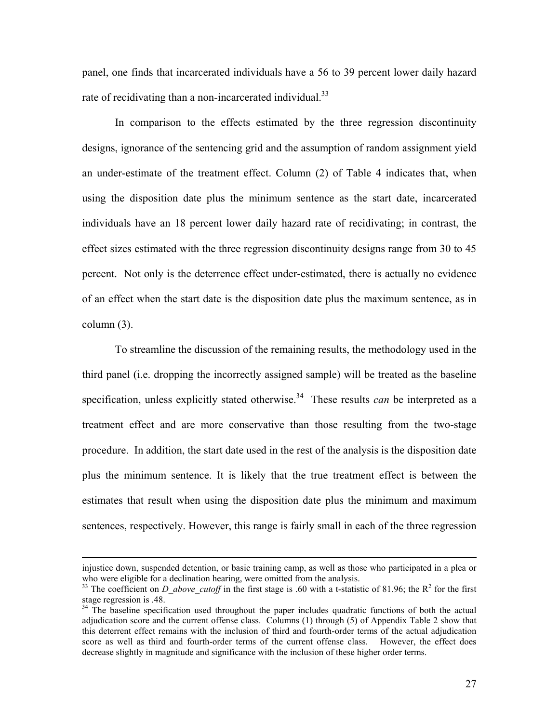panel, one finds that incarcerated individuals have a 56 to 39 percent lower daily hazard rate of recidivating than a non-incarcerated individual.<sup>33</sup>

 In comparison to the effects estimated by the three regression discontinuity designs, ignorance of the sentencing grid and the assumption of random assignment yield an under-estimate of the treatment effect. Column (2) of Table 4 indicates that, when using the disposition date plus the minimum sentence as the start date, incarcerated individuals have an 18 percent lower daily hazard rate of recidivating; in contrast, the effect sizes estimated with the three regression discontinuity designs range from 30 to 45 percent. Not only is the deterrence effect under-estimated, there is actually no evidence of an effect when the start date is the disposition date plus the maximum sentence, as in column (3).

 To streamline the discussion of the remaining results, the methodology used in the third panel (i.e. dropping the incorrectly assigned sample) will be treated as the baseline specification, unless explicitly stated otherwise.<sup>34</sup> These results *can* be interpreted as a treatment effect and are more conservative than those resulting from the two-stage procedure. In addition, the start date used in the rest of the analysis is the disposition date plus the minimum sentence. It is likely that the true treatment effect is between the estimates that result when using the disposition date plus the minimum and maximum sentences, respectively. However, this range is fairly small in each of the three regression

injustice down, suspended detention, or basic training camp, as well as those who participated in a plea or who were eligible for a declination hearing, were omitted from the analysis.

<sup>&</sup>lt;sup>33</sup> The coefficient on *D\_above\_cutoff* in the first stage is .60 with a t-statistic of 81.96; the  $R^2$  for the first stage regression is .48.

<sup>&</sup>lt;sup>34</sup> The baseline specification used throughout the paper includes quadratic functions of both the actual adjudication score and the current offense class. Columns (1) through (5) of Appendix Table 2 show that this deterrent effect remains with the inclusion of third and fourth-order terms of the actual adjudication score as well as third and fourth-order terms of the current offense class. However, the effect does decrease slightly in magnitude and significance with the inclusion of these higher order terms.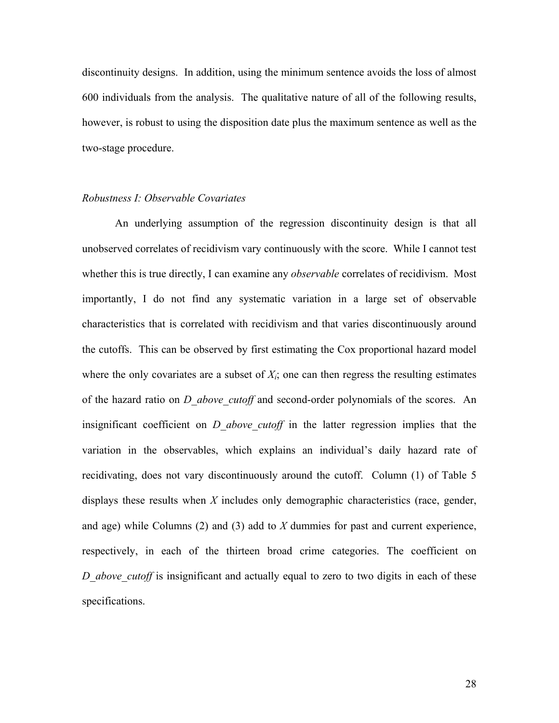discontinuity designs. In addition, using the minimum sentence avoids the loss of almost 600 individuals from the analysis. The qualitative nature of all of the following results, however, is robust to using the disposition date plus the maximum sentence as well as the two-stage procedure.

## *Robustness I: Observable Covariates*

An underlying assumption of the regression discontinuity design is that all unobserved correlates of recidivism vary continuously with the score. While I cannot test whether this is true directly, I can examine any *observable* correlates of recidivism. Most importantly, I do not find any systematic variation in a large set of observable characteristics that is correlated with recidivism and that varies discontinuously around the cutoffs. This can be observed by first estimating the Cox proportional hazard model where the only covariates are a subset of  $X_i$ ; one can then regress the resulting estimates of the hazard ratio on *D\_above\_cutoff* and second-order polynomials of the scores. An insignificant coefficient on *D\_above\_cutoff* in the latter regression implies that the variation in the observables, which explains an individual's daily hazard rate of recidivating, does not vary discontinuously around the cutoff. Column (1) of Table 5 displays these results when *X* includes only demographic characteristics (race, gender, and age) while Columns (2) and (3) add to *X* dummies for past and current experience, respectively, in each of the thirteen broad crime categories. The coefficient on *D* above cutoff is insignificant and actually equal to zero to two digits in each of these specifications.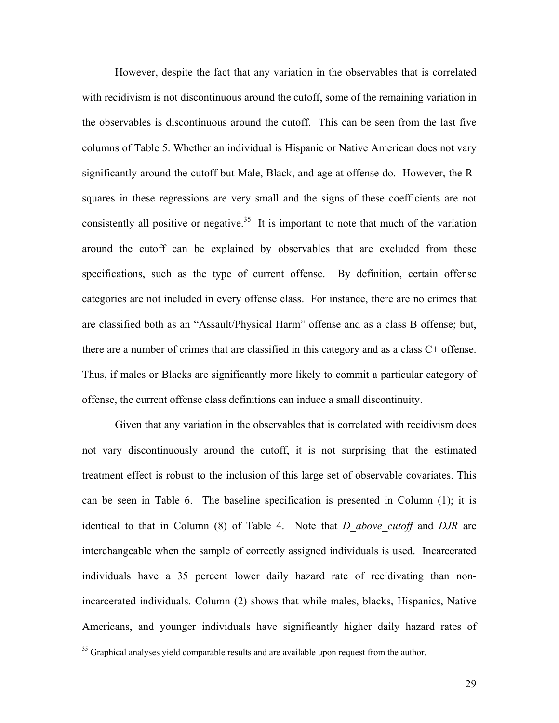However, despite the fact that any variation in the observables that is correlated with recidivism is not discontinuous around the cutoff, some of the remaining variation in the observables is discontinuous around the cutoff. This can be seen from the last five columns of Table 5. Whether an individual is Hispanic or Native American does not vary significantly around the cutoff but Male, Black, and age at offense do. However, the Rsquares in these regressions are very small and the signs of these coefficients are not consistently all positive or negative.<sup>35</sup> It is important to note that much of the variation around the cutoff can be explained by observables that are excluded from these specifications, such as the type of current offense. By definition, certain offense categories are not included in every offense class. For instance, there are no crimes that are classified both as an "Assault/Physical Harm" offense and as a class B offense; but, there are a number of crimes that are classified in this category and as a class C+ offense. Thus, if males or Blacks are significantly more likely to commit a particular category of offense, the current offense class definitions can induce a small discontinuity.

Given that any variation in the observables that is correlated with recidivism does not vary discontinuously around the cutoff, it is not surprising that the estimated treatment effect is robust to the inclusion of this large set of observable covariates. This can be seen in Table 6. The baseline specification is presented in Column (1); it is identical to that in Column (8) of Table 4. Note that *D\_above\_cutoff* and *DJR* are interchangeable when the sample of correctly assigned individuals is used. Incarcerated individuals have a 35 percent lower daily hazard rate of recidivating than nonincarcerated individuals. Column (2) shows that while males, blacks, Hispanics, Native Americans, and younger individuals have significantly higher daily hazard rates of

<sup>&</sup>lt;sup>35</sup> Graphical analyses yield comparable results and are available upon request from the author.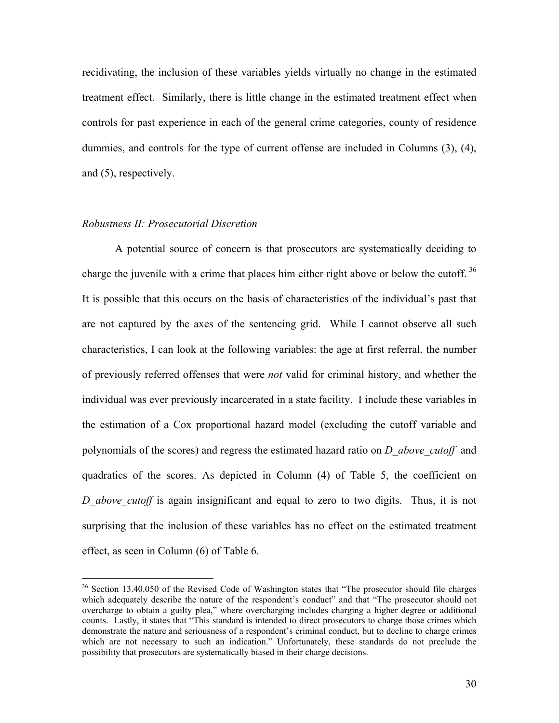recidivating, the inclusion of these variables yields virtually no change in the estimated treatment effect. Similarly, there is little change in the estimated treatment effect when controls for past experience in each of the general crime categories, county of residence dummies, and controls for the type of current offense are included in Columns (3), (4), and (5), respectively.

## *Robustness II: Prosecutorial Discretion*

<u>.</u>

A potential source of concern is that prosecutors are systematically deciding to charge the juvenile with a crime that places him either right above or below the cutoff.<sup>36</sup> It is possible that this occurs on the basis of characteristics of the individual's past that are not captured by the axes of the sentencing grid. While I cannot observe all such characteristics, I can look at the following variables: the age at first referral, the number of previously referred offenses that were *not* valid for criminal history, and whether the individual was ever previously incarcerated in a state facility. I include these variables in the estimation of a Cox proportional hazard model (excluding the cutoff variable and polynomials of the scores) and regress the estimated hazard ratio on *D\_above\_cutoff* and quadratics of the scores. As depicted in Column (4) of Table 5, the coefficient on *D* above cutoff is again insignificant and equal to zero to two digits. Thus, it is not surprising that the inclusion of these variables has no effect on the estimated treatment effect, as seen in Column (6) of Table 6.

<sup>&</sup>lt;sup>36</sup> Section 13.40.050 of the Revised Code of Washington states that "The prosecutor should file charges which adequately describe the nature of the respondent's conduct" and that "The prosecutor should not overcharge to obtain a guilty plea," where overcharging includes charging a higher degree or additional counts. Lastly, it states that "This standard is intended to direct prosecutors to charge those crimes which demonstrate the nature and seriousness of a respondent's criminal conduct, but to decline to charge crimes which are not necessary to such an indication." Unfortunately, these standards do not preclude the possibility that prosecutors are systematically biased in their charge decisions.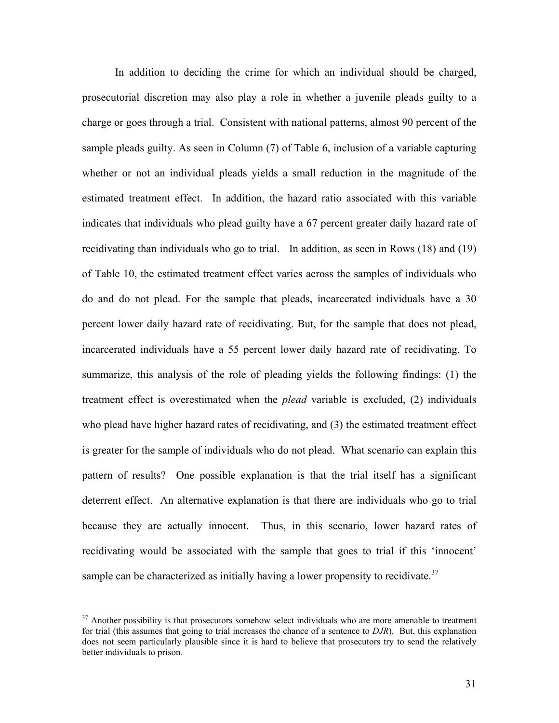In addition to deciding the crime for which an individual should be charged, prosecutorial discretion may also play a role in whether a juvenile pleads guilty to a charge or goes through a trial. Consistent with national patterns, almost 90 percent of the sample pleads guilty. As seen in Column (7) of Table 6, inclusion of a variable capturing whether or not an individual pleads yields a small reduction in the magnitude of the estimated treatment effect. In addition, the hazard ratio associated with this variable indicates that individuals who plead guilty have a 67 percent greater daily hazard rate of recidivating than individuals who go to trial. In addition, as seen in Rows (18) and (19) of Table 10, the estimated treatment effect varies across the samples of individuals who do and do not plead. For the sample that pleads, incarcerated individuals have a 30 percent lower daily hazard rate of recidivating. But, for the sample that does not plead, incarcerated individuals have a 55 percent lower daily hazard rate of recidivating. To summarize, this analysis of the role of pleading yields the following findings: (1) the treatment effect is overestimated when the *plead* variable is excluded, (2) individuals who plead have higher hazard rates of recidivating, and (3) the estimated treatment effect is greater for the sample of individuals who do not plead. What scenario can explain this pattern of results? One possible explanation is that the trial itself has a significant deterrent effect. An alternative explanation is that there are individuals who go to trial because they are actually innocent. Thus, in this scenario, lower hazard rates of recidivating would be associated with the sample that goes to trial if this 'innocent' sample can be characterized as initially having a lower propensity to recidivate.<sup>37</sup>

 $37$  Another possibility is that prosecutors somehow select individuals who are more amenable to treatment for trial (this assumes that going to trial increases the chance of a sentence to *DJR*). But, this explanation does not seem particularly plausible since it is hard to believe that prosecutors try to send the relatively better individuals to prison.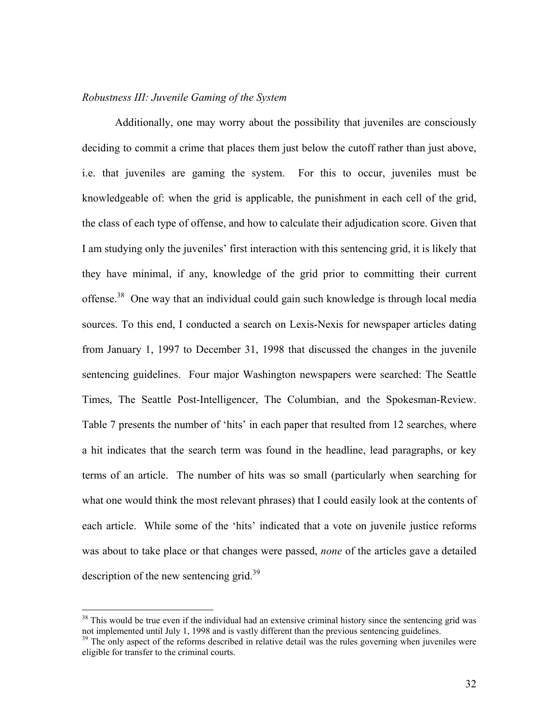# *Robustness III: Juvenile Gaming of the System*

 Additionally, one may worry about the possibility that juveniles are consciously deciding to commit a crime that places them just below the cutoff rather than just above, i.e. that juveniles are gaming the system. For this to occur, juveniles must be knowledgeable of: when the grid is applicable, the punishment in each cell of the grid, the class of each type of offense, and how to calculate their adjudication score. Given that I am studying only the juveniles' first interaction with this sentencing grid, it is likely that they have minimal, if any, knowledge of the grid prior to committing their current offense.38 One way that an individual could gain such knowledge is through local media sources. To this end, I conducted a search on Lexis-Nexis for newspaper articles dating from January 1, 1997 to December 31, 1998 that discussed the changes in the juvenile sentencing guidelines. Four major Washington newspapers were searched: The Seattle Times, The Seattle Post-Intelligencer, The Columbian, and the Spokesman-Review. Table 7 presents the number of 'hits' in each paper that resulted from 12 searches, where a hit indicates that the search term was found in the headline, lead paragraphs, or key terms of an article. The number of hits was so small (particularly when searching for what one would think the most relevant phrases) that I could easily look at the contents of each article. While some of the 'hits' indicated that a vote on juvenile justice reforms was about to take place or that changes were passed, *none* of the articles gave a detailed description of the new sentencing grid.<sup>39</sup>

 $38$  This would be true even if the individual had an extensive criminal history since the sentencing grid was not implemented until July 1, 1998 and is vastly different than the previous sentencing guidelines.

 $39$  The only aspect of the reforms described in relative detail was the rules governing when juveniles were eligible for transfer to the criminal courts.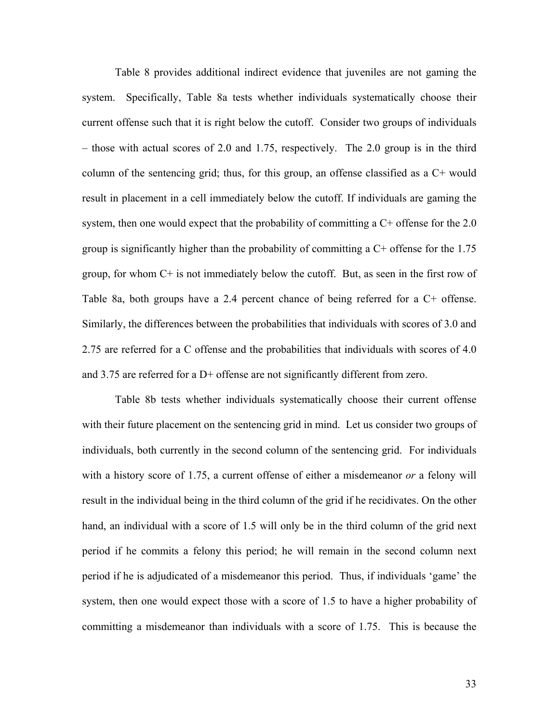Table 8 provides additional indirect evidence that juveniles are not gaming the system. Specifically, Table 8a tests whether individuals systematically choose their current offense such that it is right below the cutoff. Consider two groups of individuals – those with actual scores of 2.0 and 1.75, respectively. The 2.0 group is in the third column of the sentencing grid; thus, for this group, an offense classified as a C+ would result in placement in a cell immediately below the cutoff. If individuals are gaming the system, then one would expect that the probability of committing a C+ offense for the 2.0 group is significantly higher than the probability of committing a C+ offense for the 1.75 group, for whom C+ is not immediately below the cutoff. But, as seen in the first row of Table 8a, both groups have a 2.4 percent chance of being referred for a C+ offense. Similarly, the differences between the probabilities that individuals with scores of 3.0 and 2.75 are referred for a C offense and the probabilities that individuals with scores of 4.0 and 3.75 are referred for a D+ offense are not significantly different from zero.

 Table 8b tests whether individuals systematically choose their current offense with their future placement on the sentencing grid in mind. Let us consider two groups of individuals, both currently in the second column of the sentencing grid. For individuals with a history score of 1.75, a current offense of either a misdemeanor *or* a felony will result in the individual being in the third column of the grid if he recidivates. On the other hand, an individual with a score of 1.5 will only be in the third column of the grid next period if he commits a felony this period; he will remain in the second column next period if he is adjudicated of a misdemeanor this period. Thus, if individuals 'game' the system, then one would expect those with a score of 1.5 to have a higher probability of committing a misdemeanor than individuals with a score of 1.75. This is because the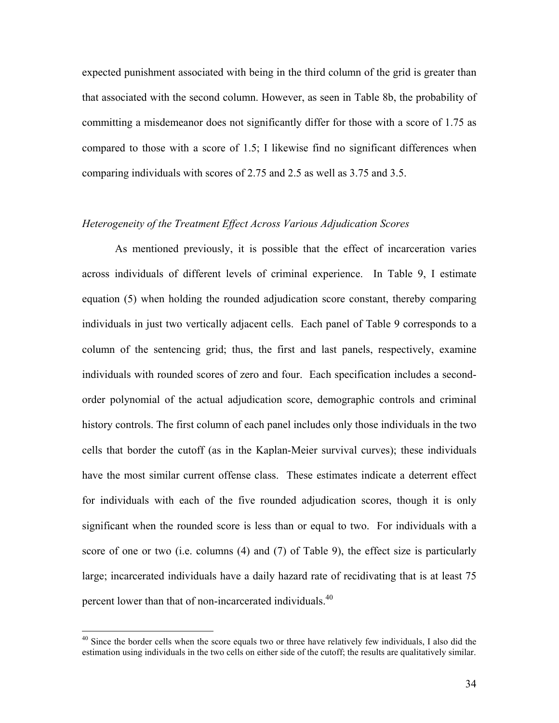expected punishment associated with being in the third column of the grid is greater than that associated with the second column. However, as seen in Table 8b, the probability of committing a misdemeanor does not significantly differ for those with a score of 1.75 as compared to those with a score of 1.5; I likewise find no significant differences when comparing individuals with scores of 2.75 and 2.5 as well as 3.75 and 3.5.

# *Heterogeneity of the Treatment Effect Across Various Adjudication Scores*

 As mentioned previously, it is possible that the effect of incarceration varies across individuals of different levels of criminal experience. In Table 9, I estimate equation (5) when holding the rounded adjudication score constant, thereby comparing individuals in just two vertically adjacent cells. Each panel of Table 9 corresponds to a column of the sentencing grid; thus, the first and last panels, respectively, examine individuals with rounded scores of zero and four. Each specification includes a secondorder polynomial of the actual adjudication score, demographic controls and criminal history controls. The first column of each panel includes only those individuals in the two cells that border the cutoff (as in the Kaplan-Meier survival curves); these individuals have the most similar current offense class. These estimates indicate a deterrent effect for individuals with each of the five rounded adjudication scores, though it is only significant when the rounded score is less than or equal to two. For individuals with a score of one or two (i.e. columns  $(4)$  and  $(7)$  of Table 9), the effect size is particularly large; incarcerated individuals have a daily hazard rate of recidivating that is at least 75 percent lower than that of non-incarcerated individuals.40

<sup>&</sup>lt;sup>40</sup> Since the border cells when the score equals two or three have relatively few individuals, I also did the estimation using individuals in the two cells on either side of the cutoff; the results are qualitatively similar.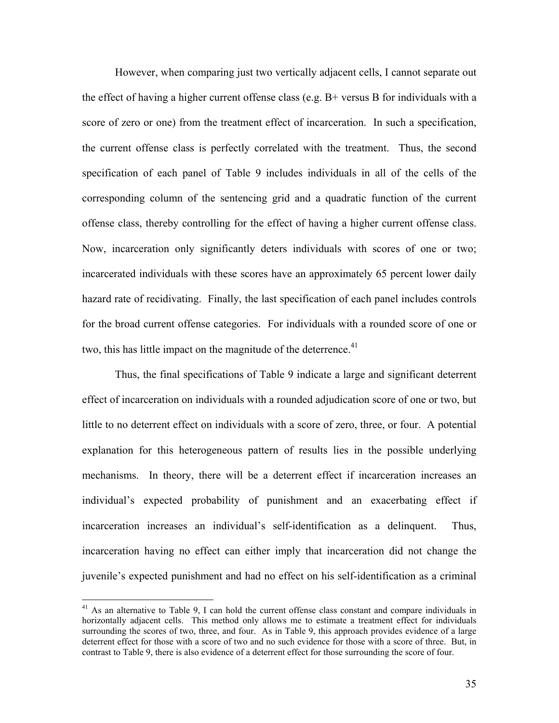However, when comparing just two vertically adjacent cells, I cannot separate out the effect of having a higher current offense class (e.g.  $B+$  versus B for individuals with a score of zero or one) from the treatment effect of incarceration. In such a specification, the current offense class is perfectly correlated with the treatment. Thus, the second specification of each panel of Table 9 includes individuals in all of the cells of the corresponding column of the sentencing grid and a quadratic function of the current offense class, thereby controlling for the effect of having a higher current offense class. Now, incarceration only significantly deters individuals with scores of one or two; incarcerated individuals with these scores have an approximately 65 percent lower daily hazard rate of recidivating. Finally, the last specification of each panel includes controls for the broad current offense categories. For individuals with a rounded score of one or two, this has little impact on the magnitude of the deterrence.<sup>41</sup>

Thus, the final specifications of Table 9 indicate a large and significant deterrent effect of incarceration on individuals with a rounded adjudication score of one or two, but little to no deterrent effect on individuals with a score of zero, three, or four. A potential explanation for this heterogeneous pattern of results lies in the possible underlying mechanisms. In theory, there will be a deterrent effect if incarceration increases an individual's expected probability of punishment and an exacerbating effect if incarceration increases an individual's self-identification as a delinquent. Thus, incarceration having no effect can either imply that incarceration did not change the juvenile's expected punishment and had no effect on his self-identification as a criminal

<sup>&</sup>lt;sup>41</sup> As an alternative to Table 9, I can hold the current offense class constant and compare individuals in horizontally adjacent cells. This method only allows me to estimate a treatment effect for individuals surrounding the scores of two, three, and four. As in Table 9, this approach provides evidence of a large deterrent effect for those with a score of two and no such evidence for those with a score of three. But, in contrast to Table 9, there is also evidence of a deterrent effect for those surrounding the score of four.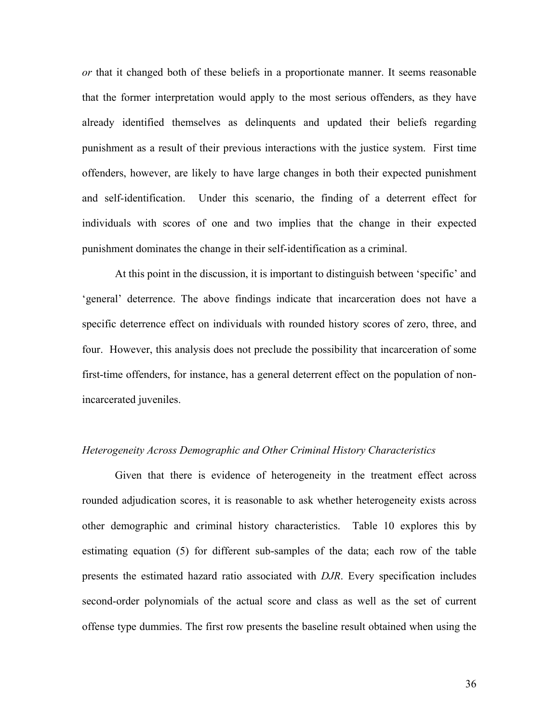*or* that it changed both of these beliefs in a proportionate manner. It seems reasonable that the former interpretation would apply to the most serious offenders, as they have already identified themselves as delinquents and updated their beliefs regarding punishment as a result of their previous interactions with the justice system. First time offenders, however, are likely to have large changes in both their expected punishment and self-identification. Under this scenario, the finding of a deterrent effect for individuals with scores of one and two implies that the change in their expected punishment dominates the change in their self-identification as a criminal.

At this point in the discussion, it is important to distinguish between 'specific' and 'general' deterrence. The above findings indicate that incarceration does not have a specific deterrence effect on individuals with rounded history scores of zero, three, and four. However, this analysis does not preclude the possibility that incarceration of some first-time offenders, for instance, has a general deterrent effect on the population of nonincarcerated juveniles.

## *Heterogeneity Across Demographic and Other Criminal History Characteristics*

 Given that there is evidence of heterogeneity in the treatment effect across rounded adjudication scores, it is reasonable to ask whether heterogeneity exists across other demographic and criminal history characteristics. Table 10 explores this by estimating equation (5) for different sub-samples of the data; each row of the table presents the estimated hazard ratio associated with *DJR*. Every specification includes second-order polynomials of the actual score and class as well as the set of current offense type dummies. The first row presents the baseline result obtained when using the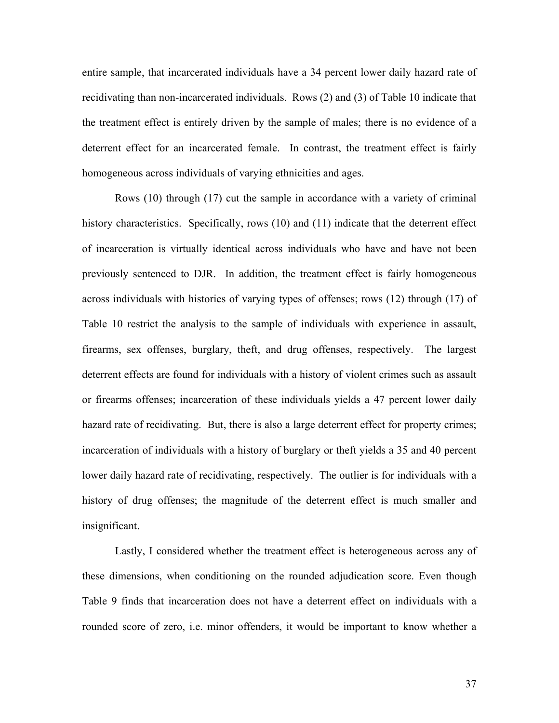entire sample, that incarcerated individuals have a 34 percent lower daily hazard rate of recidivating than non-incarcerated individuals. Rows (2) and (3) of Table 10 indicate that the treatment effect is entirely driven by the sample of males; there is no evidence of a deterrent effect for an incarcerated female. In contrast, the treatment effect is fairly homogeneous across individuals of varying ethnicities and ages.

 Rows (10) through (17) cut the sample in accordance with a variety of criminal history characteristics. Specifically, rows (10) and (11) indicate that the deterrent effect of incarceration is virtually identical across individuals who have and have not been previously sentenced to DJR. In addition, the treatment effect is fairly homogeneous across individuals with histories of varying types of offenses; rows (12) through (17) of Table 10 restrict the analysis to the sample of individuals with experience in assault, firearms, sex offenses, burglary, theft, and drug offenses, respectively. The largest deterrent effects are found for individuals with a history of violent crimes such as assault or firearms offenses; incarceration of these individuals yields a 47 percent lower daily hazard rate of recidivating. But, there is also a large deterrent effect for property crimes; incarceration of individuals with a history of burglary or theft yields a 35 and 40 percent lower daily hazard rate of recidivating, respectively. The outlier is for individuals with a history of drug offenses; the magnitude of the deterrent effect is much smaller and insignificant.

 Lastly, I considered whether the treatment effect is heterogeneous across any of these dimensions, when conditioning on the rounded adjudication score. Even though Table 9 finds that incarceration does not have a deterrent effect on individuals with a rounded score of zero, i.e. minor offenders, it would be important to know whether a

37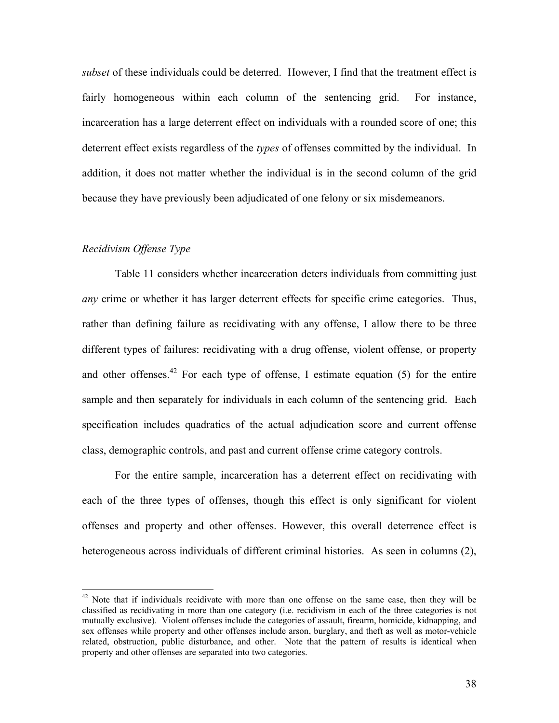*subset* of these individuals could be deterred. However, I find that the treatment effect is fairly homogeneous within each column of the sentencing grid. For instance, incarceration has a large deterrent effect on individuals with a rounded score of one; this deterrent effect exists regardless of the *types* of offenses committed by the individual. In addition, it does not matter whether the individual is in the second column of the grid because they have previously been adjudicated of one felony or six misdemeanors.

### *Recidivism Offense Type*

1

 Table 11 considers whether incarceration deters individuals from committing just *any* crime or whether it has larger deterrent effects for specific crime categories. Thus, rather than defining failure as recidivating with any offense, I allow there to be three different types of failures: recidivating with a drug offense, violent offense, or property and other offenses.<sup>42</sup> For each type of offense, I estimate equation (5) for the entire sample and then separately for individuals in each column of the sentencing grid. Each specification includes quadratics of the actual adjudication score and current offense class, demographic controls, and past and current offense crime category controls.

 For the entire sample, incarceration has a deterrent effect on recidivating with each of the three types of offenses, though this effect is only significant for violent offenses and property and other offenses. However, this overall deterrence effect is heterogeneous across individuals of different criminal histories. As seen in columns (2),

<sup>&</sup>lt;sup>42</sup> Note that if individuals recidivate with more than one offense on the same case, then they will be classified as recidivating in more than one category (i.e. recidivism in each of the three categories is not mutually exclusive). Violent offenses include the categories of assault, firearm, homicide, kidnapping, and sex offenses while property and other offenses include arson, burglary, and theft as well as motor-vehicle related, obstruction, public disturbance, and other. Note that the pattern of results is identical when property and other offenses are separated into two categories.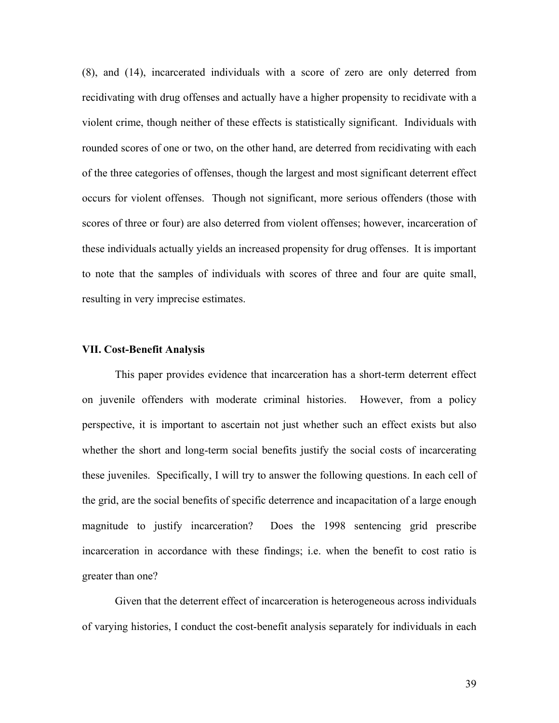(8), and (14), incarcerated individuals with a score of zero are only deterred from recidivating with drug offenses and actually have a higher propensity to recidivate with a violent crime, though neither of these effects is statistically significant. Individuals with rounded scores of one or two, on the other hand, are deterred from recidivating with each of the three categories of offenses, though the largest and most significant deterrent effect occurs for violent offenses. Though not significant, more serious offenders (those with scores of three or four) are also deterred from violent offenses; however, incarceration of these individuals actually yields an increased propensity for drug offenses. It is important to note that the samples of individuals with scores of three and four are quite small, resulting in very imprecise estimates.

#### **VII. Cost-Benefit Analysis**

 This paper provides evidence that incarceration has a short-term deterrent effect on juvenile offenders with moderate criminal histories. However, from a policy perspective, it is important to ascertain not just whether such an effect exists but also whether the short and long-term social benefits justify the social costs of incarcerating these juveniles. Specifically, I will try to answer the following questions. In each cell of the grid, are the social benefits of specific deterrence and incapacitation of a large enough magnitude to justify incarceration? Does the 1998 sentencing grid prescribe incarceration in accordance with these findings; i.e. when the benefit to cost ratio is greater than one?

Given that the deterrent effect of incarceration is heterogeneous across individuals of varying histories, I conduct the cost-benefit analysis separately for individuals in each

39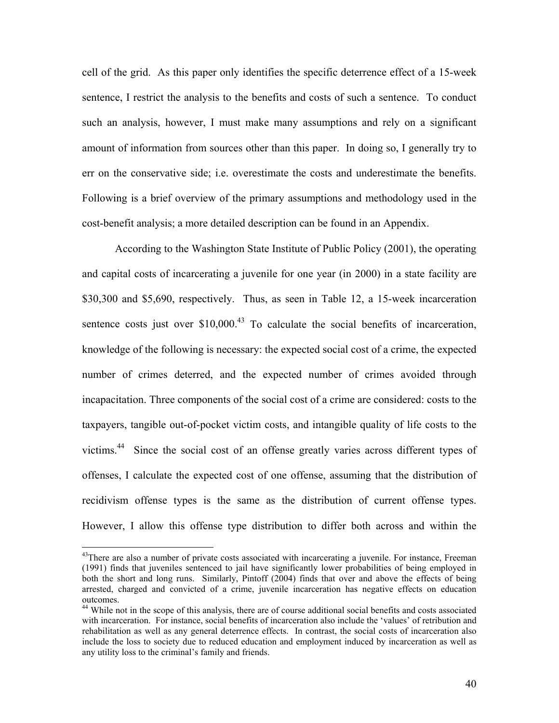cell of the grid. As this paper only identifies the specific deterrence effect of a 15-week sentence, I restrict the analysis to the benefits and costs of such a sentence. To conduct such an analysis, however, I must make many assumptions and rely on a significant amount of information from sources other than this paper. In doing so, I generally try to err on the conservative side; i.e. overestimate the costs and underestimate the benefits. Following is a brief overview of the primary assumptions and methodology used in the cost-benefit analysis; a more detailed description can be found in an Appendix.

According to the Washington State Institute of Public Policy (2001), the operating and capital costs of incarcerating a juvenile for one year (in 2000) in a state facility are \$30,300 and \$5,690, respectively. Thus, as seen in Table 12, a 15-week incarceration sentence costs just over  $$10,000<sup>43</sup>$  To calculate the social benefits of incarceration, knowledge of the following is necessary: the expected social cost of a crime, the expected number of crimes deterred, and the expected number of crimes avoided through incapacitation. Three components of the social cost of a crime are considered: costs to the taxpayers, tangible out-of-pocket victim costs, and intangible quality of life costs to the victims.44 Since the social cost of an offense greatly varies across different types of offenses, I calculate the expected cost of one offense, assuming that the distribution of recidivism offense types is the same as the distribution of current offense types. However, I allow this offense type distribution to differ both across and within the

 $\overline{a}$ 

<sup>&</sup>lt;sup>43</sup>There are also a number of private costs associated with incarcerating a juvenile. For instance, Freeman (1991) finds that juveniles sentenced to jail have significantly lower probabilities of being employed in both the short and long runs. Similarly, Pintoff (2004) finds that over and above the effects of being arrested, charged and convicted of a crime, juvenile incarceration has negative effects on education outcomes.

<sup>&</sup>lt;sup>44</sup> While not in the scope of this analysis, there are of course additional social benefits and costs associated with incarceration. For instance, social benefits of incarceration also include the 'values' of retribution and rehabilitation as well as any general deterrence effects. In contrast, the social costs of incarceration also include the loss to society due to reduced education and employment induced by incarceration as well as any utility loss to the criminal's family and friends.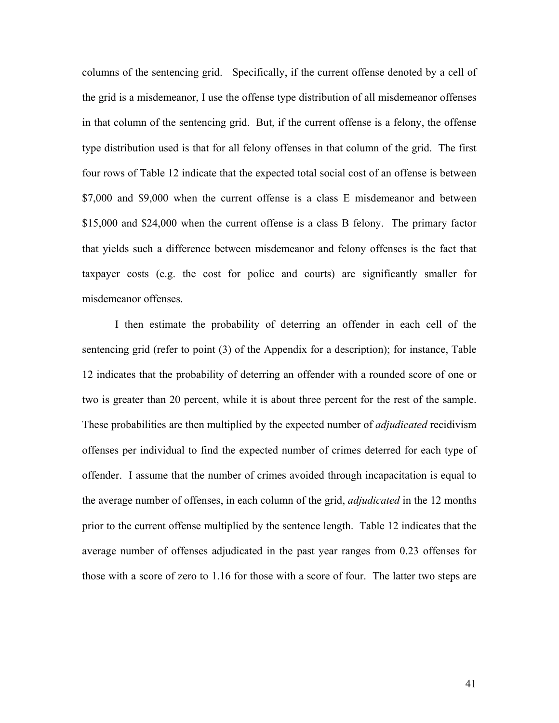columns of the sentencing grid. Specifically, if the current offense denoted by a cell of the grid is a misdemeanor, I use the offense type distribution of all misdemeanor offenses in that column of the sentencing grid. But, if the current offense is a felony, the offense type distribution used is that for all felony offenses in that column of the grid. The first four rows of Table 12 indicate that the expected total social cost of an offense is between \$7,000 and \$9,000 when the current offense is a class E misdemeanor and between \$15,000 and \$24,000 when the current offense is a class B felony. The primary factor that yields such a difference between misdemeanor and felony offenses is the fact that taxpayer costs (e.g. the cost for police and courts) are significantly smaller for misdemeanor offenses.

I then estimate the probability of deterring an offender in each cell of the sentencing grid (refer to point (3) of the Appendix for a description); for instance, Table 12 indicates that the probability of deterring an offender with a rounded score of one or two is greater than 20 percent, while it is about three percent for the rest of the sample. These probabilities are then multiplied by the expected number of *adjudicated* recidivism offenses per individual to find the expected number of crimes deterred for each type of offender. I assume that the number of crimes avoided through incapacitation is equal to the average number of offenses, in each column of the grid, *adjudicated* in the 12 months prior to the current offense multiplied by the sentence length. Table 12 indicates that the average number of offenses adjudicated in the past year ranges from 0.23 offenses for those with a score of zero to 1.16 for those with a score of four. The latter two steps are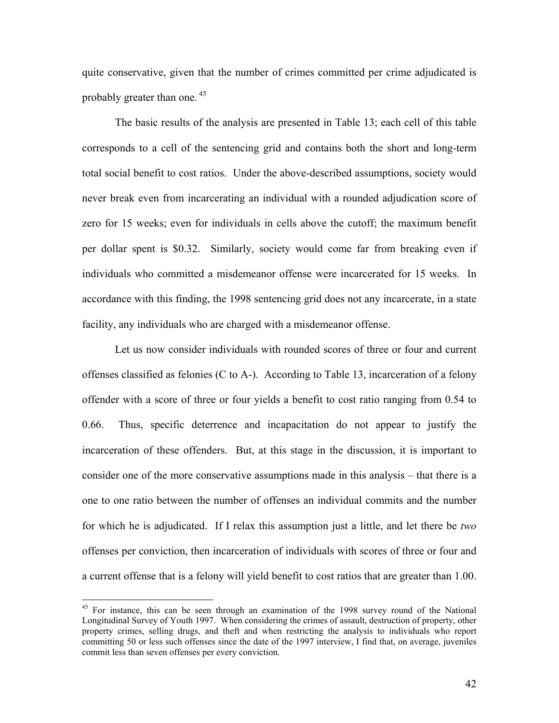quite conservative, given that the number of crimes committed per crime adjudicated is probably greater than one.<sup>45</sup>

The basic results of the analysis are presented in Table 13; each cell of this table corresponds to a cell of the sentencing grid and contains both the short and long-term total social benefit to cost ratios. Under the above-described assumptions, society would never break even from incarcerating an individual with a rounded adjudication score of zero for 15 weeks; even for individuals in cells above the cutoff; the maximum benefit per dollar spent is \$0.32. Similarly, society would come far from breaking even if individuals who committed a misdemeanor offense were incarcerated for 15 weeks. In accordance with this finding, the 1998 sentencing grid does not any incarcerate, in a state facility, any individuals who are charged with a misdemeanor offense.

Let us now consider individuals with rounded scores of three or four and current offenses classified as felonies (C to A-). According to Table 13, incarceration of a felony offender with a score of three or four yields a benefit to cost ratio ranging from 0.54 to 0.66. Thus, specific deterrence and incapacitation do not appear to justify the incarceration of these offenders. But, at this stage in the discussion, it is important to consider one of the more conservative assumptions made in this analysis – that there is a one to one ratio between the number of offenses an individual commits and the number for which he is adjudicated. If I relax this assumption just a little, and let there be *two* offenses per conviction, then incarceration of individuals with scores of three or four and a current offense that is a felony will yield benefit to cost ratios that are greater than 1.00.

1

<sup>&</sup>lt;sup>45</sup> For instance, this can be seen through an examination of the 1998 survey round of the National Longitudinal Survey of Youth 1997. When considering the crimes of assault, destruction of property, other property crimes, selling drugs, and theft and when restricting the analysis to individuals who report committing 50 or less such offenses since the date of the 1997 interview, I find that, on average, juveniles commit less than seven offenses per every conviction.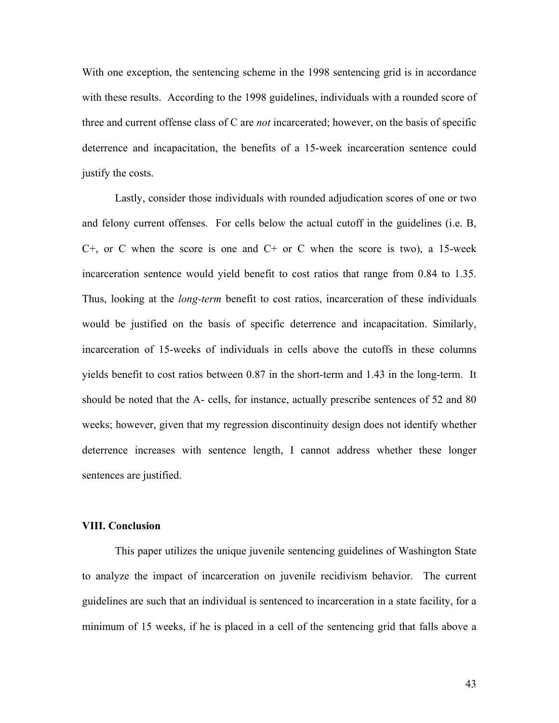With one exception, the sentencing scheme in the 1998 sentencing grid is in accordance with these results. According to the 1998 guidelines, individuals with a rounded score of three and current offense class of C are *not* incarcerated; however, on the basis of specific deterrence and incapacitation, the benefits of a 15-week incarceration sentence could justify the costs.

Lastly, consider those individuals with rounded adjudication scores of one or two and felony current offenses. For cells below the actual cutoff in the guidelines (i.e. B,  $C^+$ , or C when the score is one and  $C^+$  or C when the score is two), a 15-week incarceration sentence would yield benefit to cost ratios that range from 0.84 to 1.35. Thus, looking at the *long-term* benefit to cost ratios, incarceration of these individuals would be justified on the basis of specific deterrence and incapacitation. Similarly, incarceration of 15-weeks of individuals in cells above the cutoffs in these columns yields benefit to cost ratios between 0.87 in the short-term and 1.43 in the long-term. It should be noted that the A- cells, for instance, actually prescribe sentences of 52 and 80 weeks; however, given that my regression discontinuity design does not identify whether deterrence increases with sentence length, I cannot address whether these longer sentences are justified.

### **VIII. Conclusion**

 This paper utilizes the unique juvenile sentencing guidelines of Washington State to analyze the impact of incarceration on juvenile recidivism behavior. The current guidelines are such that an individual is sentenced to incarceration in a state facility, for a minimum of 15 weeks, if he is placed in a cell of the sentencing grid that falls above a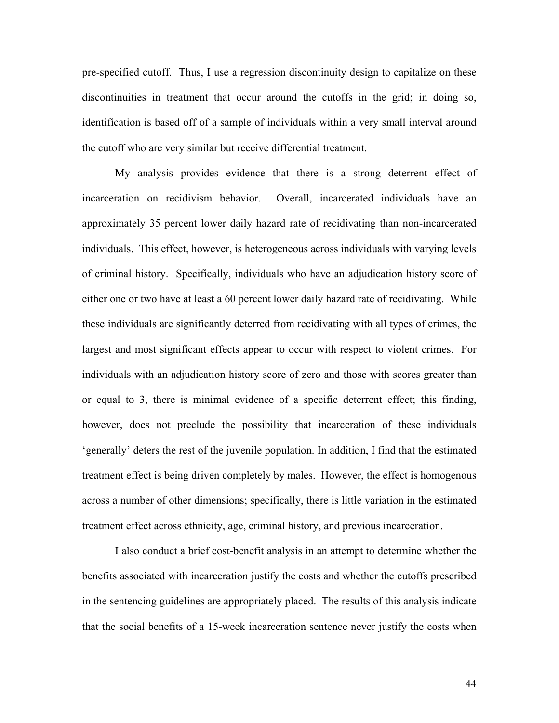pre-specified cutoff. Thus, I use a regression discontinuity design to capitalize on these discontinuities in treatment that occur around the cutoffs in the grid; in doing so, identification is based off of a sample of individuals within a very small interval around the cutoff who are very similar but receive differential treatment.

 My analysis provides evidence that there is a strong deterrent effect of incarceration on recidivism behavior. Overall, incarcerated individuals have an approximately 35 percent lower daily hazard rate of recidivating than non-incarcerated individuals. This effect, however, is heterogeneous across individuals with varying levels of criminal history. Specifically, individuals who have an adjudication history score of either one or two have at least a 60 percent lower daily hazard rate of recidivating. While these individuals are significantly deterred from recidivating with all types of crimes, the largest and most significant effects appear to occur with respect to violent crimes. For individuals with an adjudication history score of zero and those with scores greater than or equal to 3, there is minimal evidence of a specific deterrent effect; this finding, however, does not preclude the possibility that incarceration of these individuals 'generally' deters the rest of the juvenile population. In addition, I find that the estimated treatment effect is being driven completely by males. However, the effect is homogenous across a number of other dimensions; specifically, there is little variation in the estimated treatment effect across ethnicity, age, criminal history, and previous incarceration.

 I also conduct a brief cost-benefit analysis in an attempt to determine whether the benefits associated with incarceration justify the costs and whether the cutoffs prescribed in the sentencing guidelines are appropriately placed. The results of this analysis indicate that the social benefits of a 15-week incarceration sentence never justify the costs when

44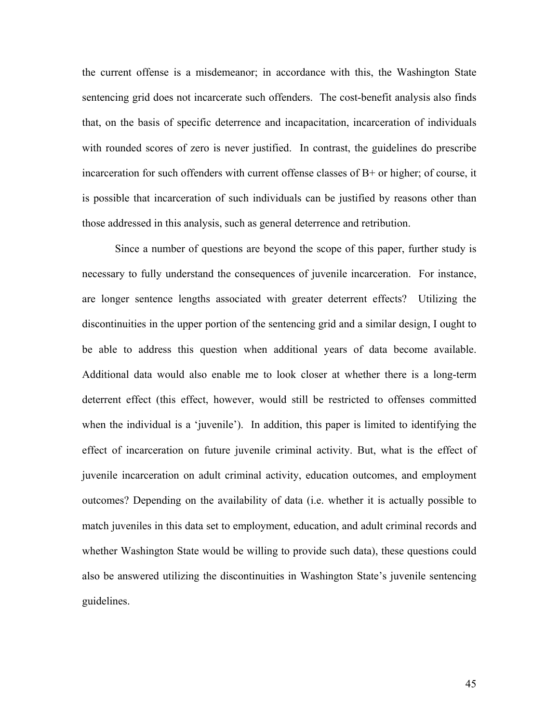the current offense is a misdemeanor; in accordance with this, the Washington State sentencing grid does not incarcerate such offenders. The cost-benefit analysis also finds that, on the basis of specific deterrence and incapacitation, incarceration of individuals with rounded scores of zero is never justified. In contrast, the guidelines do prescribe incarceration for such offenders with current offense classes of  $B<sup>+</sup>$  or higher; of course, it is possible that incarceration of such individuals can be justified by reasons other than those addressed in this analysis, such as general deterrence and retribution.

Since a number of questions are beyond the scope of this paper, further study is necessary to fully understand the consequences of juvenile incarceration. For instance, are longer sentence lengths associated with greater deterrent effects? Utilizing the discontinuities in the upper portion of the sentencing grid and a similar design, I ought to be able to address this question when additional years of data become available. Additional data would also enable me to look closer at whether there is a long-term deterrent effect (this effect, however, would still be restricted to offenses committed when the individual is a 'juvenile'). In addition, this paper is limited to identifying the effect of incarceration on future juvenile criminal activity. But, what is the effect of juvenile incarceration on adult criminal activity, education outcomes, and employment outcomes? Depending on the availability of data (i.e. whether it is actually possible to match juveniles in this data set to employment, education, and adult criminal records and whether Washington State would be willing to provide such data), these questions could also be answered utilizing the discontinuities in Washington State's juvenile sentencing guidelines.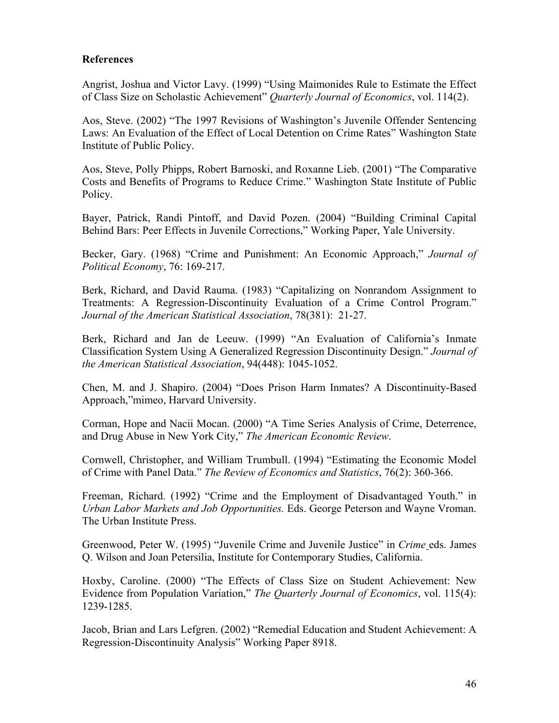## **References**

Angrist, Joshua and Victor Lavy. (1999) "Using Maimonides Rule to Estimate the Effect of Class Size on Scholastic Achievement" *Quarterly Journal of Economics*, vol. 114(2).

Aos, Steve. (2002) "The 1997 Revisions of Washington's Juvenile Offender Sentencing Laws: An Evaluation of the Effect of Local Detention on Crime Rates" Washington State Institute of Public Policy.

Aos, Steve, Polly Phipps, Robert Barnoski, and Roxanne Lieb. (2001) "The Comparative Costs and Benefits of Programs to Reduce Crime." Washington State Institute of Public Policy.

Bayer, Patrick, Randi Pintoff, and David Pozen. (2004) "Building Criminal Capital Behind Bars: Peer Effects in Juvenile Corrections," Working Paper, Yale University.

Becker, Gary. (1968) "Crime and Punishment: An Economic Approach," *Journal of Political Economy*, 76: 169-217.

Berk, Richard, and David Rauma. (1983) "Capitalizing on Nonrandom Assignment to Treatments: A Regression-Discontinuity Evaluation of a Crime Control Program." *Journal of the American Statistical Association*, 78(381): 21-27.

Berk, Richard and Jan de Leeuw. (1999) "An Evaluation of California's Inmate Classification System Using A Generalized Regression Discontinuity Design." *Journal of the American Statistical Association*, 94(448): 1045-1052.

Chen, M. and J. Shapiro. (2004) "Does Prison Harm Inmates? A Discontinuity-Based Approach,"mimeo, Harvard University.

Corman, Hope and Nacii Mocan. (2000) "A Time Series Analysis of Crime, Deterrence, and Drug Abuse in New York City," *The American Economic Review*.

Cornwell, Christopher, and William Trumbull. (1994) "Estimating the Economic Model of Crime with Panel Data." *The Review of Economics and Statistics*, 76(2): 360-366.

Freeman, Richard. (1992) "Crime and the Employment of Disadvantaged Youth." in *Urban Labor Markets and Job Opportunities.* Eds. George Peterson and Wayne Vroman. The Urban Institute Press.

Greenwood, Peter W. (1995) "Juvenile Crime and Juvenile Justice" in *Crime* eds. James Q. Wilson and Joan Petersilia, Institute for Contemporary Studies, California.

Hoxby, Caroline. (2000) "The Effects of Class Size on Student Achievement: New Evidence from Population Variation," *The Quarterly Journal of Economics*, vol. 115(4): 1239-1285.

Jacob, Brian and Lars Lefgren. (2002) "Remedial Education and Student Achievement: A Regression-Discontinuity Analysis" Working Paper 8918.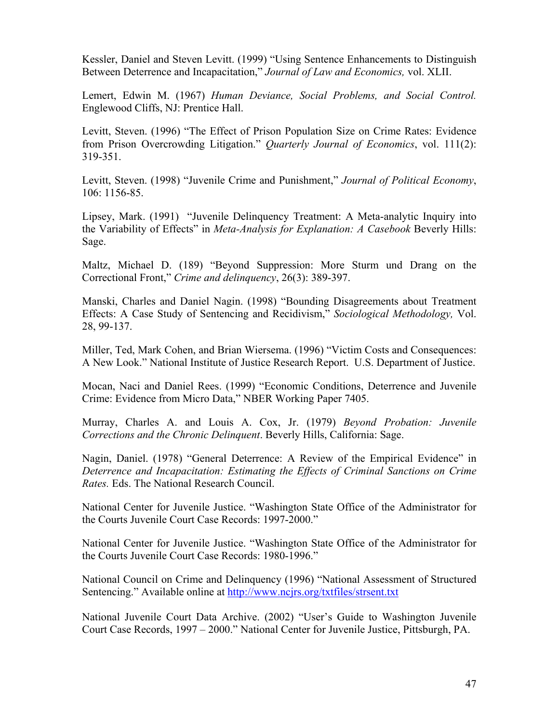Kessler, Daniel and Steven Levitt. (1999) "Using Sentence Enhancements to Distinguish Between Deterrence and Incapacitation," *Journal of Law and Economics,* vol. XLII.

Lemert, Edwin M. (1967) *Human Deviance, Social Problems, and Social Control.* Englewood Cliffs, NJ: Prentice Hall.

Levitt, Steven. (1996) "The Effect of Prison Population Size on Crime Rates: Evidence from Prison Overcrowding Litigation." *Quarterly Journal of Economics*, vol. 111(2): 319-351.

Levitt, Steven. (1998) "Juvenile Crime and Punishment," *Journal of Political Economy*, 106: 1156-85.

Lipsey, Mark. (1991) "Juvenile Delinquency Treatment: A Meta-analytic Inquiry into the Variability of Effects" in *Meta-Analysis for Explanation: A Casebook* Beverly Hills: Sage.

Maltz, Michael D. (189) "Beyond Suppression: More Sturm und Drang on the Correctional Front," *Crime and delinquency*, 26(3): 389-397.

Manski, Charles and Daniel Nagin. (1998) "Bounding Disagreements about Treatment Effects: A Case Study of Sentencing and Recidivism," *Sociological Methodology,* Vol. 28, 99-137.

Miller, Ted, Mark Cohen, and Brian Wiersema. (1996) "Victim Costs and Consequences: A New Look." National Institute of Justice Research Report. U.S. Department of Justice.

Mocan, Naci and Daniel Rees. (1999) "Economic Conditions, Deterrence and Juvenile Crime: Evidence from Micro Data," NBER Working Paper 7405.

Murray, Charles A. and Louis A. Cox, Jr. (1979) *Beyond Probation: Juvenile Corrections and the Chronic Delinquent*. Beverly Hills, California: Sage.

Nagin, Daniel. (1978) "General Deterrence: A Review of the Empirical Evidence" in *Deterrence and Incapacitation: Estimating the Effects of Criminal Sanctions on Crime Rates.* Eds. The National Research Council.

National Center for Juvenile Justice. "Washington State Office of the Administrator for the Courts Juvenile Court Case Records: 1997-2000."

National Center for Juvenile Justice. "Washington State Office of the Administrator for the Courts Juvenile Court Case Records: 1980-1996."

National Council on Crime and Delinquency (1996) "National Assessment of Structured Sentencing." Available online at http://www.ncjrs.org/txtfiles/strsent.txt

National Juvenile Court Data Archive. (2002) "User's Guide to Washington Juvenile Court Case Records, 1997 – 2000." National Center for Juvenile Justice, Pittsburgh, PA.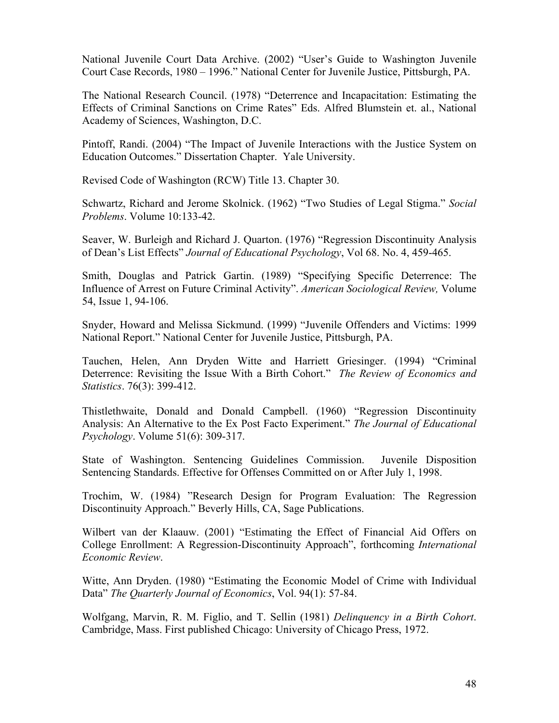National Juvenile Court Data Archive. (2002) "User's Guide to Washington Juvenile Court Case Records, 1980 – 1996." National Center for Juvenile Justice, Pittsburgh, PA.

The National Research Council. (1978) "Deterrence and Incapacitation: Estimating the Effects of Criminal Sanctions on Crime Rates" Eds. Alfred Blumstein et. al., National Academy of Sciences, Washington, D.C.

Pintoff, Randi. (2004) "The Impact of Juvenile Interactions with the Justice System on Education Outcomes." Dissertation Chapter. Yale University.

Revised Code of Washington (RCW) Title 13. Chapter 30.

Schwartz, Richard and Jerome Skolnick. (1962) "Two Studies of Legal Stigma." *Social Problems*. Volume 10:133-42.

Seaver, W. Burleigh and Richard J. Quarton. (1976) "Regression Discontinuity Analysis of Dean's List Effects" *Journal of Educational Psychology*, Vol 68. No. 4, 459-465.

Smith, Douglas and Patrick Gartin. (1989) "Specifying Specific Deterrence: The Influence of Arrest on Future Criminal Activity". *American Sociological Review,* Volume 54, Issue 1, 94-106.

Snyder, Howard and Melissa Sickmund. (1999) "Juvenile Offenders and Victims: 1999 National Report." National Center for Juvenile Justice, Pittsburgh, PA.

Tauchen, Helen, Ann Dryden Witte and Harriett Griesinger. (1994) "Criminal Deterrence: Revisiting the Issue With a Birth Cohort." *The Review of Economics and Statistics*. 76(3): 399-412.

Thistlethwaite, Donald and Donald Campbell. (1960) "Regression Discontinuity Analysis: An Alternative to the Ex Post Facto Experiment." *The Journal of Educational Psychology*. Volume 51(6): 309-317.

State of Washington. Sentencing Guidelines Commission. Juvenile Disposition Sentencing Standards. Effective for Offenses Committed on or After July 1, 1998.

Trochim, W. (1984) "Research Design for Program Evaluation: The Regression Discontinuity Approach." Beverly Hills, CA, Sage Publications.

Wilbert van der Klaauw. (2001) "Estimating the Effect of Financial Aid Offers on College Enrollment: A Regression-Discontinuity Approach", forthcoming *International Economic Review*.

Witte, Ann Dryden. (1980) "Estimating the Economic Model of Crime with Individual Data" *The Quarterly Journal of Economics*, Vol. 94(1): 57-84.

Wolfgang, Marvin, R. M. Figlio, and T. Sellin (1981) *Delinquency in a Birth Cohort*. Cambridge, Mass. First published Chicago: University of Chicago Press, 1972.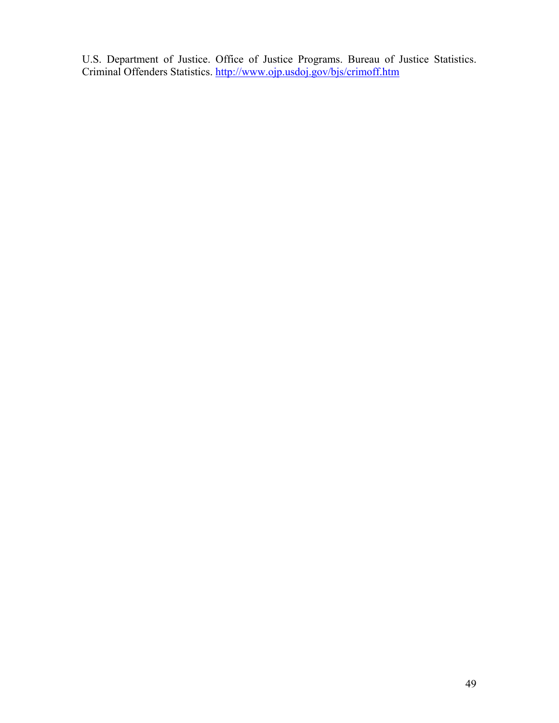U.S. Department of Justice. Office of Justice Programs. Bureau of Justice Statistics. Criminal Offenders Statistics. http://www.ojp.usdoj.gov/bjs/crimoff.htm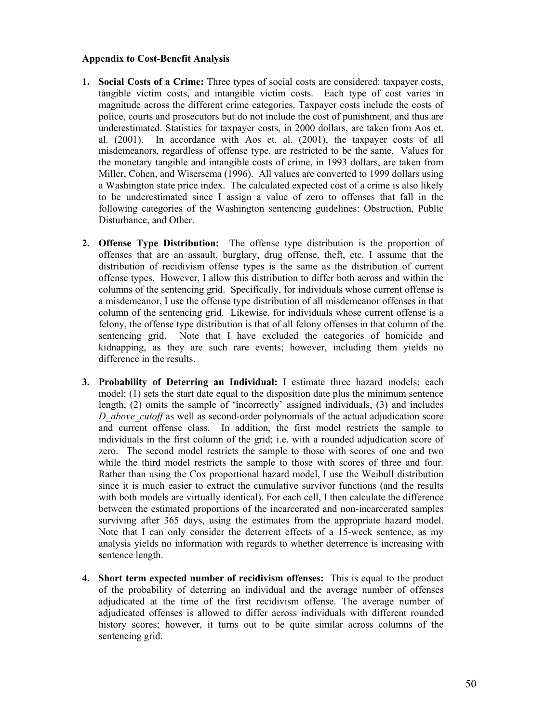#### **Appendix to Cost-Benefit Analysis**

- **1. Social Costs of a Crime:** Three types of social costs are considered: taxpayer costs, tangible victim costs, and intangible victim costs. Each type of cost varies in magnitude across the different crime categories. Taxpayer costs include the costs of police, courts and prosecutors but do not include the cost of punishment, and thus are underestimated. Statistics for taxpayer costs, in 2000 dollars, are taken from Aos et. al. (2001). In accordance with Aos et. al. (2001), the taxpayer costs of all misdemeanors, regardless of offense type, are restricted to be the same. Values for the monetary tangible and intangible costs of crime, in 1993 dollars, are taken from Miller, Cohen, and Wisersema (1996). All values are converted to 1999 dollars using a Washington state price index. The calculated expected cost of a crime is also likely to be underestimated since I assign a value of zero to offenses that fall in the following categories of the Washington sentencing guidelines: Obstruction, Public Disturbance, and Other.
- **2. Offense Type Distribution:** The offense type distribution is the proportion of offenses that are an assault, burglary, drug offense, theft, etc. I assume that the distribution of recidivism offense types is the same as the distribution of current offense types. However, I allow this distribution to differ both across and within the columns of the sentencing grid. Specifically, for individuals whose current offense is a misdemeanor, I use the offense type distribution of all misdemeanor offenses in that column of the sentencing grid. Likewise, for individuals whose current offense is a felony, the offense type distribution is that of all felony offenses in that column of the sentencing grid. Note that I have excluded the categories of homicide and kidnapping, as they are such rare events; however, including them yields no difference in the results.
- **3. Probability of Deterring an Individual:** I estimate three hazard models; each model: (1) sets the start date equal to the disposition date plus the minimum sentence length, (2) omits the sample of 'incorrectly' assigned individuals, (3) and includes *D\_above\_cutoff* as well as second-order polynomials of the actual adjudication score and current offense class. In addition, the first model restricts the sample to individuals in the first column of the grid; i.e. with a rounded adjudication score of zero. The second model restricts the sample to those with scores of one and two while the third model restricts the sample to those with scores of three and four. Rather than using the Cox proportional hazard model, I use the Weibull distribution since it is much easier to extract the cumulative survivor functions (and the results with both models are virtually identical). For each cell, I then calculate the difference between the estimated proportions of the incarcerated and non-incarcerated samples surviving after 365 days, using the estimates from the appropriate hazard model. Note that I can only consider the deterrent effects of a 15-week sentence, as my analysis yields no information with regards to whether deterrence is increasing with sentence length.
- **4. Short term expected number of recidivism offenses:** This is equal to the product of the probability of deterring an individual and the average number of offenses adjudicated at the time of the first recidivism offense. The average number of adjudicated offenses is allowed to differ across individuals with different rounded history scores; however, it turns out to be quite similar across columns of the sentencing grid.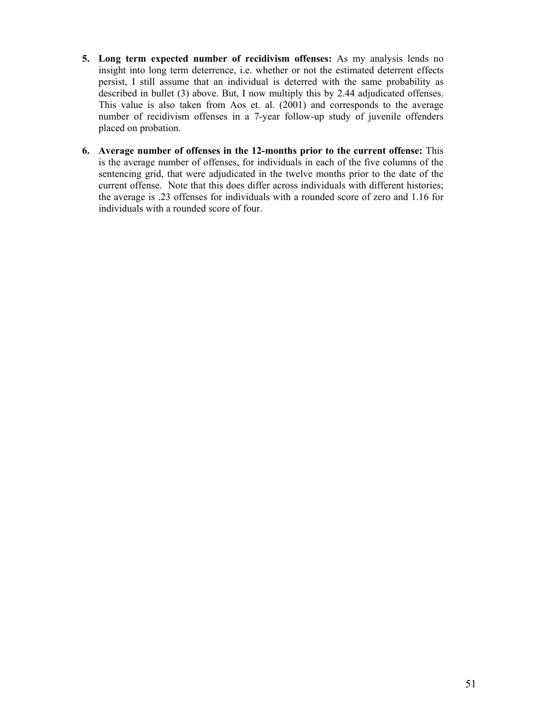- **5. Long term expected number of recidivism offenses:** As my analysis lends no insight into long term deterrence, i.e. whether or not the estimated deterrent effects persist, I still assume that an individual is deterred with the same probability as described in bullet (3) above. But, I now multiply this by 2.44 adjudicated offenses. This value is also taken from Aos et. al. (2001) and corresponds to the average number of recidivism offenses in a 7-year follow-up study of juvenile offenders placed on probation.
- **6. Average number of offenses in the 12-months prior to the current offense:** This is the average number of offenses, for individuals in each of the five columns of the sentencing grid, that were adjudicated in the twelve months prior to the date of the current offense. Note that this does differ across individuals with different histories; the average is .23 offenses for individuals with a rounded score of zero and 1.16 for individuals with a rounded score of four.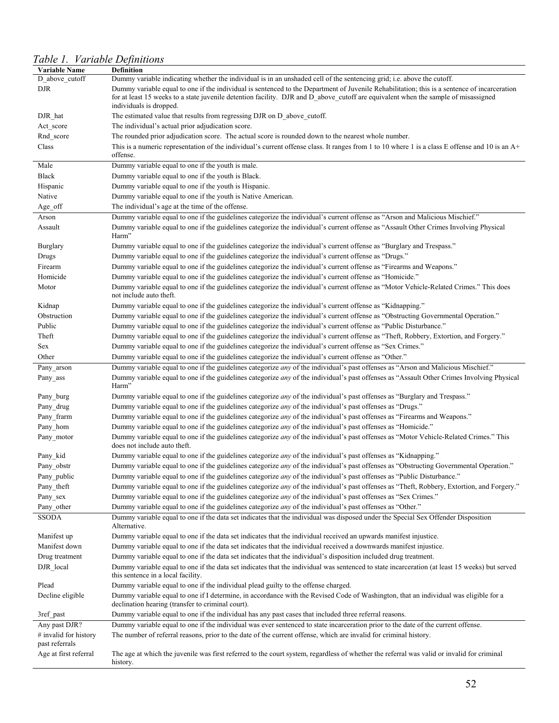# *Table 1. Variable Definitions*

| <b>Variable Name</b>                      | <b>Definition</b>                                                                                                                                                                                                                                                                                             |
|-------------------------------------------|---------------------------------------------------------------------------------------------------------------------------------------------------------------------------------------------------------------------------------------------------------------------------------------------------------------|
| D above cutoff                            | Dummy variable indicating whether the individual is in an unshaded cell of the sentencing grid; i.e. above the cutoff.                                                                                                                                                                                        |
| <b>DJR</b>                                | Dummy variable equal to one if the individual is sentenced to the Department of Juvenile Rehabilitation; this is a sentence of incarceration<br>for at least 15 weeks to a state juvenile detention facility. DJR and D_above_cutoff are equivalent when the sample of misassigned<br>individuals is dropped. |
| DJR_hat                                   | The estimated value that results from regressing DJR on D above cutoff.                                                                                                                                                                                                                                       |
| Act score                                 | The individual's actual prior adjudication score.                                                                                                                                                                                                                                                             |
| Rnd_score                                 | The rounded prior adjudication score. The actual score is rounded down to the nearest whole number.                                                                                                                                                                                                           |
| Class                                     | This is a numeric representation of the individual's current offense class. It ranges from 1 to 10 where 1 is a class E offense and 10 is an $A^+$<br>offense.                                                                                                                                                |
| Male                                      | Dummy variable equal to one if the youth is male.                                                                                                                                                                                                                                                             |
| Black                                     | Dummy variable equal to one if the youth is Black.                                                                                                                                                                                                                                                            |
| Hispanic                                  | Dummy variable equal to one if the youth is Hispanic.                                                                                                                                                                                                                                                         |
| Native                                    | Dummy variable equal to one if the youth is Native American.                                                                                                                                                                                                                                                  |
| Age_off                                   | The individual's age at the time of the offense.                                                                                                                                                                                                                                                              |
| Arson                                     | Dummy variable equal to one if the guidelines categorize the individual's current offense as "Arson and Malicious Mischief."                                                                                                                                                                                  |
| Assault                                   | Dummy variable equal to one if the guidelines categorize the individual's current offense as "Assault Other Crimes Involving Physical<br>Harm"                                                                                                                                                                |
| Burglary                                  | Dummy variable equal to one if the guidelines categorize the individual's current offense as "Burglary and Trespass."                                                                                                                                                                                         |
| Drugs                                     | Dummy variable equal to one if the guidelines categorize the individual's current offense as "Drugs."                                                                                                                                                                                                         |
| Firearm                                   | Dummy variable equal to one if the guidelines categorize the individual's current offense as "Firearms and Weapons."                                                                                                                                                                                          |
| Homicide                                  | Dummy variable equal to one if the guidelines categorize the individual's current offense as "Homicide."                                                                                                                                                                                                      |
| Motor                                     | Dummy variable equal to one if the guidelines categorize the individual's current offense as "Motor Vehicle-Related Crimes." This does<br>not include auto theft.                                                                                                                                             |
| Kidnap                                    | Dummy variable equal to one if the guidelines categorize the individual's current offense as "Kidnapping."                                                                                                                                                                                                    |
| Obstruction                               | Dummy variable equal to one if the guidelines categorize the individual's current offense as "Obstructing Governmental Operation."                                                                                                                                                                            |
| Public                                    | Dummy variable equal to one if the guidelines categorize the individual's current offense as "Public Disturbance."                                                                                                                                                                                            |
| Theft                                     | Dummy variable equal to one if the guidelines categorize the individual's current offense as "Theft, Robbery, Extortion, and Forgery."                                                                                                                                                                        |
| Sex                                       | Dummy variable equal to one if the guidelines categorize the individual's current offense as "Sex Crimes."                                                                                                                                                                                                    |
| Other                                     | Dummy variable equal to one if the guidelines categorize the individual's current offense as "Other."                                                                                                                                                                                                         |
| Pany_arson                                | Dummy variable equal to one if the guidelines categorize any of the individual's past offenses as "Arson and Malicious Mischief."                                                                                                                                                                             |
| Pany_ass                                  | Dummy variable equal to one if the guidelines categorize any of the individual's past offenses as "Assault Other Crimes Involving Physical<br>Harm"                                                                                                                                                           |
| Pany burg                                 | Dummy variable equal to one if the guidelines categorize <i>any</i> of the individual's past offenses as "Burglary and Trespass."                                                                                                                                                                             |
| Pany_drug                                 | Dummy variable equal to one if the guidelines categorize any of the individual's past offenses as "Drugs."                                                                                                                                                                                                    |
| Pany_frarm                                | Dummy variable equal to one if the guidelines categorize any of the individual's past offenses as "Firearms and Weapons."                                                                                                                                                                                     |
| Pany_hom                                  | Dummy variable equal to one if the guidelines categorize any of the individual's past offenses as "Homicide."                                                                                                                                                                                                 |
| Pany motor                                | Dummy variable equal to one if the guidelines categorize any of the individual's past offenses as "Motor Vehicle-Related Crimes." This<br>does not include auto theft.                                                                                                                                        |
| Pany kid                                  | Dummy variable equal to one if the guidelines categorize <i>any</i> of the individual's past offenses as "Kidnapping."                                                                                                                                                                                        |
| Pany obstr                                | Dummy variable equal to one if the guidelines categorize any of the individual's past offenses as "Obstructing Governmental Operation."                                                                                                                                                                       |
| Pany_public                               | Dummy variable equal to one if the guidelines categorize any of the individual's past offenses as "Public Disturbance."                                                                                                                                                                                       |
| Pany_theft                                | Dummy variable equal to one if the guidelines categorize any of the individual's past offenses as "Theft, Robbery, Extortion, and Forgery."                                                                                                                                                                   |
| Pany sex                                  | Dummy variable equal to one if the guidelines categorize <i>any</i> of the individual's past offenses as "Sex Crimes."                                                                                                                                                                                        |
| Pany other                                | Dummy variable equal to one if the guidelines categorize any of the individual's past offenses as "Other."                                                                                                                                                                                                    |
| <b>SSODA</b>                              | Dummy variable equal to one if the data set indicates that the individual was disposed under the Special Sex Offender Disposition<br>Alternative.                                                                                                                                                             |
| Manifest up                               | Dummy variable equal to one if the data set indicates that the individual received an upwards manifest injustice.                                                                                                                                                                                             |
| Manifest down                             | Dummy variable equal to one if the data set indicates that the individual received a downwards manifest injustice.                                                                                                                                                                                            |
| Drug treatment                            | Dummy variable equal to one if the data set indicates that the individual's disposition included drug treatment.                                                                                                                                                                                              |
| DJR_local                                 | Dummy variable equal to one if the data set indicates that the individual was sentenced to state incarceration (at least 15 weeks) but served<br>this sentence in a local facility.                                                                                                                           |
| Plead                                     | Dummy variable equal to one if the individual plead guilty to the offense charged.                                                                                                                                                                                                                            |
| Decline eligible                          | Dummy variable equal to one if I determine, in accordance with the Revised Code of Washington, that an individual was eligible for a<br>declination hearing (transfer to criminal court).                                                                                                                     |
| 3ref_past                                 | Dummy variable equal to one if the individual has any past cases that included three referral reasons.                                                                                                                                                                                                        |
| Any past DJR?                             | Dummy variable equal to one if the individual was ever sentenced to state incarceration prior to the date of the current offense.                                                                                                                                                                             |
| $#$ invalid for history<br>past referrals | The number of referral reasons, prior to the date of the current offense, which are invalid for criminal history.                                                                                                                                                                                             |
| Age at first referral                     | The age at which the juvenile was first referred to the court system, regardless of whether the referral was valid or invalid for criminal<br>history.                                                                                                                                                        |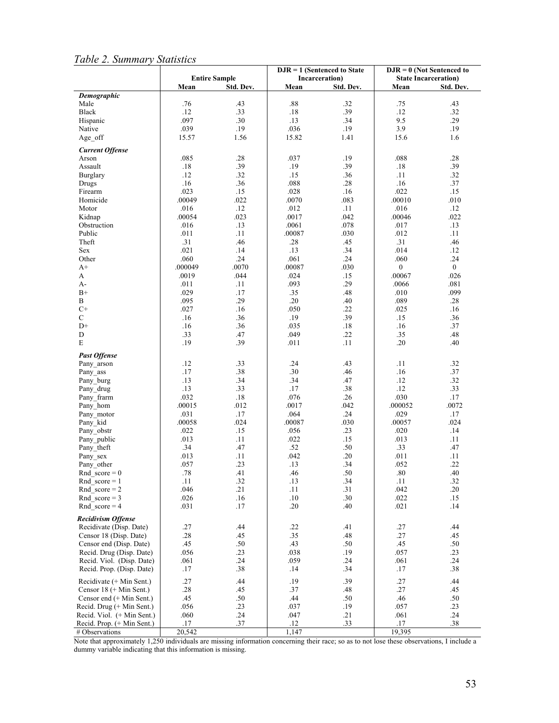|                                                      |                      |               |              | $\text{DJR} = 1$ (Sentenced to State | $\text{DJR} = 0$ (Not Sentenced to |                |  |
|------------------------------------------------------|----------------------|---------------|--------------|--------------------------------------|------------------------------------|----------------|--|
|                                                      | <b>Entire Sample</b> |               |              | Incarceration)                       | <b>State Incarceration)</b>        |                |  |
|                                                      | Mean                 | Std. Dev.     | Mean         | Std. Dev.                            | Mean                               | Std. Dev.      |  |
| <b>Demographic</b><br>Male                           | .76                  | .43           | .88          | .32                                  | .75                                | .43            |  |
| <b>Black</b>                                         | .12                  | .33           | .18          | .39                                  | .12                                | .32            |  |
| Hispanic                                             | .097                 | .30           | .13          | .34                                  | 9.5                                | .29            |  |
| Native                                               | .039                 | .19           | .036         | .19                                  | 3.9                                | .19            |  |
| Age off                                              | 15.57                | 1.56          | 15.82        | 1.41                                 | 15.6                               | 1.6            |  |
|                                                      |                      |               |              |                                      |                                    |                |  |
| <b>Current Offense</b><br>Arson                      | .085                 | .28           | .037         | .19                                  | .088                               | .28            |  |
| Assault                                              | .18                  | .39           | .19          | .39                                  | .18                                | .39            |  |
| Burglary                                             | .12                  | .32           | .15          | .36                                  | .11                                | .32            |  |
| Drugs                                                | .16                  | .36           | .088         | .28                                  | .16                                | .37            |  |
| Firearm                                              | .023                 | .15           | .028         | .16                                  | .022                               | .15            |  |
| Homicide                                             | .00049               | .022          | .0070        | .083                                 | .00010                             | .010           |  |
| Motor                                                | .016                 | .12           | .012         | .11                                  | .016                               | .12            |  |
| Kidnap                                               | .00054               | .023          | .0017        | .042                                 | .00046                             | .022           |  |
| Obstruction                                          | .016                 | .13           | .0061        | .078                                 | .017                               | .13            |  |
| Public                                               | .011                 | .11           | .00087       | .030                                 | .012                               | .11            |  |
| Theft                                                | .31                  | .46           | .28          | .45                                  | .31                                | .46            |  |
| <b>Sex</b>                                           | .021                 | .14           | .13          | .34                                  | .014                               | .12            |  |
| Other                                                | .060                 | .24           | .061         | .24                                  | .060                               | .24            |  |
| $A+$                                                 | .000049              | .0070<br>.044 | .00087       | .030                                 | $\overline{0}$<br>.00067           | $\overline{0}$ |  |
| A<br>$A-$                                            | .0019<br>.011        | .11           | .024<br>.093 | .15<br>.29                           | .0066                              | .026<br>.081   |  |
| $B+$                                                 | .029                 | .17           | .35          | .48                                  | .010                               | .099           |  |
| B                                                    | .095                 | .29           | .20          | .40                                  | .089                               | .28            |  |
| $C+$                                                 | .027                 | .16           | .050         | .22                                  | .025                               | .16            |  |
| C                                                    | .16                  | .36           | .19          | .39                                  | .15                                | .36            |  |
| $D+$                                                 | .16                  | .36           | .035         | .18                                  | .16                                | .37            |  |
| D                                                    | .33                  | .47           | .049         | .22                                  | .35                                | .48            |  |
| E                                                    | .19                  | .39           | .011         | .11                                  | .20                                | .40            |  |
| <b>Past Offense</b>                                  |                      |               |              |                                      |                                    |                |  |
| Pany arson                                           | .12                  | .33           | .24          | .43                                  | .11                                | .32            |  |
| Pany ass                                             | .17                  | .38           | .30          | .46                                  | .16                                | .37            |  |
| Pany burg                                            | .13                  | .34           | .34          | .47                                  | .12                                | .32            |  |
| Pany drug                                            | .13                  | .33           | .17          | .38                                  | .12                                | .33            |  |
| Pany fram                                            | .032                 | .18           | .076         | .26                                  | .030                               | .17            |  |
| Pany hom                                             | .00015               | .012          | .0017        | .042                                 | .000052                            | .0072          |  |
| Pany motor                                           | .031                 | .17           | .064         | .24                                  | .029                               | .17            |  |
| Pany kid                                             | .00058               | .024          | .00087       | .030                                 | .00057                             | .024           |  |
| Pany obstr                                           | .022                 | .15           | .056         | .23                                  | .020                               | .14            |  |
| Pany public                                          | .013                 | .11           | .022         | .15                                  | .013                               | .11            |  |
| Pany theft                                           | .34                  | .47           | .52          | .50                                  | .33                                | .47            |  |
| Pany sex<br>Pany other                               | .013<br>.057         | .11<br>.23    | .042<br>.13  | .20<br>.34                           | .011<br>.052                       | .11<br>.22     |  |
| Rnd $score = 0$                                      | .78                  | .41           | .46          | .50                                  | .80                                | .40            |  |
| Rnd $score = 1$                                      | .11                  | .32           | .13          | .34                                  | .11                                | .32            |  |
| Rnd $score = 2$                                      | .046                 | .21           | .11          | .31                                  | .042                               | .20            |  |
| Rnd $score = 3$                                      | .026                 | .16           | .10          | .30                                  | .022                               | .15            |  |
| $Rnd\_score = 4$                                     | .031                 | .17           | .20          | .40                                  | .021                               | .14            |  |
|                                                      |                      |               |              |                                      |                                    |                |  |
| <b>Recidivism Offense</b><br>Recidivate (Disp. Date) | .27                  | .44           | .22          | .41                                  | .27                                | .44            |  |
| Censor 18 (Disp. Date)                               | .28                  | .45           | .35          | .48                                  | .27                                | .45            |  |
| Censor end (Disp. Date)                              | .45                  | .50           | .43          | .50                                  | .45                                | .50            |  |
| Recid. Drug (Disp. Date)                             | .056                 | .23           | .038         | .19                                  | .057                               | .23            |  |
| Recid. Viol. (Disp. Date)                            | .061                 | .24           | .059         | .24                                  | .061                               | .24            |  |
| Recid. Prop. (Disp. Date)                            | .17                  | .38           | .14          | .34                                  | .17                                | .38            |  |
| Recidivate (+ Min Sent.)                             | .27                  | .44           | .19          | .39                                  | .27                                | .44            |  |
| Censor $18 (+ Min Sent.)$                            | .28                  | .45           | .37          | .48                                  | .27                                | .45            |  |
| Censor end (+ Min Sent.)                             | .45                  | .50           | .44          | .50                                  | .46                                | .50            |  |
| Recid. Drug (+ Min Sent.)                            | .056                 | .23           | .037         | .19                                  | .057                               | .23            |  |
| Recid. Viol. (+ Min Sent.)                           | .060                 | .24           | .047         | .21                                  | .061                               | .24            |  |
| Recid. Prop. (+ Min Sent.)                           | .17                  | .37           | .12          | .33                                  | .17                                | .38            |  |
| # Observations                                       | 20,542               |               | 1,147        |                                      | 19,395                             |                |  |

## *Table 2. Summary Statistics*

Note that approximately 1,250 individuals are missing information concerning their race; so as to not lose these observations, I include a dummy variable indicating that this information is missing.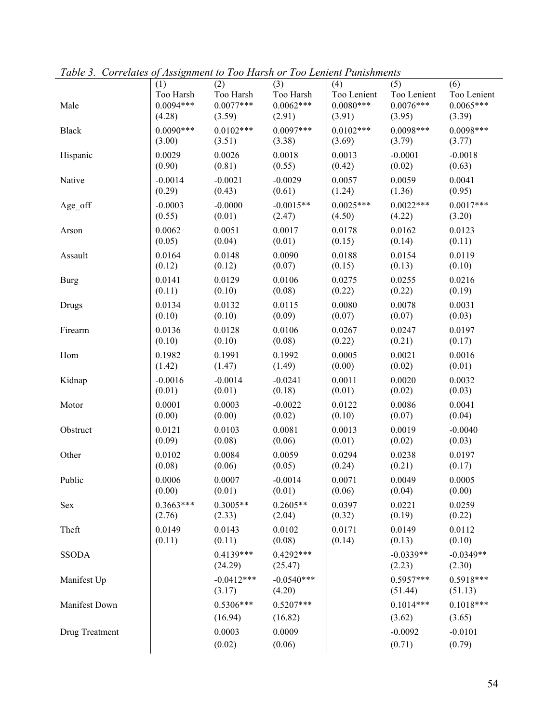| <i>Luvic J.</i> |                  | Correlates of Assignment to 100 That she or 100 Bentent I unistments |                  |                    |                    |                    |
|-----------------|------------------|----------------------------------------------------------------------|------------------|--------------------|--------------------|--------------------|
|                 | (1)<br>Too Harsh | (2)<br>Too Harsh                                                     | (3)<br>Too Harsh | (4)<br>Too Lenient | (5)<br>Too Lenient | (6)<br>Too Lenient |
| Male            | $0.0094***$      | $0.0077***$                                                          | $0.0062***$      | $0.0080***$        | $0.0076***$        | $0.0065***$        |
|                 | (4.28)           | (3.59)                                                               | (2.91)           | (3.91)             | (3.95)             | (3.39)             |
| <b>Black</b>    | $0.0090***$      | $0.0102***$                                                          | $0.0097***$      | $0.0102***$        | $0.0098***$        | $0.0098***$        |
|                 | (3.00)           | (3.51)                                                               | (3.38)           | (3.69)             | (3.79)             | (3.77)             |
|                 |                  |                                                                      |                  |                    |                    |                    |
| Hispanic        | 0.0029           | 0.0026                                                               | 0.0018           | 0.0013             | $-0.0001$          | $-0.0018$          |
|                 | (0.90)           | (0.81)                                                               | (0.55)           | (0.42)             | (0.02)             | (0.63)             |
| Native          | $-0.0014$        | $-0.0021$                                                            | $-0.0029$        | 0.0057             | 0.0059             | 0.0041             |
|                 | (0.29)           | (0.43)                                                               | (0.61)           | (1.24)             | (1.36)             | (0.95)             |
| Age_off         | $-0.0003$        | $-0.0000$                                                            | $-0.0015**$      | $0.0025***$        | $0.0022***$        | $0.0017***$        |
|                 | (0.55)           | (0.01)                                                               | (2.47)           | (4.50)             | (4.22)             | (3.20)             |
|                 | 0.0062           | 0.0051                                                               | 0.0017           | 0.0178             | 0.0162             | 0.0123             |
| Arson           | (0.05)           | (0.04)                                                               | (0.01)           | (0.15)             | (0.14)             | (0.11)             |
|                 |                  |                                                                      |                  |                    |                    |                    |
| Assault         | 0.0164           | 0.0148                                                               | 0.0090           | 0.0188             | 0.0154             | 0.0119             |
|                 | (0.12)           | (0.12)                                                               | (0.07)           | (0.15)             | (0.13)             | (0.10)             |
| <b>Burg</b>     | 0.0141           | 0.0129                                                               | 0.0106           | 0.0275             | 0.0255             | 0.0216             |
|                 | (0.11)           | (0.10)                                                               | (0.08)           | (0.22)             | (0.22)             | (0.19)             |
| <b>Drugs</b>    | 0.0134           | 0.0132                                                               | 0.0115           | 0.0080             | 0.0078             | 0.0031             |
|                 | (0.10)           | (0.10)                                                               | (0.09)           | (0.07)             | (0.07)             | (0.03)             |
|                 |                  |                                                                      |                  |                    |                    |                    |
| Firearm         | 0.0136           | 0.0128                                                               | 0.0106           | 0.0267             | 0.0247             | 0.0197             |
|                 | (0.10)           | (0.10)                                                               | (0.08)           | (0.22)             | (0.21)             | (0.17)             |
| Hom             | 0.1982           | 0.1991                                                               | 0.1992           | 0.0005             | 0.0021             | 0.0016             |
|                 | (1.42)           | (1.47)                                                               | (1.49)           | (0.00)             | (0.02)             | (0.01)             |
| Kidnap          | $-0.0016$        | $-0.0014$                                                            | $-0.0241$        | 0.0011             | 0.0020             | 0.0032             |
|                 | (0.01)           | (0.01)                                                               | (0.18)           | (0.01)             | (0.02)             | (0.03)             |
| Motor           | 0.0001           | 0.0003                                                               | $-0.0022$        | 0.0122             | 0.0086             | 0.0041             |
|                 | (0.00)           | (0.00)                                                               | (0.02)           | (0.10)             | (0.07)             | (0.04)             |
|                 |                  |                                                                      |                  |                    |                    |                    |
| Obstruct        | 0.0121           | 0.0103                                                               | 0.0081           | 0.0013             | 0.0019             | $-0.0040$          |
|                 | (0.09)           | (0.08)                                                               | (0.06)           | (0.01)             | (0.02)             | (0.03)             |
| Other           | 0.0102           | 0.0084                                                               | 0.0059           | 0.0294             | 0.0238             | 0.0197             |
|                 | (0.08)           | (0.06)                                                               | (0.05)           | (0.24)             | (0.21)             | (0.17)             |
| Public          | 0.0006           | 0.0007                                                               | $-0.0014$        | 0.0071             | 0.0049             | 0.0005             |
|                 | (0.00)           | (0.01)                                                               | (0.01)           | (0.06)             | (0.04)             | (0.00)             |
|                 | $0.3663***$      | $0.3005**$                                                           | $0.2605**$       |                    | 0.0221             | 0.0259             |
| Sex             |                  |                                                                      |                  | 0.0397             |                    |                    |
|                 | (2.76)           | (2.33)                                                               | (2.04)           | (0.32)             | (0.19)             | (0.22)             |
| Theft           | 0.0149           | 0.0143                                                               | 0.0102           | 0.0171             | 0.0149             | 0.0112             |
|                 | (0.11)           | (0.11)                                                               | (0.08)           | (0.14)             | (0.13)             | (0.10)             |
| <b>SSODA</b>    |                  | $0.4139***$                                                          | $0.4292***$      |                    | $-0.0339**$        | $-0.0349**$        |
|                 |                  | (24.29)                                                              | (25.47)          |                    | (2.23)             | (2.30)             |
| Manifest Up     |                  | $-0.0412***$                                                         | $-0.0540***$     |                    | $0.5957***$        | $0.5918***$        |
|                 |                  | (3.17)                                                               | (4.20)           |                    | (51.44)            | (51.13)            |
|                 |                  |                                                                      |                  |                    |                    |                    |
| Manifest Down   |                  | $0.5306***$                                                          | $0.5207***$      |                    | $0.1014***$        | $0.1018***$        |
|                 |                  | (16.94)                                                              | (16.82)          |                    | (3.62)             | (3.65)             |
| Drug Treatment  |                  | 0.0003                                                               | 0.0009           |                    | $-0.0092$          | $-0.0101$          |
|                 |                  | (0.02)                                                               | (0.06)           |                    | (0.71)             | (0.79)             |
|                 |                  |                                                                      |                  |                    |                    |                    |

*Table 3. Correlates of Assignment to Too Harsh or Too Lenient Punishments*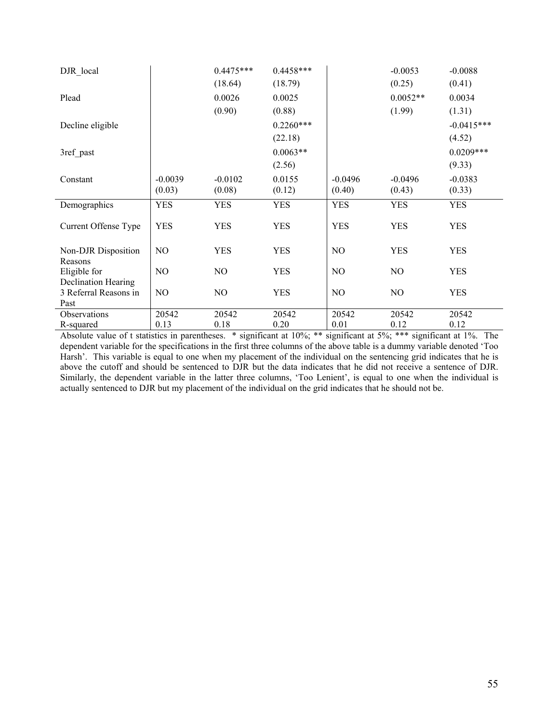| DJR local                  |            | $0.4475***$ | $0.4458***$ |                | $-0.0053$      | $-0.0088$    |
|----------------------------|------------|-------------|-------------|----------------|----------------|--------------|
|                            |            | (18.64)     | (18.79)     |                | (0.25)         | (0.41)       |
| Plead                      |            | 0.0026      | 0.0025      |                | $0.0052**$     | 0.0034       |
|                            |            | (0.90)      | (0.88)      |                | (1.99)         | (1.31)       |
| Decline eligible           |            |             | $0.2260***$ |                |                | $-0.0415***$ |
|                            |            |             | (22.18)     |                |                | (4.52)       |
| 3ref past                  |            |             | $0.0063**$  |                |                | $0.0209***$  |
|                            |            |             | (2.56)      |                |                | (9.33)       |
| Constant                   | $-0.0039$  | $-0.0102$   | 0.0155      | $-0.0496$      | $-0.0496$      | $-0.0383$    |
|                            | (0.03)     | (0.08)      | (0.12)      | (0.40)         | (0.43)         | (0.33)       |
| Demographics               | <b>YES</b> | <b>YES</b>  | <b>YES</b>  | <b>YES</b>     | <b>YES</b>     | <b>YES</b>   |
| Current Offense Type       | <b>YES</b> | <b>YES</b>  | <b>YES</b>  | <b>YES</b>     | <b>YES</b>     | <b>YES</b>   |
| Non-DJR Disposition        | NO         | <b>YES</b>  | <b>YES</b>  | N <sub>O</sub> | <b>YES</b>     | <b>YES</b>   |
| Reasons                    |            |             |             |                |                |              |
| Eligible for               | NO         | NO          | <b>YES</b>  | NO.            | N <sub>O</sub> | <b>YES</b>   |
| <b>Declination Hearing</b> |            |             |             |                |                |              |
| 3 Referral Reasons in      | NO         | NO          | <b>YES</b>  | NO             | NO             | <b>YES</b>   |
| Past                       |            |             |             |                |                |              |
| Observations               | 20542      | 20542       | 20542       | 20542          | 20542          | 20542        |
| R-squared                  | 0.13       | 0.18        | 0.20        | 0.01           | 0.12           | 0.12         |

Absolute value of t statistics in parentheses. \* significant at 10%; \*\* significant at 5%; \*\*\* significant at 1%. The dependent variable for the specifications in the first three columns of the above table is a dummy variable denoted 'Too Harsh'. This variable is equal to one when my placement of the individual on the sentencing grid indicates that he is above the cutoff and should be sentenced to DJR but the data indicates that he did not receive a sentence of DJR. Similarly, the dependent variable in the latter three columns, 'Too Lenient', is equal to one when the individual is actually sentenced to DJR but my placement of the individual on the grid indicates that he should not be.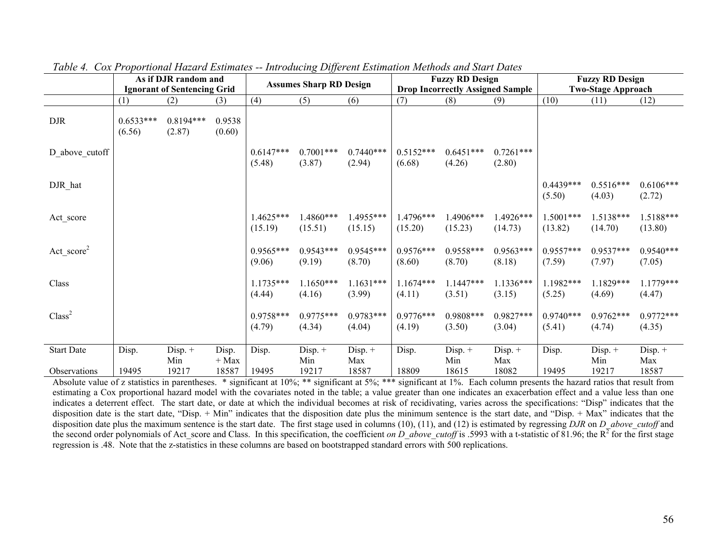|                     |                       | As if DJR random and<br><b>Ignorant of Sentencing Grid</b> |                  | <b>Assumes Sharp RD Design</b> |                          |                        | <b>Fuzzy RD Design</b><br><b>Drop Incorrectly Assigned Sample</b> |                       |                       | <b>Fuzzy RD Design</b><br><b>Two-Stage Approach</b> |                          |                          |
|---------------------|-----------------------|------------------------------------------------------------|------------------|--------------------------------|--------------------------|------------------------|-------------------------------------------------------------------|-----------------------|-----------------------|-----------------------------------------------------|--------------------------|--------------------------|
|                     | (1)                   | (2)                                                        | (3)              | (4)                            | (5)                      | (6)                    | (7)                                                               | (8)                   | (9)                   | (10)                                                | (11)                     | (12)                     |
| <b>DJR</b>          | $0.6533***$<br>(6.56) | $0.8194***$<br>(2.87)                                      | 0.9538<br>(0.60) |                                |                          |                        |                                                                   |                       |                       |                                                     |                          |                          |
| D_above_cutoff      |                       |                                                            |                  | $0.6147***$<br>(5.48)          | $0.7001***$<br>(3.87)    | $0.7440***$<br>(2.94)  | $0.5152***$<br>(6.68)                                             | $0.6451***$<br>(4.26) | $0.7261***$<br>(2.80) |                                                     |                          |                          |
| DJR_hat             |                       |                                                            |                  |                                |                          |                        |                                                                   |                       |                       | $0.4439***$<br>(5.50)                               | $0.5516***$<br>(4.03)    | $0.6106***$<br>(2.72)    |
| Act_score           |                       |                                                            |                  | $1.4625***$<br>(15.19)         | 1.4860***<br>(15.51)     | 1.4955***<br>(15.15)   | 1.4796***<br>(15.20)                                              | 1.4906***<br>(15.23)  | 1.4926***<br>(14.73)  | $1.5001***$<br>(13.82)                              | 1.5138***<br>(14.70)     | 1.5188***<br>(13.80)     |
| $Act\_score^2$      |                       |                                                            |                  | $0.9565***$<br>(9.06)          | $0.9543***$<br>(9.19)    | $0.9545***$<br>(8.70)  | $0.9576***$<br>(8.60)                                             | $0.9558***$<br>(8.70) | $0.9563***$<br>(8.18) | $0.9557***$<br>(7.59)                               | $0.9537***$<br>(7.97)    | $0.9540***$<br>(7.05)    |
| Class               |                       |                                                            |                  | $1.1735***$<br>(4.44)          | $1.1650***$<br>(4.16)    | $1.1631***$<br>(3.99)  | $1.1674***$<br>(4.11)                                             | $1.1447***$<br>(3.51) | 1.1336***<br>(3.15)   | 1.1982***<br>(5.25)                                 | $1.1829***$<br>(4.69)    | $1.1779***$<br>(4.47)    |
| Class <sup>2</sup>  |                       |                                                            |                  | 0.9758***<br>(4.79)            | $0.9775***$<br>(4.34)    | 0.9783***<br>(4.04)    | $0.9776***$<br>(4.19)                                             | 0.9808***<br>(3.50)   | $0.9827***$<br>(3.04) | $0.9740***$<br>(5.41)                               | $0.9762***$<br>(4.74)    | $0.9772***$<br>(4.35)    |
| <b>Start Date</b>   | Disp.                 | $Disp. +$<br>Min                                           | Disp.<br>$+$ Max | Disp.                          | $_{\rm{Disp. +}}$<br>Min | $_{\rm Disp.}+$<br>Max | Disp.                                                             | Disp. $+$<br>Min      | Disp. $+$<br>Max      | Disp.                                               | $_{\rm{Disp. +}}$<br>Min | $_{\rm{Disp. +}}$<br>Max |
| <b>Observations</b> | 19495                 | 19217                                                      | 18587            | 19495                          | 19217                    | 18587                  | 18809                                                             | 18615                 | 18082                 | 19495                                               | 19217                    | 18587                    |

*Table 4. Cox Proportional Hazard Estimates -- Introducing Different Estimation Methods and Start Dates* 

Absolute value of z statistics in parentheses. \* significant at 10%; \*\*\* significant at 5%; \*\*\* significant at 1%. Each column presents the hazard ratios that result from estimating a Cox proportional hazard model with the covariates noted in the table; a value greater than one indicates an exacerbation effect and a value less than one indicates a deterrent effect. The start date, or date at which the individual becomes at risk of recidivating, varies across the specifications: "Disp" indicates that the disposition date is the start date, "Disp. + Min" indicates that the disposition date plus the minimum sentence is the start date, and "Disp. + Max" indicates that the disposition date plus the maximum sentence is the start date. The first stage used in columns (10), (11), and (12) is estimated by regressing *DJR* on *D\_above\_cutoff* and the second order polynomials of Act\_score and Class. In this specification, the coefficient *on D\_above\_cutoff* is .5993 with a t-statistic of 81.96; the  $R^2$  for the first stage regression is .48. Note that the z-statistics in these columns are based on bootstrapped standard errors with 500 replications.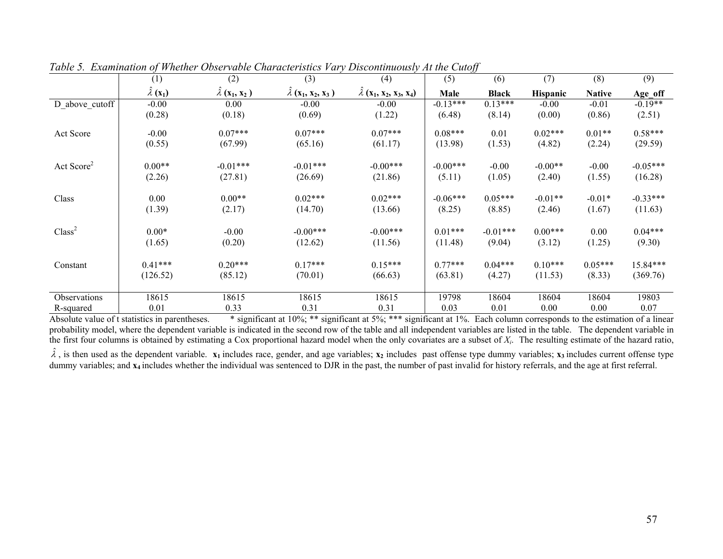|                        | (1)                  | (2)                                          | (3)                                                           | (4)                                                                            | (5)        | (6)          | (7)       | (8)           | (9)        |
|------------------------|----------------------|----------------------------------------------|---------------------------------------------------------------|--------------------------------------------------------------------------------|------------|--------------|-----------|---------------|------------|
|                        | $\hat{\lambda}(x_1)$ | $\lambda$ (x <sub>1</sub> , x <sub>2</sub> ) | $\lambda$ (x <sub>1</sub> , x <sub>2</sub> , x <sub>3</sub> ) | $\lambda$ (x <sub>1</sub> , x <sub>2</sub> , x <sub>3</sub> , x <sub>4</sub> ) | Male       | <b>Black</b> | Hispanic  | <b>Native</b> | Age off    |
| D_above_cutoff         | $-0.00$              | 0.00                                         | $-0.00$                                                       | $-0.00$                                                                        | $-0.13***$ | $0.13***$    | $-0.00$   | $-0.01$       | $-0.19**$  |
|                        | (0.28)               | (0.18)                                       | (0.69)                                                        | (1.22)                                                                         | (6.48)     | (8.14)       | (0.00)    | (0.86)        | (2.51)     |
| Act Score              | $-0.00$              | $0.07***$                                    | $0.07***$                                                     | $0.07***$                                                                      | $0.08***$  | 0.01         | $0.02***$ | $0.01**$      | $0.58***$  |
|                        | (0.55)               | (67.99)                                      | (65.16)                                                       | (61.17)                                                                        | (13.98)    | (1.53)       | (4.82)    | (2.24)        | (29.59)    |
| Act Score <sup>2</sup> | $0.00**$             | $-0.01***$                                   | $-0.01***$                                                    | $-0.00***$                                                                     | $-0.00***$ | $-0.00$      | $-0.00**$ | $-0.00$       | $-0.05***$ |
|                        | (2.26)               | (27.81)                                      | (26.69)                                                       | (21.86)                                                                        | (5.11)     | (1.05)       | (2.40)    | (1.55)        | (16.28)    |
| Class                  | 0.00                 | $0.00**$                                     | $0.02***$                                                     | $0.02***$                                                                      | $-0.06***$ | $0.05***$    | $-0.01**$ | $-0.01*$      | $-0.33***$ |
|                        | (1.39)               | (2.17)                                       | (14.70)                                                       | (13.66)                                                                        | (8.25)     | (8.85)       | (2.46)    | (1.67)        | (11.63)    |
| Class <sup>2</sup>     | $0.00*$              | $-0.00$                                      | $-0.00***$                                                    | $-0.00***$                                                                     | $0.01***$  | $-0.01***$   | $0.00***$ | 0.00          | $0.04***$  |
|                        | (1.65)               | (0.20)                                       | (12.62)                                                       | (11.56)                                                                        | (11.48)    | (9.04)       | (3.12)    | (1.25)        | (9.30)     |
|                        | $0.41***$            | $0.20***$                                    | $0.17***$                                                     | $0.15***$                                                                      | $0.77***$  | $0.04***$    | $0.10***$ | $0.05***$     | 15.84***   |
| Constant               | (126.52)             | (85.12)                                      |                                                               |                                                                                |            |              |           |               | (369.76)   |
|                        |                      |                                              | (70.01)                                                       | (66.63)                                                                        | (63.81)    | (4.27)       | (11.53)   | (8.33)        |            |
| Observations           | 18615                | 18615                                        | 18615                                                         | 18615                                                                          | 19798      | 18604        | 18604     | 18604         | 19803      |
| R-squared              | 0.01                 | 0.33                                         | 0.31                                                          | 0.31                                                                           | 0.03       | 0.01         | 0.00      | 0.00          | 0.07       |

*Table 5. Examination of Whether Observable Characteristics Vary Discontinuously At the Cutoff* 

Absolute value of t statistics in parentheses. \* significant at 10%; \*\* significant at 5%; \*\*\* significant at 1%. Each column corresponds to the estimation of a linear probability model, where the dependent variable is indicated in the second row of the table and all independent variables are listed in the table. The dependent variable in the first four columns is obtained by estimating a Cox proportional hazard model when the only covariates are a subset of  $X_i$ . The resulting estimate of the hazard ratio,

 $\hat{\lambda}$ , is then used as the dependent variable.  $\mathbf{x}_1$  includes race, gender, and age variables;  $\mathbf{x}_2$  includes past offense type dummy variables;  $\mathbf{x}_3$  includes current offense type dummy variables; and **x<sub>4</sub>** includes whether the individual was sentenced to DJR in the past, the number of past invalid for history referrals, and the age at first referral.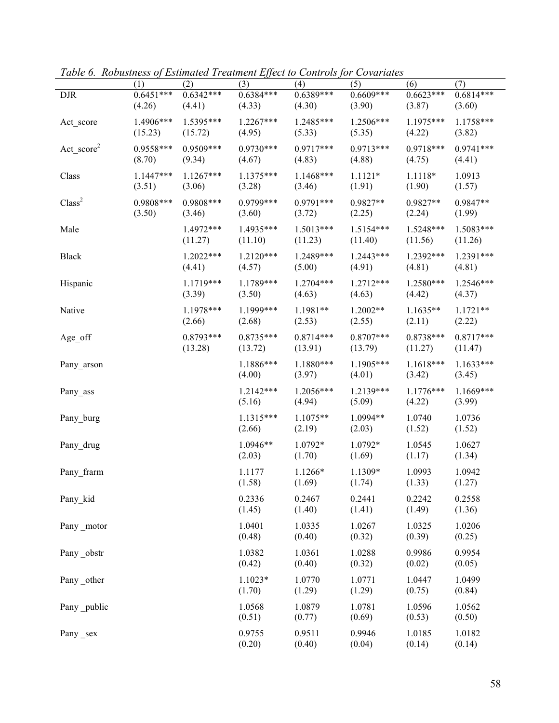| Table 0. Robusiness of Estimated Treatment Effect to Controls for Covariates |             |             |             |             |             |             |             |
|------------------------------------------------------------------------------|-------------|-------------|-------------|-------------|-------------|-------------|-------------|
|                                                                              | (1)         | (2)         | (3)         | (4)         | (5)         | (6)         | (7)         |
| <b>DJR</b>                                                                   | $0.6451***$ | $0.6342***$ | $0.6384***$ | $0.6389***$ | $0.6609***$ | $0.6623***$ | $0.6814***$ |
|                                                                              | (4.26)      | (4.41)      | (4.33)      | (4.30)      | (3.90)      | (3.87)      | (3.60)      |
|                                                                              | 1.4906***   | 1.5395***   | $1.2267***$ | $1.2485***$ | $1.2506***$ | 1.1975***   | 1.1758***   |
| Act_score                                                                    |             |             |             |             |             |             |             |
|                                                                              | (15.23)     | (15.72)     | (4.95)      | (5.33)      | (5.35)      | (4.22)      | (3.82)      |
| $Act\_score^2$                                                               | 0.9558***   | 0.9509***   | $0.9730***$ | $0.9717***$ | $0.9713***$ | $0.9718***$ | $0.9741***$ |
|                                                                              | (8.70)      | (9.34)      | (4.67)      | (4.83)      | (4.88)      | (4.75)      | (4.41)      |
|                                                                              |             |             |             |             |             |             |             |
| Class                                                                        | $1.1447***$ | $1.1267***$ | $1.1375***$ | $1.1468***$ | $1.1121*$   | 1.1118*     | 1.0913      |
|                                                                              | (3.51)      | (3.06)      | (3.28)      | (3.46)      | (1.91)      | (1.90)      | (1.57)      |
| Class <sup>2</sup>                                                           | 0.9808***   | $0.9808***$ | $0.9799***$ | $0.9791***$ | $0.9827**$  | $0.9827**$  | $0.9847**$  |
|                                                                              |             |             |             |             |             |             |             |
|                                                                              | (3.50)      | (3.46)      | (3.60)      | (3.72)      | (2.25)      | (2.24)      | (1.99)      |
| Male                                                                         |             | 1.4972***   | 1.4935***   | $1.5013***$ | $1.5154***$ | 1.5248***   | 1.5083***   |
|                                                                              |             | (11.27)     | (11.10)     | (11.23)     | (11.40)     | (11.56)     | (11.26)     |
|                                                                              |             |             |             |             |             |             |             |
| <b>Black</b>                                                                 |             | $1.2022***$ | $1.2120***$ | 1.2489***   | $1.2443***$ | 1.2392***   | 1.2391***   |
|                                                                              |             | (4.41)      | (4.57)      | (5.00)      | (4.91)      | (4.81)      | (4.81)      |
| Hispanic                                                                     |             | $1.1719***$ | 1.1789***   | $1.2704***$ | $1.2712***$ | 1.2580***   | 1.2546***   |
|                                                                              |             |             | (3.50)      | (4.63)      | (4.63)      | (4.42)      | (4.37)      |
|                                                                              |             | (3.39)      |             |             |             |             |             |
| Native                                                                       |             | 1.1978***   | 1.1999***   | 1.1981**    | $1.2002**$  | $1.1635**$  | $1.1721**$  |
|                                                                              |             | (2.66)      | (2.68)      | (2.53)      | (2.55)      | (2.11)      | (2.22)      |
|                                                                              |             |             |             |             |             |             |             |
| Age_off                                                                      |             | $0.8793***$ | $0.8735***$ | $0.8714***$ | $0.8707***$ | $0.8738***$ | $0.8717***$ |
|                                                                              |             | (13.28)     | (13.72)     | (13.91)     | (13.79)     | (11.27)     | (11.47)     |
| Pany_arson                                                                   |             |             | $1.1886***$ | $1.1880***$ | $1.1905***$ | $1.1618***$ | $1.1633***$ |
|                                                                              |             |             | (4.00)      | (3.97)      | (4.01)      | (3.42)      | (3.45)      |
|                                                                              |             |             |             |             |             |             |             |
| Pany_ass                                                                     |             |             | $1.2142***$ | $1.2056***$ | 1.2139***   | $1.1776***$ | $1.1669***$ |
|                                                                              |             |             | (5.16)      | (4.94)      | (5.09)      | (4.22)      | (3.99)      |
|                                                                              |             |             |             |             |             |             |             |
| Pany_burg                                                                    |             |             | $1.1315***$ | $1.1075**$  | 1.0994**    | 1.0740      | 1.0736      |
|                                                                              |             |             | (2.66)      | (2.19)      | (2.03)      | (1.52)      | (1.52)      |
| Pany_drug                                                                    |             |             | $1.0946**$  | 1.0792*     | 1.0792*     | 1.0545      | 1.0627      |
|                                                                              |             |             | (2.03)      | (1.70)      | (1.69)      | (1.17)      | (1.34)      |
|                                                                              |             |             |             |             |             |             |             |
| Pany_frarm                                                                   |             |             | 1.1177      | 1.1266*     | 1.1309*     | 1.0993      | 1.0942      |
|                                                                              |             |             | (1.58)      | (1.69)      | (1.74)      | (1.33)      | (1.27)      |
|                                                                              |             |             |             |             | 0.2441      |             |             |
| Pany_kid                                                                     |             |             | 0.2336      | 0.2467      |             | 0.2242      | 0.2558      |
|                                                                              |             |             | (1.45)      | (1.40)      | (1.41)      | (1.49)      | (1.36)      |
| Pany motor                                                                   |             |             | 1.0401      | 1.0335      | 1.0267      | 1.0325      | 1.0206      |
|                                                                              |             |             | (0.48)      | (0.40)      | (0.32)      | (0.39)      | (0.25)      |
|                                                                              |             |             |             |             |             |             |             |
| Pany _obstr                                                                  |             |             | 1.0382      | 1.0361      | 1.0288      | 0.9986      | 0.9954      |
|                                                                              |             |             | (0.42)      | (0.40)      | (0.32)      | (0.02)      | (0.05)      |
| Pany_other                                                                   |             |             | $1.1023*$   | 1.0770      | 1.0771      | 1.0447      | 1.0499      |
|                                                                              |             |             |             |             |             |             |             |
|                                                                              |             |             | (1.70)      | (1.29)      | (1.29)      | (0.75)      | (0.84)      |
| Pany public                                                                  |             |             | 1.0568      | 1.0879      | 1.0781      | 1.0596      | 1.0562      |
|                                                                              |             |             | (0.51)      | (0.77)      | (0.69)      | (0.53)      | (0.50)      |
|                                                                              |             |             |             |             |             |             |             |
| Pany _sex                                                                    |             |             | 0.9755      | 0.9511      | 0.9946      | 1.0185      | 1.0182      |
|                                                                              |             |             | (0.20)      | (0.40)      | (0.04)      | (0.14)      | (0.14)      |

*Table 6. Robustness of Estimated Treatment Effect to Controls for Covariates*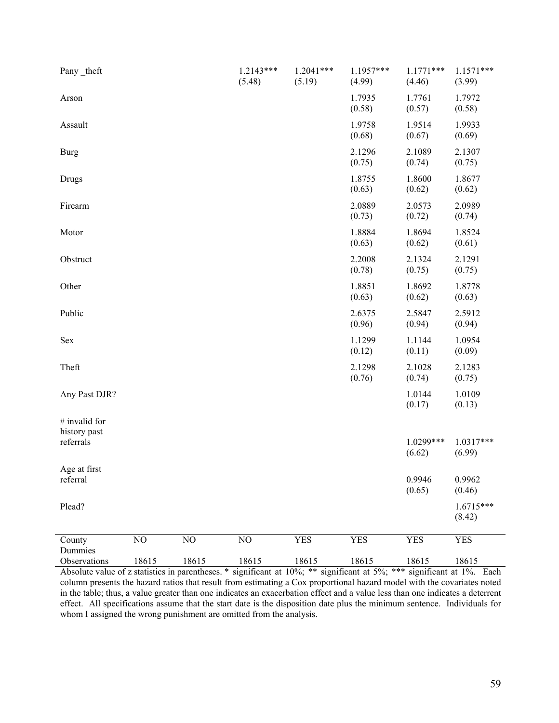| Pany_theft                                 |          |          | $1.2143***$<br>(5.48) | $1.2041***$<br>(5.19) | 1.1957***<br>(4.99) | $1.1771***$<br>(4.46) | $1.1571***$<br>(3.99) |
|--------------------------------------------|----------|----------|-----------------------|-----------------------|---------------------|-----------------------|-----------------------|
| Arson                                      |          |          |                       |                       | 1.7935<br>(0.58)    | 1.7761<br>(0.57)      | 1.7972<br>(0.58)      |
| Assault                                    |          |          |                       |                       | 1.9758<br>(0.68)    | 1.9514<br>(0.67)      | 1.9933<br>(0.69)      |
| <b>Burg</b>                                |          |          |                       |                       | 2.1296<br>(0.75)    | 2.1089<br>(0.74)      | 2.1307<br>(0.75)      |
| Drugs                                      |          |          |                       |                       | 1.8755<br>(0.63)    | 1.8600<br>(0.62)      | 1.8677<br>(0.62)      |
| Firearm                                    |          |          |                       |                       | 2.0889<br>(0.73)    | 2.0573<br>(0.72)      | 2.0989<br>(0.74)      |
| Motor                                      |          |          |                       |                       | 1.8884<br>(0.63)    | 1.8694<br>(0.62)      | 1.8524<br>(0.61)      |
| Obstruct                                   |          |          |                       |                       | 2.2008<br>(0.78)    | 2.1324<br>(0.75)      | 2.1291<br>(0.75)      |
| Other                                      |          |          |                       |                       | 1.8851<br>(0.63)    | 1.8692<br>(0.62)      | 1.8778<br>(0.63)      |
| Public                                     |          |          |                       |                       | 2.6375<br>(0.96)    | 2.5847<br>(0.94)      | 2.5912<br>(0.94)      |
| Sex                                        |          |          |                       |                       | 1.1299<br>(0.12)    | 1.1144<br>(0.11)      | 1.0954<br>(0.09)      |
| Theft                                      |          |          |                       |                       | 2.1298<br>(0.76)    | 2.1028<br>(0.74)      | 2.1283<br>(0.75)      |
| Any Past DJR?                              |          |          |                       |                       |                     | 1.0144<br>(0.17)      | 1.0109<br>(0.13)      |
| # invalid for<br>history past<br>referrals |          |          |                       |                       |                     | $1.0299***$           | $1.0317***$           |
| Age at first                               |          |          |                       |                       |                     | (6.62)                | (6.99)                |
| referral                                   |          |          |                       |                       |                     | 0.9946<br>(0.65)      | 0.9962<br>(0.46)      |
| Plead?                                     |          |          |                       |                       |                     |                       | $1.6715***$<br>(8.42) |
| County                                     | $\rm NO$ | $\rm NO$ | $\rm NO$              | <b>YES</b>            | <b>YES</b>          | <b>YES</b>            | <b>YES</b>            |
| Dummies<br>Observations                    | 18615    | 18615    | 18615                 | 18615                 | 18615               | 18615                 | 18615                 |

Absolute value of z statistics in parentheses. \* significant at 10%; \*\* significant at 5%; \*\*\* significant at 1%. Each column presents the hazard ratios that result from estimating a Cox proportional hazard model with the covariates noted in the table; thus, a value greater than one indicates an exacerbation effect and a value less than one indicates a deterrent effect. All specifications assume that the start date is the disposition date plus the minimum sentence. Individuals for whom I assigned the wrong punishment are omitted from the analysis.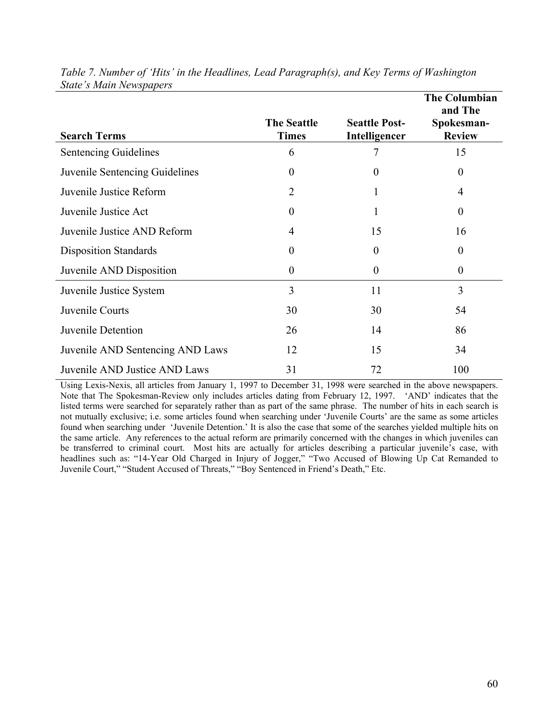|                                  | <b>The Seattle</b> | <b>Seattle Post-</b> | <b>The Columbian</b><br>and The<br>Spokesman- |
|----------------------------------|--------------------|----------------------|-----------------------------------------------|
| <b>Search Terms</b>              | <b>Times</b>       | Intelligencer        | <b>Review</b>                                 |
| Sentencing Guidelines            | 6                  | 7                    | 15                                            |
| Juvenile Sentencing Guidelines   | $\theta$           | $\boldsymbol{0}$     | $\Omega$                                      |
| Juvenile Justice Reform          | $\overline{2}$     | 1                    | $\overline{4}$                                |
| Juvenile Justice Act             | $\theta$           |                      | $\theta$                                      |
| Juvenile Justice AND Reform      | 4                  | 15                   | 16                                            |
| <b>Disposition Standards</b>     | $\theta$           | $\theta$             | $\theta$                                      |
| Juvenile AND Disposition         | $\theta$           | $\theta$             | $\theta$                                      |
| Juvenile Justice System          | 3                  | 11                   | 3                                             |
| Juvenile Courts                  | 30                 | 30                   | 54                                            |
| Juvenile Detention               | 26                 | 14                   | 86                                            |
| Juvenile AND Sentencing AND Laws | 12                 | 15                   | 34                                            |
| Juvenile AND Justice AND Laws    | 31                 | 72                   | 100                                           |

*Table 7. Number of 'Hits' in the Headlines, Lead Paragraph(s), and Key Terms of Washington State's Main Newspapers* 

Using Lexis-Nexis, all articles from January 1, 1997 to December 31, 1998 were searched in the above newspapers. Note that The Spokesman-Review only includes articles dating from February 12, 1997. 'AND' indicates that the listed terms were searched for separately rather than as part of the same phrase. The number of hits in each search is not mutually exclusive; i.e. some articles found when searching under 'Juvenile Courts' are the same as some articles found when searching under 'Juvenile Detention.' It is also the case that some of the searches yielded multiple hits on the same article. Any references to the actual reform are primarily concerned with the changes in which juveniles can be transferred to criminal court. Most hits are actually for articles describing a particular juvenile's case, with headlines such as: "14-Year Old Charged in Injury of Jogger," "Two Accused of Blowing Up Cat Remanded to Juvenile Court," "Student Accused of Threats," "Boy Sentenced in Friend's Death," Etc.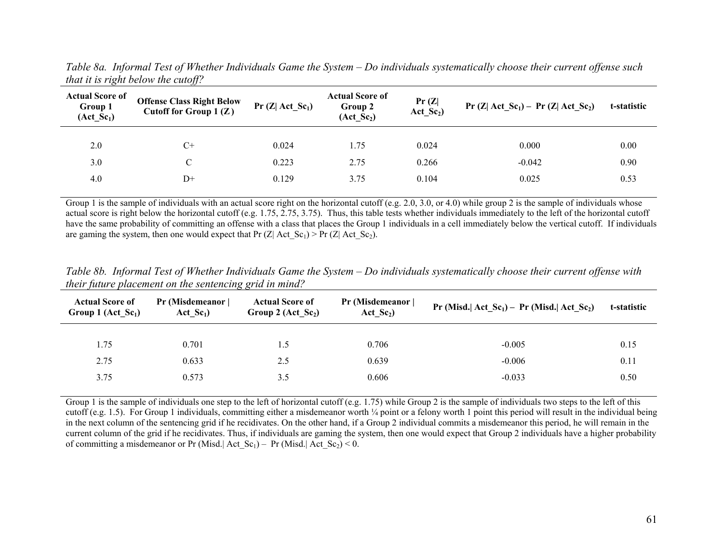| <b>Actual Score of</b><br>Group 1<br>(Act Sc <sub>1</sub> ) | <b>Offense Class Right Below</b><br>Cutoff for Group $1(Z)$ | Pr(Z  Act Sc <sub>1</sub> ) | <b>Actual Score of</b><br>Pr(Z <br>Group 2<br>Act $Sc2$ )<br>(Act Sc <sub>2</sub> ) |       | $Pr(Z  \text{ Act } Sc_1) - Pr(Z  \text{ Act } Sc_2)$ | t-statistic |
|-------------------------------------------------------------|-------------------------------------------------------------|-----------------------------|-------------------------------------------------------------------------------------|-------|-------------------------------------------------------|-------------|
| 2.0                                                         | C+                                                          | 0.024                       | 1.75                                                                                | 0.024 | 0.000                                                 | 0.00        |
| 3.0                                                         |                                                             | 0.223                       | 2.75                                                                                | 0.266 | $-0.042$                                              | 0.90        |
| 4.0                                                         | $D+$                                                        | 0.129                       | 3.75                                                                                | 0.104 | 0.025                                                 | 0.53        |
|                                                             |                                                             |                             |                                                                                     |       |                                                       |             |

*Table 8a. Informal Test of Whether Individuals Game the System – Do individuals systematically choose their current offense such that it is right below the cutoff?* 

Group 1 is the sample of individuals with an actual score right on the horizontal cutoff (e.g. 2.0, 3.0, or 4.0) while group 2 is the sample of individuals whose actual score is right below the horizontal cutoff (e.g. 1.75, 2.75, 3.75). Thus, this table tests whether individuals immediately to the left of the horizontal cutoff have the same probability of committing an offense with a class that places the Group 1 individuals in a cell immediately below the vertical cutoff. If individuals are gaming the system, then one would expect that Pr  $(Z|\,\text{Act}\,\text{Sc}_1)$  > Pr  $(Z|\,\text{Act}\,\text{Sc}_2)$ .

*Table 8b. Informal Test of Whether Individuals Game the System – Do individuals systematically choose their current offense with their future placement on the sentencing grid in mind?* 

| <b>Actual Score of</b><br>Group 1 (Act $Sc1$ ) | Pr (Misdemeanor)<br>$Act$ $Sc1$ ) | <b>Actual Score of</b><br>Pr (Misdemeanor)<br>Act $Sc2$ )<br>Group 2 (Act $Sc_2$ ) |       | Pr (Misd.  Act $Sc_1$ ) – Pr (Misd.  Act $Sc_2$ ) | t-statistic |
|------------------------------------------------|-----------------------------------|------------------------------------------------------------------------------------|-------|---------------------------------------------------|-------------|
| 1.75                                           | 0.701                             |                                                                                    | 0.706 | $-0.005$                                          | 0.15        |
| 2.75                                           | 0.633                             | 2.5                                                                                | 0.639 | $-0.006$                                          | 0.11        |
| 3.75                                           | 0.573                             | 3.5                                                                                | 0.606 | $-0.033$                                          | 0.50        |

Group 1 is the sample of individuals one step to the left of horizontal cutoff (e.g. 1.75) while Group 2 is the sample of individuals two steps to the left of this cutoff (e.g. 1.5). For Group 1 individuals, committing either a misdemeanor worth  $\frac{1}{4}$  point or a felony worth 1 point this period will result in the individual being in the next column of the sentencing grid if he recidivates. On the other hand, if a Group 2 individual commits a misdemeanor this period, he will remain in the current column of the grid if he recidivates. Thus, if individuals are gaming the system, then one would expect that Group 2 individuals have a higher probability of committing a misdemeanor or Pr (Misd.| Act\_Sc<sub>1</sub>) – Pr (Misd.| Act\_Sc<sub>2</sub>) < 0.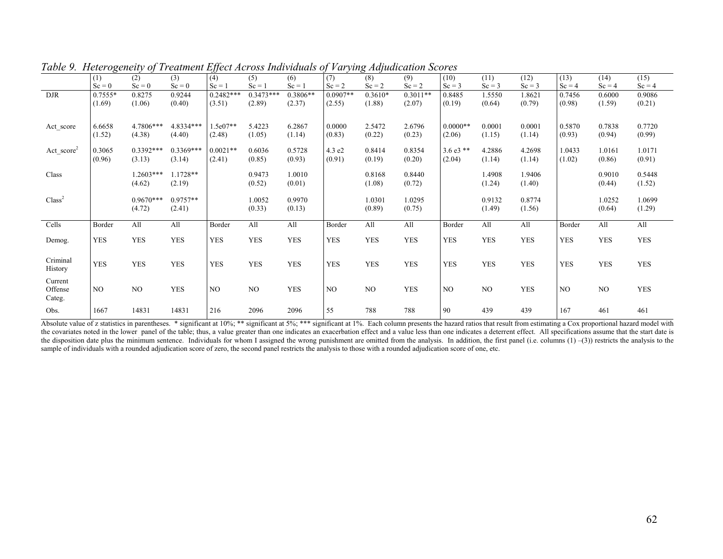| $\cdots \cdots$    | 1100000    | $\mathcal{L}$  |            |                 | ັບມ         | .          | $\sim$<br>$\cdots$<br>$1.00$ decreases to second $\sim$ |            |            |             |                |            |            |                |            |
|--------------------|------------|----------------|------------|-----------------|-------------|------------|---------------------------------------------------------|------------|------------|-------------|----------------|------------|------------|----------------|------------|
|                    | (1)        | (2)            | (3)        | (4)             | (5)         | (6)        | (7)                                                     | (8)        | (9)        | (10)        | (11)           | (12)       | (13)       | (14)           | (15)       |
|                    | $Sc = 0$   | $Sc = 0$       | $Sc = 0$   | $Sc = 1$        | $Sc = 1$    | $Sc = 1$   | $Sc = 2$                                                | $Sc = 2$   | $Sc = 2$   | $Sc = 3$    | $Sc = 3$       | $Sc = 3$   | $Sc = 4$   | $Sc = 4$       | $Sc = 4$   |
| <b>DJR</b>         | $0.7555*$  | 0.8275         | 0.9244     | $0.2482***$     | $0.3473***$ | $0.3806**$ | $0.0907**$                                              | $0.3610*$  | $0.3011**$ | 0.8485      | 1.5550         | 1.8621     | 0.7456     | 0.6000         | 0.9086     |
|                    | (1.69)     | (1.06)         | (0.40)     | (3.51)          | (2.89)      | (2.37)     | (2.55)                                                  | (1.88)     | (2.07)     | (0.19)      | (0.64)         | (0.79)     | (0.98)     | (1.59)         | (0.21)     |
|                    |            |                |            |                 |             |            |                                                         |            |            |             |                |            |            |                |            |
|                    |            |                |            |                 |             |            |                                                         |            |            |             |                |            |            |                |            |
| Act score          | 6.6658     | 4.7806***      | 4.8334 *** | $1.5e07**$      | 5.4223      | 6.2867     | 0.0000                                                  | 2.5472     | 2.6796     | $0.0000**$  | 0.0001         | 0.0001     | 0.5870     | 0.7838         | 0.7720     |
|                    | (1.52)     | (4.38)         | (4.40)     | (2.48)          | (1.05)      | (1.14)     | (0.83)                                                  | (0.22)     | (0.23)     | (2.06)      | (1.15)         | (1.14)     | (0.93)     | (0.94)         | (0.99)     |
| $Act\_score^2$     | 0.3065     | $0.3392***$    | 0.3369***  | $0.0021**$      | 0.6036      | 0.5728     | 4.3 e2                                                  | 0.8414     | 0.8354     | 3.6 $e3$ ** | 4.2886         | 4.2698     | 1.0433     | 1.0161         | 1.0171     |
|                    | (0.96)     | (3.13)         | (3.14)     | (2.41)          | (0.85)      | (0.93)     | (0.91)                                                  | (0.19)     | (0.20)     | (2.04)      | (1.14)         | (1.14)     | (1.02)     | (0.86)         | (0.91)     |
|                    |            |                |            |                 |             |            |                                                         |            |            |             |                |            |            |                |            |
| Class              |            | $1.2603***$    | $1.1728**$ |                 | 0.9473      | 1.0010     |                                                         | 0.8168     | 0.8440     |             | 1.4908         | 1.9406     |            | 0.9010         | 0.5448     |
|                    |            | (4.62)         | (2.19)     |                 | (0.52)      | (0.01)     |                                                         | (1.08)     | (0.72)     |             | (1.24)         | (1.40)     |            | (0.44)         | (1.52)     |
|                    |            |                |            |                 |             |            |                                                         |            |            |             |                |            |            |                |            |
| Class <sup>2</sup> |            | $0.9670***$    | $0.9757**$ |                 | 1.0052      | 0.9970     |                                                         | 1.0301     | 1.0295     |             | 0.9132         | 0.8774     |            | 1.0252         | 1.0699     |
|                    |            | (4.72)         | (2.41)     |                 | (0.33)      | (0.13)     |                                                         | (0.89)     | (0.75)     |             | (1.49)         | (1.56)     |            | (0.64)         | (1.29)     |
|                    |            |                |            |                 |             |            |                                                         |            |            |             |                |            |            |                |            |
| Cells              | Border     | All            | All        | Border          | All         | All        | Border                                                  | All        | All        | Border      | All            | All        | Border     | All            | All        |
|                    |            |                |            |                 |             |            |                                                         |            |            |             |                |            |            |                |            |
| Demog.             | <b>YES</b> | YES            | <b>YES</b> | <b>YES</b>      | YES         | YES        | <b>YES</b>                                              | <b>YES</b> | <b>YES</b> | <b>YES</b>  | YES            | <b>YES</b> | <b>YES</b> | <b>YES</b>     | YES        |
|                    |            |                |            |                 |             |            |                                                         |            |            |             |                |            |            |                |            |
| Criminal           | <b>YES</b> | YES            | <b>YES</b> | <b>YES</b>      | YES         | YES        | <b>YES</b>                                              | YES        | <b>YES</b> | YES         | YES            | <b>YES</b> | YES        | <b>YES</b>     | <b>YES</b> |
| History            |            |                |            |                 |             |            |                                                         |            |            |             |                |            |            |                |            |
| Current            |            |                |            |                 |             |            |                                                         |            |            |             |                |            |            |                |            |
| Offense            | NO.        | N <sub>O</sub> | <b>YES</b> | NO <sub>1</sub> | NO.         | <b>YES</b> | NO.                                                     | NO.        | <b>YES</b> | NO          | N <sub>O</sub> | <b>YES</b> | NO         | N <sub>O</sub> | <b>YES</b> |
| Categ.             |            |                |            |                 |             |            |                                                         |            |            |             |                |            |            |                |            |
|                    |            |                |            |                 |             |            |                                                         |            |            |             |                |            |            |                |            |
| Obs.               | 1667       | 14831          | 14831      | 216             | 2096        | 2096       | 55                                                      | 788        | 788        | 90          | 439            | 439        | 167        | 461            | 461        |

*Table 9. Heterogeneity of Treatment Effect Across Individuals of Varying Adjudication Scores* 

Absolute value of z statistics in parentheses. \* significant at 10%; \*\* significant at 5%; \*\*\* significant at 1%. Each column presents the hazard ratios that result from estimating a Cox proportional hazard model with the covariates noted in the lower panel of the table; thus, a value greater than one indicates an exacerbation effect and a value less than one indicates a deterrent effect. All specifications assume that the start date is the disposition date plus the minimum sentence. Individuals for whom I assigned the wrong punishment are omitted from the analysis. In addition, the first panel (i.e. columns  $(1)$  –(3)) restricts the analysis to the sample of individuals with a rounded adjudication score of zero, the second panel restricts the analysis to those with a rounded adjudication score of one, etc.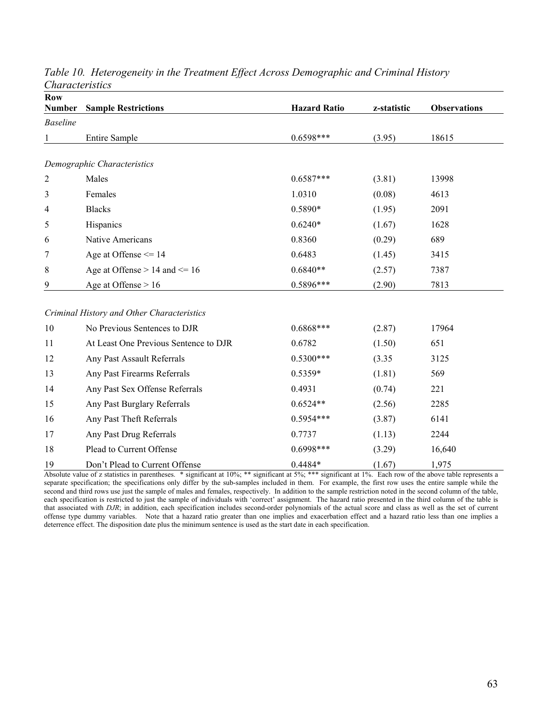| <b>Row</b><br><b>Number</b> | <b>Sample Restrictions</b>                 | <b>Hazard Ratio</b> | z-statistic | <b>Observations</b> |
|-----------------------------|--------------------------------------------|---------------------|-------------|---------------------|
| <b>Baseline</b>             |                                            |                     |             |                     |
| 1                           | <b>Entire Sample</b>                       | $0.6598***$         | (3.95)      | 18615               |
|                             |                                            |                     |             |                     |
|                             | Demographic Characteristics                |                     |             |                     |
| $\overline{2}$              | Males                                      | $0.6587***$         | (3.81)      | 13998               |
| 3                           | Females                                    | 1.0310              | (0.08)      | 4613                |
| 4                           | <b>Blacks</b>                              | 0.5890*             | (1.95)      | 2091                |
| 5                           | Hispanics                                  | $0.6240*$           | (1.67)      | 1628                |
| 6                           | Native Americans                           | 0.8360              | (0.29)      | 689                 |
| 7                           | Age at Offense $\leq 14$                   | 0.6483              | (1.45)      | 3415                |
| 8                           | Age at Offense $> 14$ and $\leq 16$        | $0.6840**$          | (2.57)      | 7387                |
| 9                           | Age at Offense $> 16$                      | 0.5896***           | (2.90)      | 7813                |
|                             |                                            |                     |             |                     |
|                             | Criminal History and Other Characteristics |                     |             |                     |
| 10                          | No Previous Sentences to DJR               | $0.6868***$         | (2.87)      | 17964               |
| 11                          | At Least One Previous Sentence to DJR      | 0.6782              | (1.50)      | 651                 |
| 12                          | Any Past Assault Referrals                 | $0.5300***$         | (3.35)      | 3125                |
| 13                          | Any Past Firearms Referrals                | 0.5359*             | (1.81)      | 569                 |
| 14                          | Any Past Sex Offense Referrals             | 0.4931              | (0.74)      | 221                 |
| 15                          | Any Past Burglary Referrals                | $0.6524**$          | (2.56)      | 2285                |
| 16                          | Any Past Theft Referrals                   | 0.5954***           | (3.87)      | 6141                |
| 17                          | Any Past Drug Referrals                    | 0.7737              | (1.13)      | 2244                |
| 18                          | Plead to Current Offense                   | $0.6998***$         | (3.29)      | 16,640              |
| 19                          | Don't Plead to Current Offense             | 0.4484*             | (1.67)      | 1,975               |

*Table 10. Heterogeneity in the Treatment Effect Across Demographic and Criminal History Characteristics* 

Absolute value of z statistics in parentheses. \* significant at 10%; \*\* significant at 5%; \*\*\* significant at 1%. Each row of the above table represents a separate specification; the specifications only differ by the sub-samples included in them. For example, the first row uses the entire sample while the second and third rows use just the sample of males and females, respectively. In addition to the sample restriction noted in the second column of the table, each specification is restricted to just the sample of individuals with 'correct' assignment. The hazard ratio presented in the third column of the table is that associated with *DJR*; in addition, each specification includes second-order polynomials of the actual score and class as well as the set of current offense type dummy variables. Note that a hazard ratio greater than one implies and exacerbation effect and a hazard ratio less than one implies a deterrence effect. The disposition date plus the minimum sentence is used as the start date in each specification.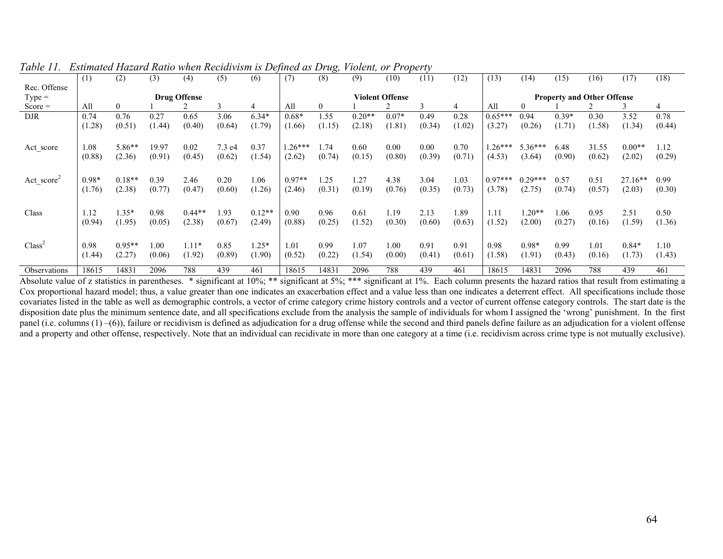|                    | (1)     | (2)      | (3)    | (4)                 | (5)    | (6)      | (7)       | (8)      | (9)      | (10)                   | (11)   | (12)   | (13)                              | (14)      | (15)    | (16)   | (17)      | (18)   |
|--------------------|---------|----------|--------|---------------------|--------|----------|-----------|----------|----------|------------------------|--------|--------|-----------------------------------|-----------|---------|--------|-----------|--------|
| Rec. Offense       |         |          |        |                     |        |          |           |          |          |                        |        |        |                                   |           |         |        |           |        |
| $Type =$           |         |          |        | <b>Drug Offense</b> |        |          |           |          |          | <b>Violent Offense</b> |        |        | <b>Property and Other Offense</b> |           |         |        |           |        |
| $Score =$          | All     |          |        |                     |        |          | All       | $\Omega$ |          |                        |        |        | All                               |           |         |        |           |        |
| <b>DJR</b>         | 0.74    | 0.76     | 0.27   | 0.65                | 3.06   | $6.34*$  | $0.68*$   | 1.55     | $0.20**$ | $0.07*$                | 0.49   | 0.28   | $0.65***$                         | 0.94      | $0.39*$ | 0.30   | 3.52      | 0.78   |
|                    | (1.28)  | (0.51)   | (1.44) | (0.40)              | (0.64) | (1.79)   | (1.66)    | (1.15)   | (2.18)   | (1.81)                 | (0.34) | (1.02) | (3.27)                            | (0.26)    | (1.71)  | (1.58) | (1.34)    | (0.44) |
|                    |         |          |        |                     |        |          |           |          |          |                        |        |        |                                   |           |         |        |           |        |
| Act score          | 0.08    | $5.86**$ | 19.97  | 0.02                | 7.3 e4 | 0.37     | $1.26***$ | 1.74     | 0.60     | 0.00                   | 0.00   | 0.70   | $1.26***$                         | $5.36***$ | 6.48    | 31.55  | $0.00**$  | 1.12   |
|                    | (0.88)  | (2.36)   | (0.91) | (0.45)              | (0.62) | (1.54)   | (2.62)    | (0.74)   | (0.15)   | (0.80)                 | (0.39) | (0.71) | (4.53)                            | (3.64)    | (0.90)  | (0.62) | (2.02)    | (0.29) |
|                    |         |          |        |                     |        |          |           |          |          |                        |        |        |                                   |           |         |        |           |        |
|                    |         |          |        |                     |        |          |           |          |          |                        |        |        |                                   |           |         |        |           |        |
| Act $score2$       | $0.98*$ | $0.18**$ | 0.39   | 2.46                | 0.20   | 1.06     | $0.97**$  | 1.25     | .27      | 4.38                   | 3.04   | 1.03   | $0.97***$                         | $0.29***$ | 0.57    | 0.51   | $27.16**$ | 0.99   |
|                    | (1.76)  | (2.38)   | (0.77) | (0.47)              | (0.60) | (1.26)   | (2.46)    | (0.31)   | (0.19)   | (0.76)                 | (0.35) | (0.73) | (3.78)                            | (2.75)    | (0.74)  | (0.57) | (2.03)    | (0.30) |
|                    |         |          |        |                     |        |          |           |          |          |                        |        |        |                                   |           |         |        |           |        |
| Class              | 1.12    | $1.35*$  | 0.98   | $0.44**$            | 1.93   | $0.12**$ | 0.90      | 0.96     | 0.61     | 1.19                   | 2.13   | 1.89   | 1.11                              | $.20**$   | 1.06    | 0.95   | 2.51      | 0.50   |
|                    | (0.94)  | (1.95)   | (0.05) | (2.38)              | (0.67) | (2.49)   | (0.88)    | (0.25)   | (1.52)   | (0.30)                 | (0.60) | (0.63) | (1.52)                            | (2.00)    | (0.27)  | (0.16) | (1.59)    | (1.36) |
|                    |         |          |        |                     |        |          |           |          |          |                        |        |        |                                   |           |         |        |           |        |
|                    |         |          |        |                     |        |          |           |          |          |                        |        |        |                                   |           |         |        |           |        |
| Class <sup>2</sup> | 0.98    | $0.95**$ | 1.00   | $1.11*$             | 0.85   | $1.25*$  | 1.01      | 0.99     | 1.07     | 1.00                   | 0.91   | 0.91   | 0.98                              | $0.98*$   | 0.99    | 1.01   | $0.84*$   | 1.10   |
|                    | (1.44)  | (2.27)   | (0.06) | (1.92)              | (0.89) | (1.90)   | (0.52)    | (0.22)   | (1.54)   | (0.00)                 | (0.41) | (0.61) | (1.58)                            | (1.91)    | (0.43)  | (0.16) | (1.73)    | (1.43) |
| Observations       | 18615   | 14831    | 2096   | 788                 | 439    | 461      | 18615     | 14831    | 2096     | 788                    | 439    | 461    | 18615                             | 14831     | 2096    | 788    | 439       | 461    |

*Table 11. Estimated Hazard Ratio when Recidivism is Defined as Drug, Violent, or Property* 

Observations 18615 14831 2096 788 439 461 18615 14831 2096 788 439 461 18615 14831 2096 788 439 461<br>Absolute value of z statistics in parentheses. \* significant at 10%; \*\* significant at 5%; \*\*\* significant at 1%. Each co Cox proportional hazard model; thus, a value greater than one indicates an exacerbation effect and a value less than one indicates a deterrent effect. All specifications include those covariates listed in the table as well as demographic controls, a vector of crime category crime history controls and a vector of current offense category controls. The start date is the disposition date plus the minimum sentence date, and all specifications exclude from the analysis the sample of individuals for whom I assigned the 'wrong' punishment. In the first panel (i.e. columns  $(1)$  –(6)), failure or recidivism is defined as adjudication for a drug offense while the second and third panels define failure as an adjudication for a violent offense and a property and other offense, respectively. Note that an individual can recidivate in more than one category at a time (i.e. recidivism across crime type is not mutually exclusive).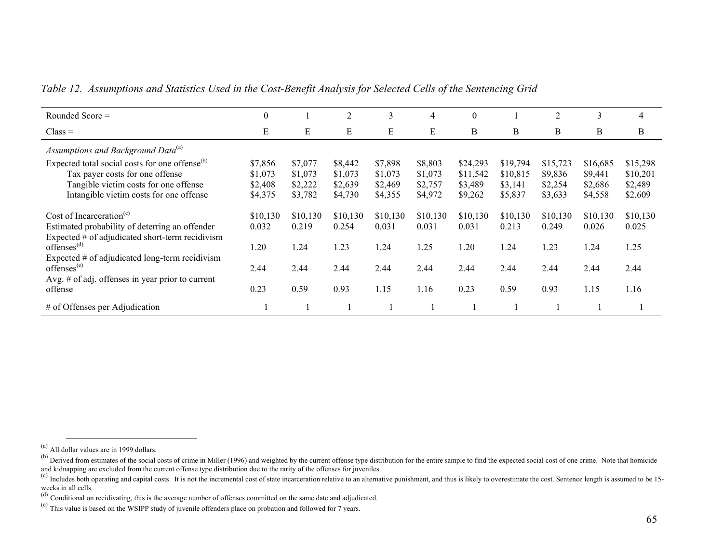| Rounded Score =                                                                                                                                                                   | $\theta$                                 |                                          | 2                                        | 3                                        | 4                                        | $\boldsymbol{0}$                           |                                            | 2                                         | 3                                         | 4                                          |
|-----------------------------------------------------------------------------------------------------------------------------------------------------------------------------------|------------------------------------------|------------------------------------------|------------------------------------------|------------------------------------------|------------------------------------------|--------------------------------------------|--------------------------------------------|-------------------------------------------|-------------------------------------------|--------------------------------------------|
| $Class =$                                                                                                                                                                         | E                                        | E                                        | Е                                        | E                                        | E                                        | $\mathbf{B}$                               | B                                          | B                                         | B                                         | $\, {\bf B}$                               |
| Assumptions and Background Data <sup>(a)</sup>                                                                                                                                    |                                          |                                          |                                          |                                          |                                          |                                            |                                            |                                           |                                           |                                            |
| Expected total social costs for one offense <sup>(b)</sup><br>Tax payer costs for one offense<br>Tangible victim costs for one offense<br>Intangible victim costs for one offense | \$7,856<br>\$1,073<br>\$2,408<br>\$4,375 | \$7,077<br>\$1,073<br>\$2,222<br>\$3,782 | \$8,442<br>\$1,073<br>\$2,639<br>\$4,730 | \$7,898<br>\$1,073<br>\$2,469<br>\$4,355 | \$8,803<br>\$1,073<br>\$2,757<br>\$4,972 | \$24,293<br>\$11,542<br>\$3,489<br>\$9,262 | \$19,794<br>\$10,815<br>\$3,141<br>\$5,837 | \$15,723<br>\$9,836<br>\$2,254<br>\$3,633 | \$16,685<br>\$9,441<br>\$2,686<br>\$4,558 | \$15,298<br>\$10,201<br>\$2,489<br>\$2,609 |
| Cost of Incarceration <sup>(c)</sup><br>Estimated probability of deterring an offender<br>Expected $#$ of adjudicated short-term recidivism                                       | \$10,130<br>0.032                        | \$10,130<br>0.219                        | \$10,130<br>0.254                        | \$10,130<br>0.031                        | \$10,130<br>0.031                        | \$10,130<br>0.031                          | \$10,130<br>0.213                          | \$10,130<br>0.249                         | \$10,130<br>0.026                         | \$10,130<br>0.025                          |
| offenses <sup>(d)</sup>                                                                                                                                                           | 1.20                                     | 1.24                                     | 1.23                                     | 1.24                                     | 1.25                                     | 1.20                                       | 1.24                                       | 1.23                                      | 1.24                                      | 1.25                                       |
| Expected $#$ of adjudicated long-term recidivism<br>offenses <sup>(e)</sup><br>Avg. $#$ of adj. offenses in year prior to current                                                 | 2.44                                     | 2.44                                     | 2.44                                     | 2.44                                     | 2.44                                     | 2.44                                       | 2.44                                       | 2.44                                      | 2.44                                      | 2.44                                       |
| offense                                                                                                                                                                           | 0.23                                     | 0.59                                     | 0.93                                     | 1.15                                     | 1.16                                     | 0.23                                       | 0.59                                       | 0.93                                      | 1.15                                      | 1.16                                       |
| $#$ of Offenses per Adjudication                                                                                                                                                  |                                          |                                          |                                          |                                          |                                          |                                            |                                            |                                           |                                           |                                            |

*Table 12. Assumptions and Statistics Used in the Cost-Benefit Analysis for Selected Cells of the Sentencing Grid* 

<sup>&</sup>lt;sup>(a)</sup> All dollar values are in 1999 dollars.

<sup>(</sup>b) Derived from estimates of the social costs of crime in Miller (1996) and weighted by the current offense type distribution for the entire sample to find the expected social cost of one crime. Note that homicide and kidnapping are excluded from the current offense type distribution due to the rarity of the offenses for juveniles.

<sup>&</sup>lt;sup>(c)</sup> Includes both operating and capital costs. It is not the incremental cost of state incarceration relative to an alternative punishment, and thus is likely to overestimate the cost. Sentence length is assumed to be 15 weeks in all cells.

<sup>&</sup>lt;sup>(d)</sup> Conditional on recidivating, this is the average number of offenses committed on the same date and adjudicated.

 $^{(e)}$  This value is based on the WSIPP study of juvenile offenders place on probation and followed for 7 years.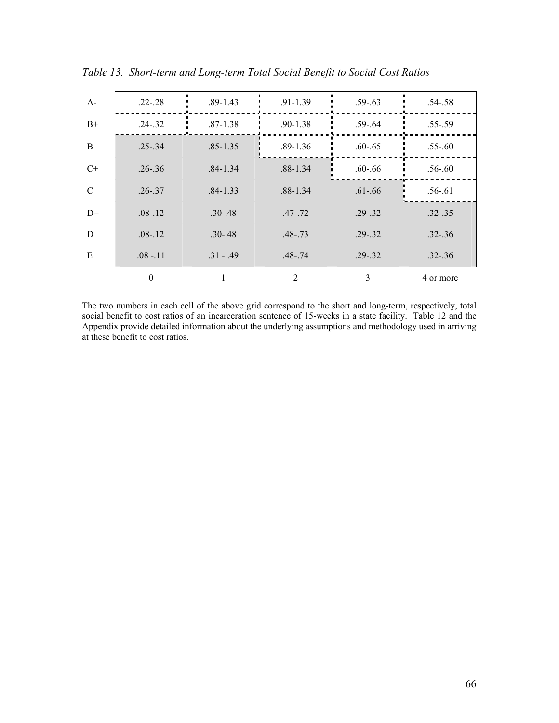| $A-$ | $.22 - .28$ | $.89 - 1.43$ | $.91 - 1.39$ | $.59 - .63$ | $.54 - .58$ |
|------|-------------|--------------|--------------|-------------|-------------|
| $B+$ | $.24 - .32$ | $.87 - 1.38$ | $.90 - 1.38$ | $.59 - .64$ | $.55 - .59$ |
| B    | $.25 - .34$ | $.85 - 1.35$ | $.89 - 1.36$ | $.60 - .65$ | $.55 - .60$ |
| $C+$ | $.26 - .36$ | $.84 - 1.34$ | $.88 - 1.34$ | $.60 - .66$ | $.56 - .60$ |
| C    | $.26 - .37$ | $.84 - 1.33$ | $.88 - 1.34$ | $.61 - .66$ | $.56 - .61$ |
| $D+$ | $.08 - .12$ | $.30 - .48$  | $.47 - .72$  | $.29 - .32$ | $.32 - .35$ |
| D    | $.08 - .12$ | $.30 - .48$  | $.48 - .73$  | $.29 - .32$ | $.32 - .36$ |
| E    | $.08 - 11$  | $.31 - .49$  | $.48 - .74$  | $.29 - .32$ | $.32 - .36$ |
|      | $\theta$    |              | 2            | 3           | 4 or more   |

*Table 13. Short-term and Long-term Total Social Benefit to Social Cost Ratios* 

The two numbers in each cell of the above grid correspond to the short and long-term, respectively, total social benefit to cost ratios of an incarceration sentence of 15-weeks in a state facility. Table 12 and the Appendix provide detailed information about the underlying assumptions and methodology used in arriving at these benefit to cost ratios.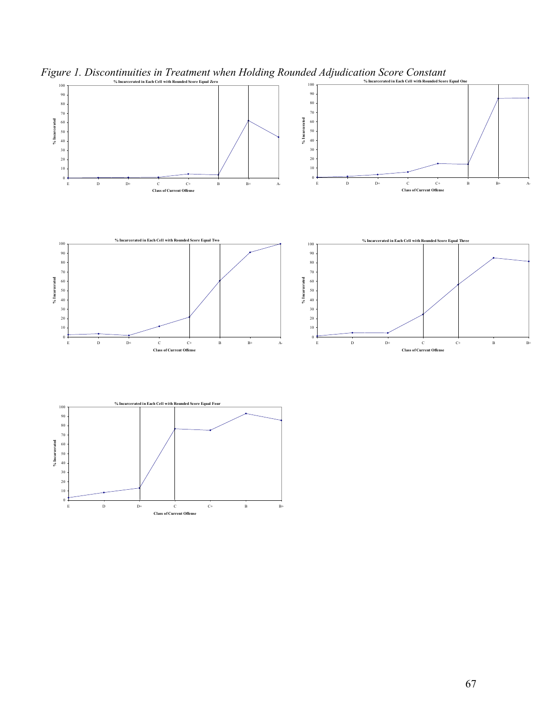

Figure 1. Discontinuities in Treatment when Holding Rounded Adjudication Score Constant<br>
<sup>36</sup> Incarcerated in Each Cell with Rounded Score Equal One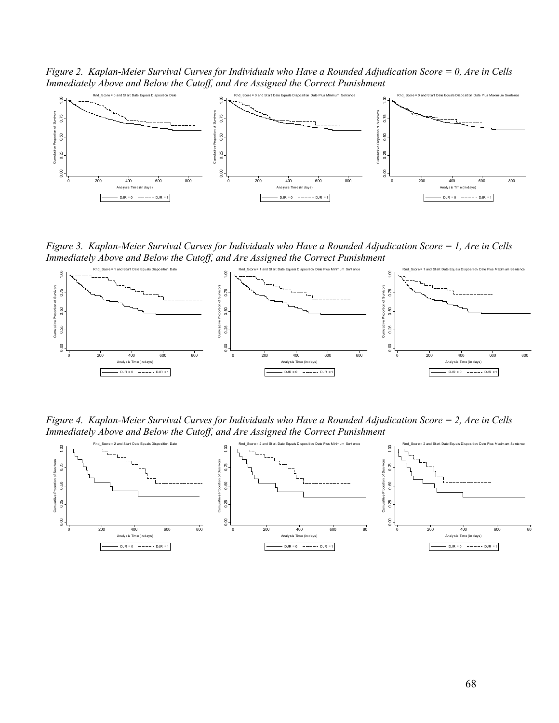*Figure 2. Kaplan-Meier Survival Curves for Individuals who Have a Rounded Adjudication Score = 0, Are in Cells Immediately Above and Below the Cutoff, and Are Assigned the Correct Punishment* 



*Figure 3. Kaplan-Meier Survival Curves for Individuals who Have a Rounded Adjudication Score = 1, Are in Cells Immediately Above and Below the Cutoff, and Are Assigned the Correct Punishment* 



*Figure 4. Kaplan-Meier Survival Curves for Individuals who Have a Rounded Adjudication Score = 2, Are in Cells Immediately Above and Below the Cutoff, and Are Assigned the Correct Punishment* 

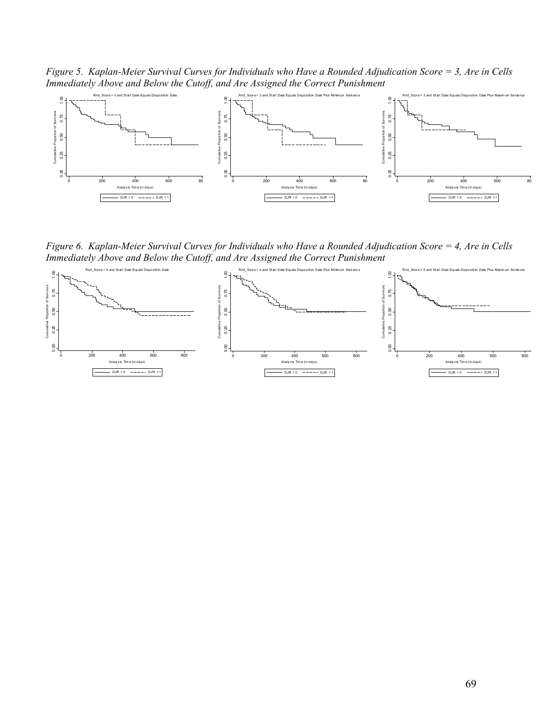*Figure 5. Kaplan-Meier Survival Curves for Individuals who Have a Rounded Adjudication Score = 3, Are in Cells Immediately Above and Below the Cutoff, and Are Assigned the Correct Punishment* 



*Figure 6. Kaplan-Meier Survival Curves for Individuals who Have a Rounded Adjudication Score = 4, Are in Cells Immediately Above and Below the Cutoff, and Are Assigned the Correct Punishment* 

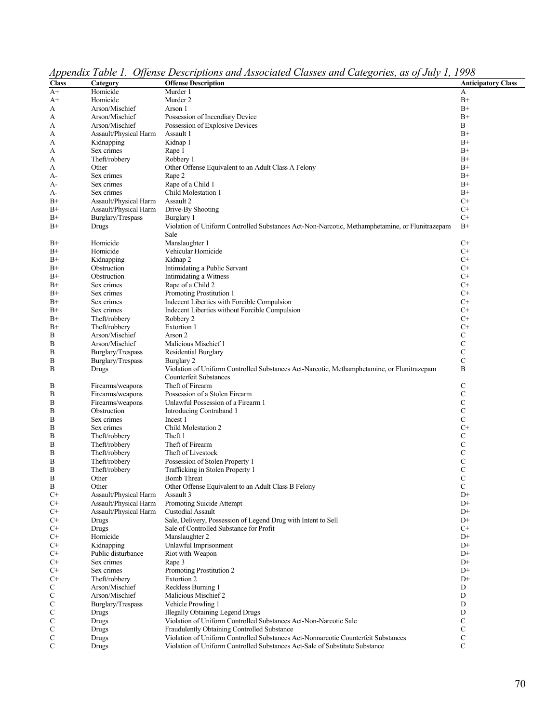| <b>Class</b> | Category              | <b>Offense Description</b>                                                                                                  | <b>Anticipatory Class</b> |
|--------------|-----------------------|-----------------------------------------------------------------------------------------------------------------------------|---------------------------|
| A+           | Homicide              | Murder 1                                                                                                                    | А                         |
| $A+$         | Homicide              | Murder 2                                                                                                                    | $B+$                      |
| A            | Arson/Mischief        | Arson 1                                                                                                                     | $B+$                      |
| А            | Arson/Mischief        | Possession of Incendiary Device                                                                                             | $_{\rm B+}$               |
| A            | Arson/Mischief        | Possession of Explosive Devices                                                                                             | В                         |
| А            | Assault/Physical Harm | Assault 1                                                                                                                   | B+                        |
| A            | Kidnapping            | Kidnap 1                                                                                                                    | $_{\rm B+}$               |
| А            | Sex crimes            | Rape 1                                                                                                                      | B+                        |
| А            | Theft/robbery         | Robbery 1                                                                                                                   | $B+$                      |
| А            | Other                 | Other Offense Equivalent to an Adult Class A Felony                                                                         | $_{\rm B+}$               |
| A-           | Sex crimes            | Rape 2                                                                                                                      | $B+$                      |
| A-           | Sex crimes            | Rape of a Child 1                                                                                                           | $_{\rm B+}$               |
| A-           | Sex crimes            | Child Molestation 1                                                                                                         | $_{\rm B+}$               |
| B+           | Assault/Physical Harm | Assault 2                                                                                                                   | $C+$                      |
| $_{\rm B+}$  | Assault/Physical Harm | Drive-By Shooting                                                                                                           | $C+$                      |
| $_{\rm B+}$  | Burglary/Trespass     | Burglary 1                                                                                                                  | $C+$                      |
| $_{\rm B+}$  | Drugs                 | Violation of Uniform Controlled Substances Act-Non-Narcotic, Methamphetamine, or Flunitrazepam<br>Sale                      | $B+$                      |
| $_{\rm B+}$  | Homicide              | Manslaughter 1                                                                                                              | $C+$                      |
| $_{\rm B+}$  | Homicide              | Vehicular Homicide                                                                                                          | $C+$                      |
| $_{\rm B+}$  | Kidnapping            | Kidnap 2                                                                                                                    | $C+$                      |
| $_{\rm B+}$  | Obstruction           | Intimidating a Public Servant                                                                                               | $C+$                      |
| $_{\rm B+}$  | Obstruction           | Intimidating a Witness                                                                                                      | $C+$                      |
| B+           | Sex crimes            | Rape of a Child 2                                                                                                           | $C+$                      |
| B+           | Sex crimes            | Promoting Prostitution 1                                                                                                    | $C+$                      |
| $_{\rm B+}$  | Sex crimes            | Indecent Liberties with Forcible Compulsion                                                                                 | $C+$                      |
| $_{\rm B+}$  | Sex crimes            | Indecent Liberties without Forcible Compulsion                                                                              | $C+$                      |
| $_{\rm B+}$  | Theft/robbery         | Robbery 2                                                                                                                   | $C+$                      |
| B+           | Theft/robbery         | <b>Extortion 1</b>                                                                                                          | $C+$                      |
| В            | Arson/Mischief        | Arson 2                                                                                                                     | C                         |
| В            | Arson/Mischief        | Malicious Mischief 1                                                                                                        | $\mathbf C$               |
| B            | Burglary/Trespass     | Residential Burglary                                                                                                        | $\mathcal{C}$             |
| B            | Burglary/Trespass     | Burglary 2                                                                                                                  | $\mathbf C$               |
| B            | Drugs                 | Violation of Uniform Controlled Substances Act-Narcotic, Methamphetamine, or Flunitrazepam<br><b>Counterfeit Substances</b> | B                         |
| В            | Firearms/weapons      | Theft of Firearm                                                                                                            | C                         |
| B            | Firearms/weapons      | Possession of a Stolen Firearm                                                                                              | $\mathbf C$               |
| В            | Firearms/weapons      | Unlawful Possession of a Firearm 1                                                                                          | C                         |
| B            | Obstruction           | Introducing Contraband 1                                                                                                    | $\mathcal{C}$             |
| B            | Sex crimes            | Incest 1                                                                                                                    | $\mathcal{C}$             |
| B            | Sex crimes            | Child Molestation 2                                                                                                         | $C+$                      |
| B            | Theft/robbery         | Theft 1                                                                                                                     | С                         |
| В            | Theft/robbery         | Theft of Firearm                                                                                                            | $\mathbf C$               |
| B            | Theft/robbery         | Theft of Livestock                                                                                                          | $\mathbf C$               |
| B            | Theft/robbery         | Possession of Stolen Property 1                                                                                             | $\mathbf C$               |
| B            | Theft/robbery         | Trafficking in Stolen Property 1                                                                                            | $\mathbf{C}$              |
| B            | Other                 | <b>Bomb</b> Threat                                                                                                          | $\mathcal{C}$             |
| Β            | Other                 | Other Offense Equivalent to an Adult Class B Felony                                                                         | С                         |
| $C+$         | Assault/Physical Harm | Assault 3                                                                                                                   | D+                        |
| $C+$         | Assault/Physical Harm | Promoting Suicide Attempt                                                                                                   | D+                        |
| $C+$         | Assault/Physical Harm | <b>Custodial Assault</b>                                                                                                    | D+                        |
| $C+$         | Drugs                 | Sale, Delivery, Possession of Legend Drug with Intent to Sell                                                               | $D+$                      |
| $C+$         | Drugs                 | Sale of Controlled Substance for Profit                                                                                     | $C+$                      |
| $C+$         | Homicide              | Manslaughter 2                                                                                                              | $D+$                      |
| $C+$         | Kidnapping            | Unlawful Imprisonment                                                                                                       | $D+$                      |
| $C+$         | Public disturbance    | Riot with Weapon                                                                                                            | $D+$                      |
| $C+$         | Sex crimes            | Rape 3                                                                                                                      | $D+$                      |
| $C+$         | Sex crimes            | Promoting Prostitution 2                                                                                                    | $D+$                      |
| $C+$         | Theft/robbery         | Extortion 2                                                                                                                 | $D+$                      |
| С            | Arson/Mischief        | Reckless Burning 1                                                                                                          | D                         |
| С            | Arson/Mischief        | Malicious Mischief 2                                                                                                        | D                         |
| C            | Burglary/Trespass     | Vehicle Prowling 1                                                                                                          | D                         |
| C            | Drugs                 | <b>Illegally Obtaining Legend Drugs</b>                                                                                     | D                         |
| C            | Drugs                 | Violation of Uniform Controlled Substances Act-Non-Narcotic Sale                                                            | C                         |
| C            | Drugs                 | Fraudulently Obtaining Controlled Substance                                                                                 | $\mathbf C$               |
| C            | Drugs                 | Violation of Uniform Controlled Substances Act-Nonnarcotic Counterfeit Substances                                           | $\mathbf C$               |
| C            | Drugs                 | Violation of Uniform Controlled Substances Act-Sale of Substitute Substance                                                 | C                         |

*Appendix Table 1. Offense Descriptions and Associated Classes and Categories, as of July 1, 1998*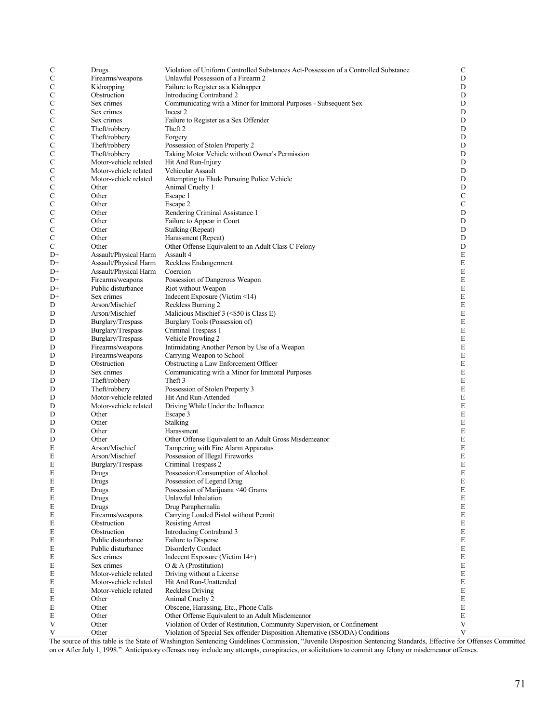| C  | Drugs                 | Violation of Uniform Controlled Substances Act-Possession of a Controlled Substance | C      |
|----|-----------------------|-------------------------------------------------------------------------------------|--------|
| С  | Firearms/weapons      | Unlawful Possession of a Firearm 2                                                  | D      |
| С  | Kidnapping            | Failure to Register as a Kidnapper                                                  | D      |
| С  | Obstruction           | Introducing Contraband 2                                                            | D      |
| С  | Sex crimes            | Communicating with a Minor for Immoral Purposes - Subsequent Sex                    | D      |
| С  | Sex crimes            | Incest 2                                                                            | D      |
| C  | Sex crimes            | Failure to Register as a Sex Offender                                               | D      |
| С  | Theft/robbery         | Theft 2                                                                             | D      |
| С  | Theft/robbery         | Forgery                                                                             | D      |
| C  | Theft/robbery         | Possession of Stolen Property 2                                                     | D      |
| C  | Theft/robbery         | Taking Motor Vehicle without Owner's Permission                                     | D      |
| C  | Motor-vehicle related | Hit And Run-Injury                                                                  | D      |
| C  | Motor-vehicle related | Vehicular Assault                                                                   | D      |
| С  | Motor-vehicle related | Attempting to Elude Pursuing Police Vehicle                                         | D      |
| С  | Other                 | Animal Cruelty 1                                                                    | D      |
| С  | Other                 | Escape 1                                                                            | C      |
| С  | Other                 | Escape 2                                                                            | C      |
| С  | Other                 | Rendering Criminal Assistance 1                                                     | D      |
| С  | Other                 | Failure to Appear in Court                                                          | D      |
| С  | Other                 | Stalking (Repeat)                                                                   | D      |
| С  | Other                 | Harassment (Repeat)                                                                 | D      |
| С  | Other                 | Other Offense Equivalent to an Adult Class C Felony                                 | D      |
| D+ | Assault/Physical Harm | Assault 4                                                                           | E      |
| D+ | Assault/Physical Harm | Reckless Endangerment                                                               | E      |
| D+ | Assault/Physical Harm | Coercion                                                                            | E      |
| D+ | Firearms/weapons      | Possession of Dangerous Weapon                                                      | E      |
| D+ | Public disturbance    | Riot without Weapon                                                                 | E      |
| D+ | Sex crimes            | Indecent Exposure (Victim <14)                                                      | E      |
|    | Arson/Mischief        | Reckless Burning 2                                                                  | E      |
| D  | Arson/Mischief        |                                                                                     |        |
| D  |                       | Malicious Mischief 3 (<\$50 is Class E)                                             | E<br>E |
| D  | Burglary/Trespass     | Burglary Tools (Possession of)                                                      |        |
| D  | Burglary/Trespass     | Criminal Trespass 1                                                                 | E      |
| D  | Burglary/Trespass     | Vehicle Prowling 2                                                                  | E      |
| D  | Firearms/weapons      | Intimidating Another Person by Use of a Weapon                                      | E      |
| D  | Firearms/weapons      | Carrying Weapon to School                                                           | E      |
| D  | Obstruction           | Obstructing a Law Enforcement Officer                                               | E      |
| D  | Sex crimes            | Communicating with a Minor for Immoral Purposes                                     | E      |
| D  | Theft/robbery         | Theft 3                                                                             | E      |
| D  | Theft/robbery         | Possession of Stolen Property 3                                                     | E      |
| D  | Motor-vehicle related | Hit And Run-Attended                                                                | E      |
| D  | Motor-vehicle related | Driving While Under the Influence                                                   | E      |
| D  | Other                 | Escape 3                                                                            | E      |
| D  | Other                 | Stalking                                                                            | E      |
| D  | Other                 | Harassment                                                                          | E      |
| D  | Other                 | Other Offense Equivalent to an Adult Gross Misdemeanor                              | E      |
| E  | Arson/Mischief        | Tampering with Fire Alarm Apparatus                                                 | E      |
| E  | Arson/Mischief        | Possession of Illegal Fireworks                                                     | E      |
| E  | Burglary/Trespass     | Criminal Trespass 2                                                                 | E      |
| E  | Drugs                 | Possession/Consumption of Alcohol                                                   | E      |
| E  | Drugs                 | Possession of Legend Drug                                                           | E      |
| E  | Drugs                 | Possession of Marijuana <40 Grams                                                   | E      |
| E  | Drugs                 | Unlawful Inhalation                                                                 | E      |
| E  | Drugs                 | Drug Paraphernalia                                                                  | E      |
| E  | Firearms/weapons      | Carrying Loaded Pistol without Permit                                               | E      |
| E  | Obstruction           | <b>Resisting Arrest</b>                                                             | E      |
| E  | Obstruction           | Introducing Contraband 3                                                            | E      |
| E  | Public disturbance    | Failure to Disperse                                                                 | E      |
| E  | Public disturbance    | Disorderly Conduct                                                                  | E      |
| E  | Sex crimes            | Indecent Exposure (Victim 14+)                                                      | E      |
| E  | Sex crimes            | $\overline{O}$ & A (Prostitution)                                                   | E      |
| E  | Motor-vehicle related | Driving without a License                                                           | E      |
| E  | Motor-vehicle related | Hit And Run-Unattended                                                              | E      |
| E  | Motor-vehicle related | <b>Reckless Driving</b>                                                             | E      |
| E  | Other                 | Animal Cruelty 2                                                                    | E      |
| E  | Other                 | Obscene, Harassing, Etc., Phone Calls                                               | E      |
|    |                       |                                                                                     | E      |
| E  | Other                 | Other Offense Equivalent to an Adult Misdemeanor                                    |        |
| V  | Other                 | Violation of Order of Restitution, Community Supervision, or Confinement            | V      |
| V  | Other                 | Violation of Special Sex offender Disposition Alternative (SSODA) Conditions        | V      |

The source of this table is the State of Washington Sentencing Guidelines Commission, "Juvenile Disposition Sentencing Standards, Effective for Offenses Committed on or After July 1, 1998." Anticipatory offenses may include any attempts, conspiracies, or solicitations to commit any felony or misdemeanor offenses.